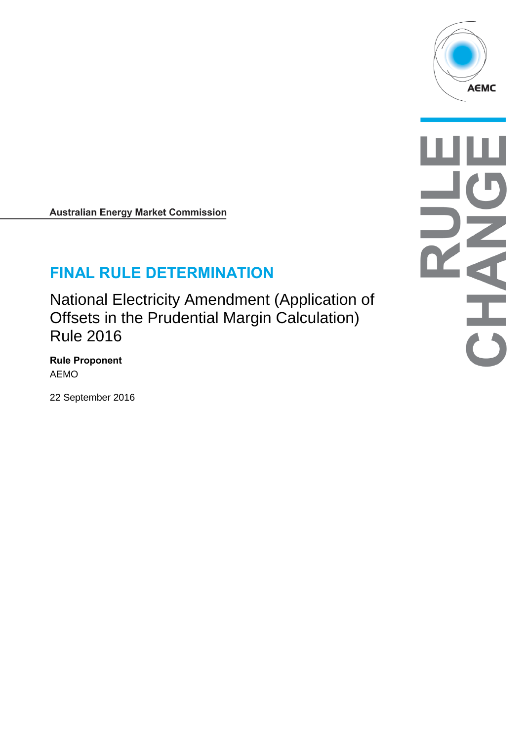

**Australian Energy Market Commission** 

# **FINAL RULE DETERMINATION**

National Electricity Amendment (Application of Offsets in the Prudential Margin Calculation) Rule 2016

**Rule Proponent** AEMO

22 September 2016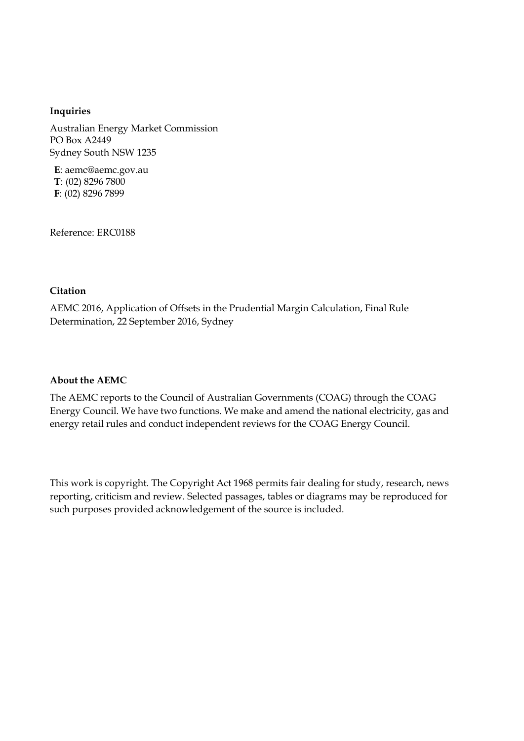#### **Inquiries**

Australian Energy Market Commission PO Box A2449 Sydney South NSW 1235

**E**: aemc@aemc.gov.au **T**: (02) 8296 7800 **F**: (02) 8296 7899

Reference: ERC0188

#### **Citation**

AEMC 2016, Application of Offsets in the Prudential Margin Calculation, Final Rule Determination, 22 September 2016, Sydney

#### **About the AEMC**

The AEMC reports to the Council of Australian Governments (COAG) through the COAG Energy Council. We have two functions. We make and amend the national electricity, gas and energy retail rules and conduct independent reviews for the COAG Energy Council.

This work is copyright. The Copyright Act 1968 permits fair dealing for study, research, news reporting, criticism and review. Selected passages, tables or diagrams may be reproduced for such purposes provided acknowledgement of the source is included.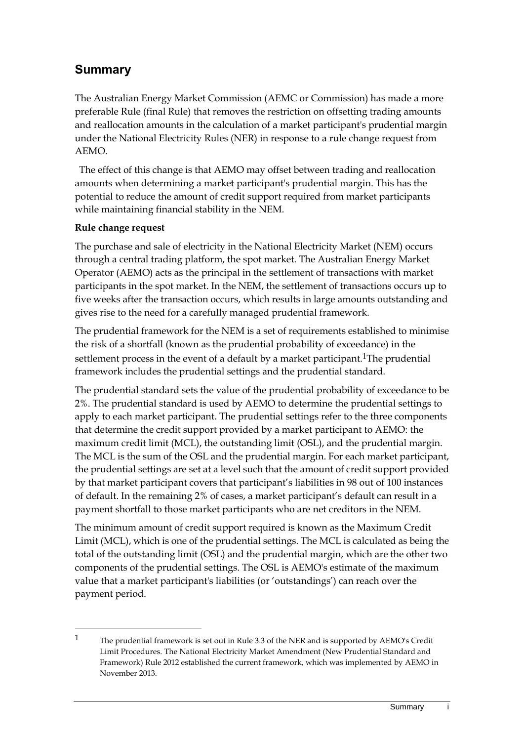# **Summary**

The Australian Energy Market Commission (AEMC or Commission) has made a more preferable Rule (final Rule) that removes the restriction on offsetting trading amounts and reallocation amounts in the calculation of a market participant's prudential margin under the National Electricity Rules (NER) in response to a rule change request from AEMO.

The effect of this change is that AEMO may offset between trading and reallocation amounts when determining a market participant's prudential margin. This has the potential to reduce the amount of credit support required from market participants while maintaining financial stability in the NEM.

#### **Rule change request**

<u>.</u>

The purchase and sale of electricity in the National Electricity Market (NEM) occurs through a central trading platform, the spot market. The Australian Energy Market Operator (AEMO) acts as the principal in the settlement of transactions with market participants in the spot market. In the NEM, the settlement of transactions occurs up to five weeks after the transaction occurs, which results in large amounts outstanding and gives rise to the need for a carefully managed prudential framework.

The prudential framework for the NEM is a set of requirements established to minimise the risk of a shortfall (known as the prudential probability of exceedance) in the settlement process in the event of a default by a market participant.<sup>1</sup>The prudential framework includes the prudential settings and the prudential standard.

The prudential standard sets the value of the prudential probability of exceedance to be 2%. The prudential standard is used by AEMO to determine the prudential settings to apply to each market participant. The prudential settings refer to the three components that determine the credit support provided by a market participant to AEMO: the maximum credit limit (MCL), the outstanding limit (OSL), and the prudential margin. The MCL is the sum of the OSL and the prudential margin. For each market participant, the prudential settings are set at a level such that the amount of credit support provided by that market participant covers that participant's liabilities in 98 out of 100 instances of default. In the remaining 2% of cases, a market participant's default can result in a payment shortfall to those market participants who are net creditors in the NEM.

The minimum amount of credit support required is known as the Maximum Credit Limit (MCL), which is one of the prudential settings. The MCL is calculated as being the total of the outstanding limit (OSL) and the prudential margin, which are the other two components of the prudential settings. The OSL is AEMO's estimate of the maximum value that a market participant's liabilities (or 'outstandings') can reach over the payment period.

<sup>&</sup>lt;sup>1</sup> The prudential framework is set out in Rule 3.3 of the NER and is supported by AEMO's Credit Limit Procedures. The National Electricity Market Amendment (New Prudential Standard and Framework) Rule 2012 established the current framework, which was implemented by AEMO in November 2013.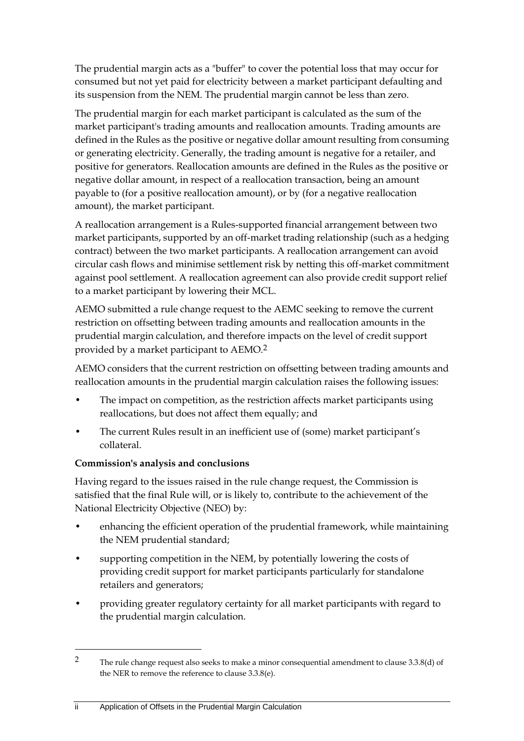The prudential margin acts as a "buffer" to cover the potential loss that may occur for consumed but not yet paid for electricity between a market participant defaulting and its suspension from the NEM. The prudential margin cannot be less than zero.

The prudential margin for each market participant is calculated as the sum of the market participant's trading amounts and reallocation amounts. Trading amounts are defined in the Rules as the positive or negative dollar amount resulting from consuming or generating electricity. Generally, the trading amount is negative for a retailer, and positive for generators. Reallocation amounts are defined in the Rules as the positive or negative dollar amount, in respect of a reallocation transaction, being an amount payable to (for a positive reallocation amount), or by (for a negative reallocation amount), the market participant.

A reallocation arrangement is a Rules-supported financial arrangement between two market participants, supported by an off-market trading relationship (such as a hedging contract) between the two market participants. A reallocation arrangement can avoid circular cash flows and minimise settlement risk by netting this off-market commitment against pool settlement. A reallocation agreement can also provide credit support relief to a market participant by lowering their MCL.

AEMO submitted a rule change request to the AEMC seeking to remove the current restriction on offsetting between trading amounts and reallocation amounts in the prudential margin calculation, and therefore impacts on the level of credit support provided by a market participant to AEMO.2

AEMO considers that the current restriction on offsetting between trading amounts and reallocation amounts in the prudential margin calculation raises the following issues:

- The impact on competition, as the restriction affects market participants using reallocations, but does not affect them equally; and
- The current Rules result in an inefficient use of (some) market participant's collateral.

### **Commission's analysis and conclusions**

Having regard to the issues raised in the rule change request, the Commission is satisfied that the final Rule will, or is likely to, contribute to the achievement of the National Electricity Objective (NEO) by:

- enhancing the efficient operation of the prudential framework, while maintaining the NEM prudential standard;
- supporting competition in the NEM, by potentially lowering the costs of providing credit support for market participants particularly for standalone retailers and generators;
- providing greater regulatory certainty for all market participants with regard to the prudential margin calculation.

-

<sup>&</sup>lt;sup>2</sup> The rule change request also seeks to make a minor consequential amendment to clause 3.3.8(d) of the NER to remove the reference to clause 3.3.8(e).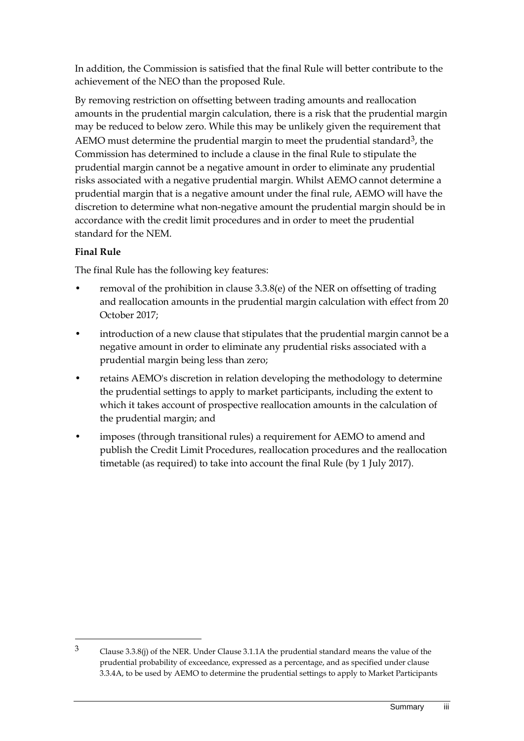In addition, the Commission is satisfied that the final Rule will better contribute to the achievement of the NEO than the proposed Rule.

By removing restriction on offsetting between trading amounts and reallocation amounts in the prudential margin calculation, there is a risk that the prudential margin may be reduced to below zero. While this may be unlikely given the requirement that AEMO must determine the prudential margin to meet the prudential standard<sup>3</sup>, the Commission has determined to include a clause in the final Rule to stipulate the prudential margin cannot be a negative amount in order to eliminate any prudential risks associated with a negative prudential margin. Whilst AEMO cannot determine a prudential margin that is a negative amount under the final rule, AEMO will have the discretion to determine what non-negative amount the prudential margin should be in accordance with the credit limit procedures and in order to meet the prudential standard for the NEM.

### **Final Rule**

<u>.</u>

The final Rule has the following key features:

- removal of the prohibition in clause  $3.3.8(e)$  of the NER on offsetting of trading and reallocation amounts in the prudential margin calculation with effect from 20 October 2017;
- introduction of a new clause that stipulates that the prudential margin cannot be a negative amount in order to eliminate any prudential risks associated with a prudential margin being less than zero;
- retains AEMO's discretion in relation developing the methodology to determine the prudential settings to apply to market participants, including the extent to which it takes account of prospective reallocation amounts in the calculation of the prudential margin; and
- imposes (through transitional rules) a requirement for AEMO to amend and publish the Credit Limit Procedures, reallocation procedures and the reallocation timetable (as required) to take into account the final Rule (by 1 July 2017).

<sup>3</sup> Clause 3.3.8(j) of the NER. Under Clause 3.1.1A the prudential standard means the value of the prudential probability of exceedance, expressed as a percentage, and as specified under clause 3.3.4A, to be used by AEMO to determine the prudential settings to apply to Market Participants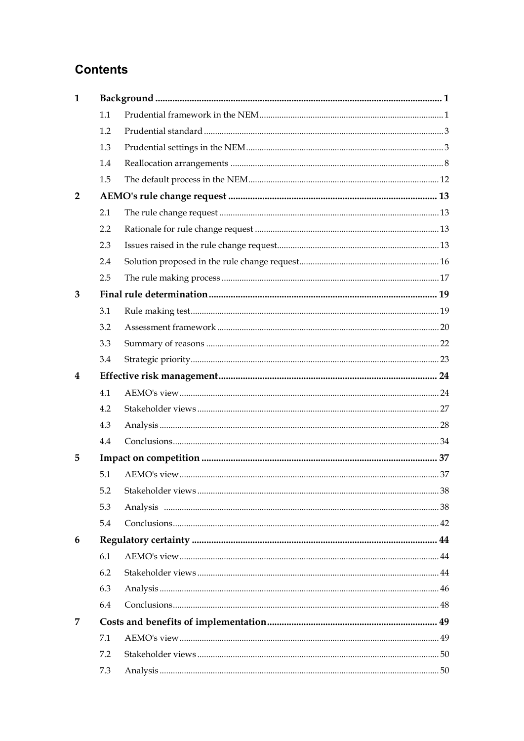# **Contents**

| $\mathbf{1}$   |     |  |  |  |  |  |
|----------------|-----|--|--|--|--|--|
|                | 1.1 |  |  |  |  |  |
|                | 1.2 |  |  |  |  |  |
|                | 1.3 |  |  |  |  |  |
|                | 1.4 |  |  |  |  |  |
|                | 1.5 |  |  |  |  |  |
| $\overline{2}$ |     |  |  |  |  |  |
|                | 2.1 |  |  |  |  |  |
|                | 2.2 |  |  |  |  |  |
|                | 2.3 |  |  |  |  |  |
|                | 2.4 |  |  |  |  |  |
|                | 2.5 |  |  |  |  |  |
| 3              |     |  |  |  |  |  |
|                | 3.1 |  |  |  |  |  |
|                | 3.2 |  |  |  |  |  |
|                | 3.3 |  |  |  |  |  |
|                | 3.4 |  |  |  |  |  |
| 4              |     |  |  |  |  |  |
|                | 4.1 |  |  |  |  |  |
|                | 4.2 |  |  |  |  |  |
|                | 4.3 |  |  |  |  |  |
|                | 4.4 |  |  |  |  |  |
| 5              |     |  |  |  |  |  |
|                | 5.1 |  |  |  |  |  |
|                | 5.2 |  |  |  |  |  |
|                | 5.3 |  |  |  |  |  |
|                | 5.4 |  |  |  |  |  |
| 6              |     |  |  |  |  |  |
|                | 6.1 |  |  |  |  |  |
|                | 6.2 |  |  |  |  |  |
|                | 6.3 |  |  |  |  |  |
|                | 6.4 |  |  |  |  |  |
| 7              |     |  |  |  |  |  |
|                | 7.1 |  |  |  |  |  |
|                | 7.2 |  |  |  |  |  |
|                | 7.3 |  |  |  |  |  |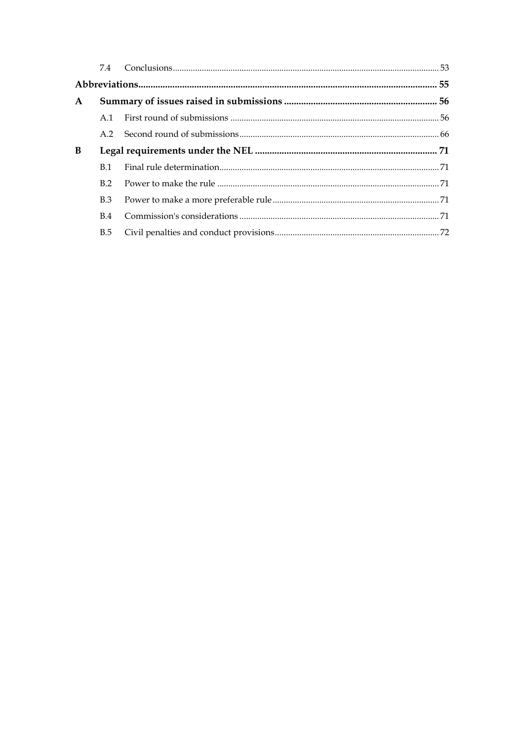| $\mathbf{A}$ |                |  |  |  |
|--------------|----------------|--|--|--|
|              | A 1            |  |  |  |
|              |                |  |  |  |
| B            |                |  |  |  |
|              | <b>B</b> 1     |  |  |  |
|              | B <sub>2</sub> |  |  |  |
|              | B.3            |  |  |  |
|              | <b>B.4</b>     |  |  |  |
|              | B.5            |  |  |  |
|              |                |  |  |  |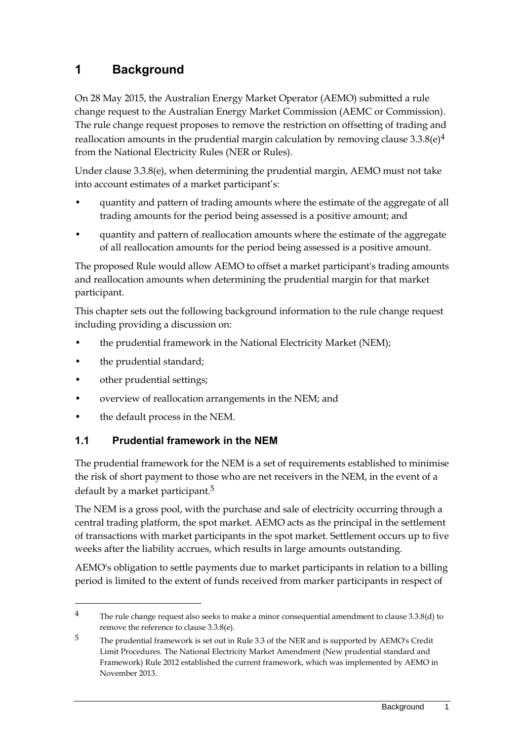# <span id="page-8-0"></span>**1 Background**

On 28 May 2015, the Australian Energy Market Operator (AEMO) submitted a rule change request to the Australian Energy Market Commission (AEMC or Commission). The rule change request proposes to remove the restriction on offsetting of trading and reallocation amounts in the prudential margin calculation by removing clause  $3.3.8(e)^4$ from the National Electricity Rules (NER or Rules).

Under clause 3.3.8(e), when determining the prudential margin, AEMO must not take into account estimates of a market participant's:

- quantity and pattern of trading amounts where the estimate of the aggregate of all trading amounts for the period being assessed is a positive amount; and
- quantity and pattern of reallocation amounts where the estimate of the aggregate of all reallocation amounts for the period being assessed is a positive amount.

The proposed Rule would allow AEMO to offset a market participant's trading amounts and reallocation amounts when determining the prudential margin for that market participant.

This chapter sets out the following background information to the rule change request including providing a discussion on:

- the prudential framework in the National Electricity Market (NEM);
- the prudential standard;
- other prudential settings;

1

- overview of reallocation arrangements in the NEM; and
- the default process in the NEM.

### <span id="page-8-1"></span>**1.1 Prudential framework in the NEM**

The prudential framework for the NEM is a set of requirements established to minimise the risk of short payment to those who are net receivers in the NEM, in the event of a default by a market participant.<sup>5</sup>

The NEM is a gross pool, with the purchase and sale of electricity occurring through a central trading platform, the spot market. AEMO acts as the principal in the settlement of transactions with market participants in the spot market. Settlement occurs up to five weeks after the liability accrues, which results in large amounts outstanding.

AEMO's obligation to settle payments due to market participants in relation to a billing period is limited to the extent of funds received from marker participants in respect of

<sup>&</sup>lt;sup>4</sup> The rule change request also seeks to make a minor consequential amendment to clause 3.3.8(d) to remove the reference to clause 3.3.8(e).

<sup>&</sup>lt;sup>5</sup> The prudential framework is set out in Rule 3.3 of the NER and is supported by AEMO's Credit Limit Procedures. The National Electricity Market Amendment (New prudential standard and Framework) Rule 2012 established the current framework, which was implemented by AEMO in November 2013.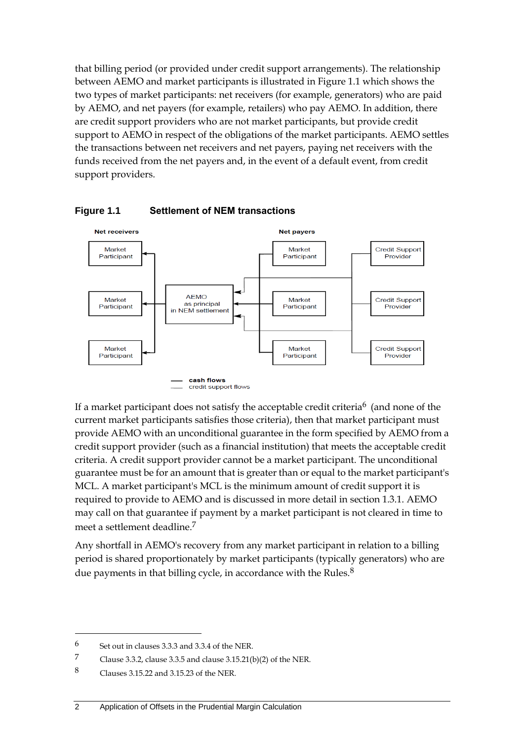that billing period (or provided under credit support arrangements). The relationship between AEMO and market participants is illustrated in Figure 1.1 which shows the two types of market participants: net receivers (for example, generators) who are paid by AEMO, and net payers (for example, retailers) who pay AEMO. In addition, there are credit support providers who are not market participants, but provide credit support to AEMO in respect of the obligations of the market participants. AEMO settles the transactions between net receivers and net payers, paying net receivers with the funds received from the net payers and, in the event of a default event, from credit support providers.





If a market participant does not satisfy the acceptable credit criteria<sup>6</sup> (and none of the current market participants satisfies those criteria), then that market participant must provide AEMO with an unconditional guarantee in the form specified by AEMO from a credit support provider (such as a financial institution) that meets the acceptable credit criteria. A credit support provider cannot be a market participant. The unconditional guarantee must be for an amount that is greater than or equal to the market participant's MCL. A market participant's MCL is the minimum amount of credit support it is required to provide to AEMO and is discussed in more detail in section 1.3.1. AEMO may call on that guarantee if payment by a market participant is not cleared in time to meet a settlement deadline.7

Any shortfall in AEMO's recovery from any market participant in relation to a billing period is shared proportionately by market participants (typically generators) who are due payments in that billing cycle, in accordance with the Rules.<sup>8</sup>

 $6$  Set out in clauses 3.3.3 and 3.3.4 of the NER.

<sup>7</sup> Clause 3.3.2, clause 3.3.5 and clause 3.15.21(b)(2) of the NER.

<sup>8</sup> Clauses 3.15.22 and 3.15.23 of the NER.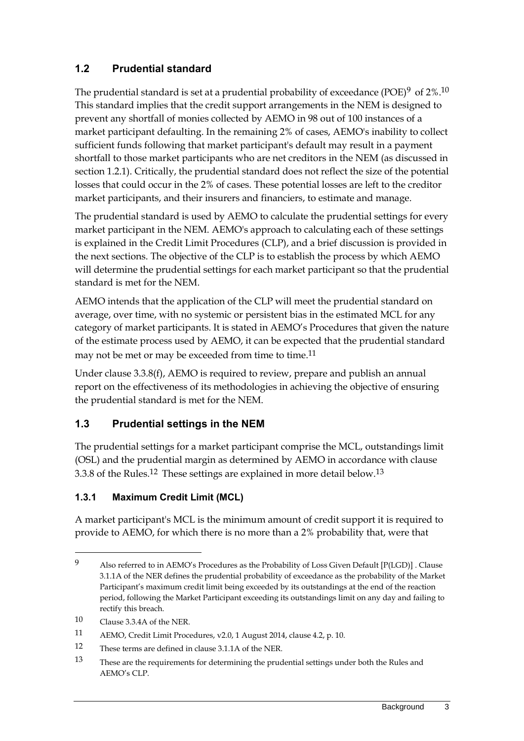### <span id="page-10-0"></span>**1.2 Prudential standard**

The prudential standard is set at a prudential probability of exceedance (POE)<sup>9</sup> of  $2\%$ .<sup>10</sup> This standard implies that the credit support arrangements in the NEM is designed to prevent any shortfall of monies collected by AEMO in 98 out of 100 instances of a market participant defaulting. In the remaining 2% of cases, AEMO's inability to collect sufficient funds following that market participant's default may result in a payment shortfall to those market participants who are net creditors in the NEM (as discussed in section 1.2.1). Critically, the prudential standard does not reflect the size of the potential losses that could occur in the 2% of cases. These potential losses are left to the creditor market participants, and their insurers and financiers, to estimate and manage.

The prudential standard is used by AEMO to calculate the prudential settings for every market participant in the NEM. AEMO's approach to calculating each of these settings is explained in the Credit Limit Procedures (CLP), and a brief discussion is provided in the next sections. The objective of the CLP is to establish the process by which AEMO will determine the prudential settings for each market participant so that the prudential standard is met for the NEM.

AEMO intends that the application of the CLP will meet the prudential standard on average, over time, with no systemic or persistent bias in the estimated MCL for any category of market participants. It is stated in AEMO's Procedures that given the nature of the estimate process used by AEMO, it can be expected that the prudential standard may not be met or may be exceeded from time to time.11

Under clause 3.3.8(f), AEMO is required to review, prepare and publish an annual report on the effectiveness of its methodologies in achieving the objective of ensuring the prudential standard is met for the NEM.

### <span id="page-10-1"></span>**1.3 Prudential settings in the NEM**

The prudential settings for a market participant comprise the MCL, outstandings limit (OSL) and the prudential margin as determined by AEMO in accordance with clause 3.3.8 of the Rules.12 These settings are explained in more detail below.13

### **1.3.1 Maximum Credit Limit (MCL)**

A market participant's MCL is the minimum amount of credit support it is required to provide to AEMO, for which there is no more than a 2% probability that, were that

<sup>9</sup> Also referred to in AEMO's Procedures as the Probability of Loss Given Default [P(LGD)] . Clause 3.1.1A of the NER defines the prudential probability of exceedance as the probability of the Market Participant's maximum credit limit being exceeded by its outstandings at the end of the reaction period, following the Market Participant exceeding its outstandings limit on any day and failing to rectify this breach.

<sup>10</sup> Clause 3.3.4A of the NER.

<sup>11</sup> AEMO, Credit Limit Procedures, v2.0, 1 August 2014, clause 4.2, p. 10.

<sup>12</sup> These terms are defined in clause 3.1.1A of the NER.

<sup>13</sup> These are the requirements for determining the prudential settings under both the Rules and AEMO's CLP.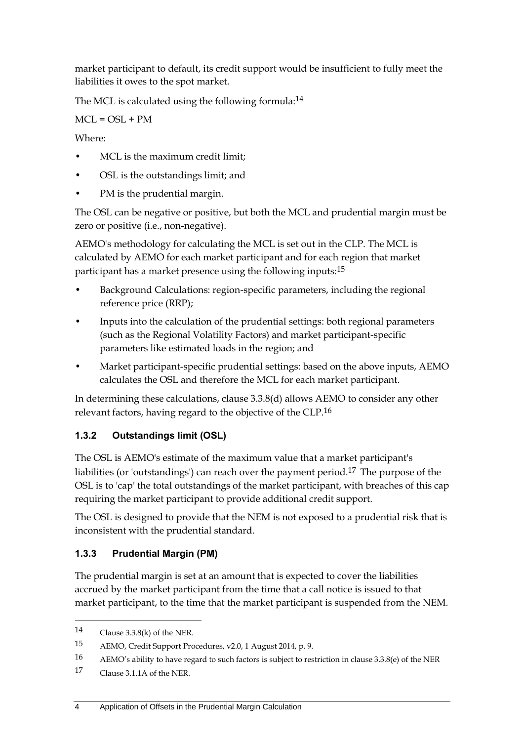market participant to default, its credit support would be insufficient to fully meet the liabilities it owes to the spot market.

The MCL is calculated using the following formula:<sup>14</sup>

 $MCL = OSL + PM$ 

Where:

- MCL is the maximum credit limit;
- OSL is the outstandings limit; and
- PM is the prudential margin.

The OSL can be negative or positive, but both the MCL and prudential margin must be zero or positive (i.e., non-negative).

AEMO's methodology for calculating the MCL is set out in the CLP. The MCL is calculated by AEMO for each market participant and for each region that market participant has a market presence using the following inputs:15

- Background Calculations: region-specific parameters, including the regional reference price (RRP);
- Inputs into the calculation of the prudential settings: both regional parameters (such as the Regional Volatility Factors) and market participant-specific parameters like estimated loads in the region; and
- Market participant-specific prudential settings: based on the above inputs, AEMO calculates the OSL and therefore the MCL for each market participant.

In determining these calculations, clause 3.3.8(d) allows AEMO to consider any other relevant factors, having regard to the objective of the CLP.16

### **1.3.2 Outstandings limit (OSL)**

The OSL is AEMO's estimate of the maximum value that a market participant's liabilities (or 'outstandings') can reach over the payment period.17 The purpose of the OSL is to 'cap' the total outstandings of the market participant, with breaches of this cap requiring the market participant to provide additional credit support.

The OSL is designed to provide that the NEM is not exposed to a prudential risk that is inconsistent with the prudential standard.

### **1.3.3 Prudential Margin (PM)**

The prudential margin is set at an amount that is expected to cover the liabilities accrued by the market participant from the time that a call notice is issued to that market participant, to the time that the market participant is suspended from the NEM.

<sup>14</sup> Clause 3.3.8(k) of the NER.

<sup>15</sup> AEMO, Credit Support Procedures, v2.0, 1 August 2014, p. 9.

<sup>16</sup> AEMO's ability to have regard to such factors is subject to restriction in clause 3.3.8(e) of the NER

<sup>17</sup> Clause 3.1.1A of the NER.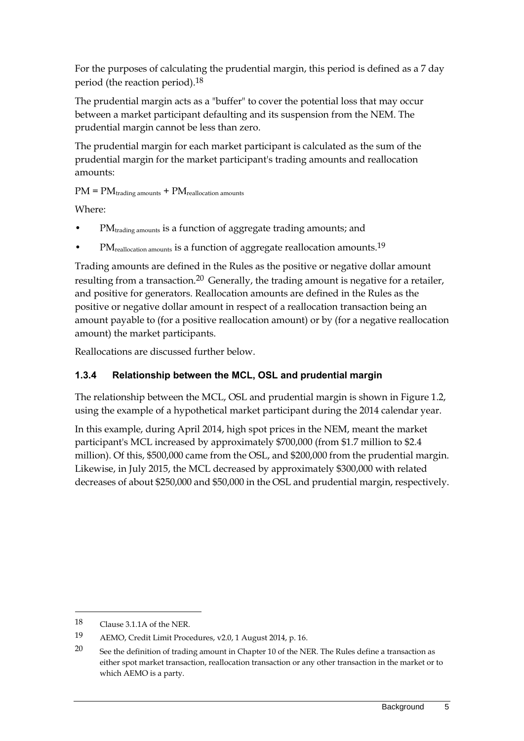For the purposes of calculating the prudential margin, this period is defined as a 7 day period (the reaction period).18

The prudential margin acts as a "buffer" to cover the potential loss that may occur between a market participant defaulting and its suspension from the NEM. The prudential margin cannot be less than zero.

The prudential margin for each market participant is calculated as the sum of the prudential margin for the market participant's trading amounts and reallocation amounts:

 $PM = PM_{\text{trading amounts}} + PM_{\text{reallocation amounts}}$ 

Where:

- PM<sub>trading amounts</sub> is a function of aggregate trading amounts; and
- PM<sub>reallocation amounts</sub> is a function of aggregate reallocation amounts.<sup>19</sup>

Trading amounts are defined in the Rules as the positive or negative dollar amount resulting from a transaction.<sup>20</sup> Generally, the trading amount is negative for a retailer, and positive for generators. Reallocation amounts are defined in the Rules as the positive or negative dollar amount in respect of a reallocation transaction being an amount payable to (for a positive reallocation amount) or by (for a negative reallocation amount) the market participants.

Reallocations are discussed further below.

### **1.3.4 Relationship between the MCL, OSL and prudential margin**

The relationship between the MCL, OSL and prudential margin is shown in Figure 1.2, using the example of a hypothetical market participant during the 2014 calendar year.

In this example, during April 2014, high spot prices in the NEM, meant the market participant's MCL increased by approximately \$700,000 (from \$1.7 million to \$2.4 million). Of this, \$500,000 came from the OSL, and \$200,000 from the prudential margin. Likewise, in July 2015, the MCL decreased by approximately \$300,000 with related decreases of about \$250,000 and \$50,000 in the OSL and prudential margin, respectively.

1

<sup>18</sup> Clause 3.1.1A of the NER.

<sup>19</sup> AEMO, Credit Limit Procedures, v2.0, 1 August 2014, p. 16.

<sup>20</sup> See the definition of trading amount in Chapter 10 of the NER. The Rules define a transaction as either spot market transaction, reallocation transaction or any other transaction in the market or to which AEMO is a party.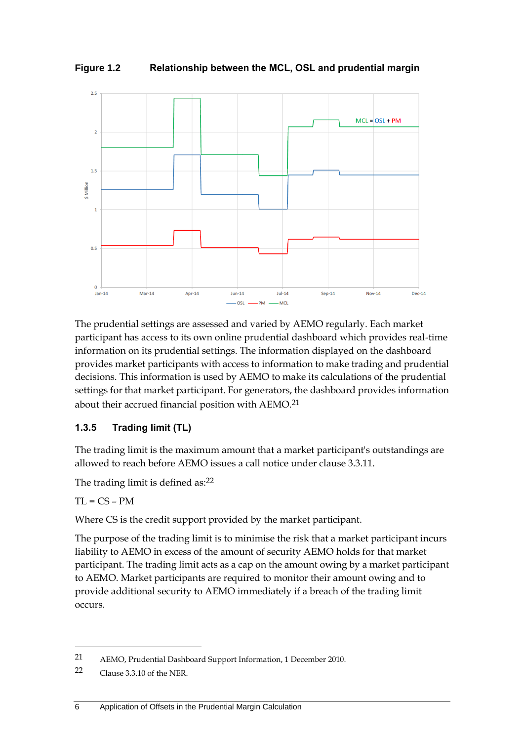**Figure 1.2 Relationship between the MCL, OSL and prudential margin**



The prudential settings are assessed and varied by AEMO regularly. Each market participant has access to its own online prudential dashboard which provides real-time information on its prudential settings. The information displayed on the dashboard provides market participants with access to information to make trading and prudential decisions. This information is used by AEMO to make its calculations of the prudential settings for that market participant. For generators, the dashboard provides information about their accrued financial position with AEMO.21

### **1.3.5 Trading limit (TL)**

The trading limit is the maximum amount that a market participant's outstandings are allowed to reach before AEMO issues a call notice under clause 3.3.11.

The trading limit is defined as:<sup>22</sup>

 $TL = CS - PM$ 

-

Where CS is the credit support provided by the market participant.

The purpose of the trading limit is to minimise the risk that a market participant incurs liability to AEMO in excess of the amount of security AEMO holds for that market participant. The trading limit acts as a cap on the amount owing by a market participant to AEMO. Market participants are required to monitor their amount owing and to provide additional security to AEMO immediately if a breach of the trading limit occurs.

<sup>21</sup> AEMO, Prudential Dashboard Support Information, 1 December 2010.

<sup>22</sup> Clause 3.3.10 of the NER.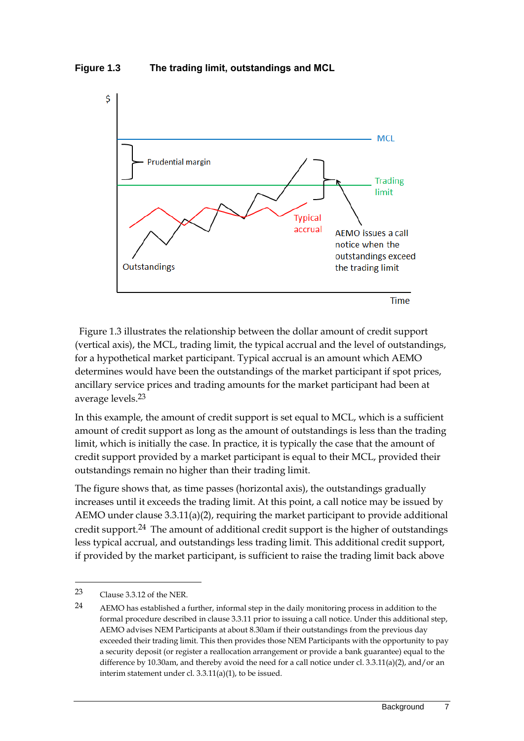**Figure 1.3 The trading limit, outstandings and MCL**



Figure 1.3 illustrates the relationship between the dollar amount of credit support (vertical axis), the MCL, trading limit, the typical accrual and the level of outstandings, for a hypothetical market participant. Typical accrual is an amount which AEMO determines would have been the outstandings of the market participant if spot prices, ancillary service prices and trading amounts for the market participant had been at average levels.23

In this example, the amount of credit support is set equal to MCL, which is a sufficient amount of credit support as long as the amount of outstandings is less than the trading limit, which is initially the case. In practice, it is typically the case that the amount of credit support provided by a market participant is equal to their MCL, provided their outstandings remain no higher than their trading limit.

The figure shows that, as time passes (horizontal axis), the outstandings gradually increases until it exceeds the trading limit. At this point, a call notice may be issued by AEMO under clause 3.3.11(a)(2), requiring the market participant to provide additional credit support.24 The amount of additional credit support is the higher of outstandings less typical accrual, and outstandings less trading limit. This additional credit support, if provided by the market participant, is sufficient to raise the trading limit back above

<sup>23</sup> Clause 3.3.12 of the NER.

<sup>24</sup> AEMO has established a further, informal step in the daily monitoring process in addition to the formal procedure described in clause 3.3.11 prior to issuing a call notice. Under this additional step, AEMO advises NEM Participants at about 8.30am if their outstandings from the previous day exceeded their trading limit. This then provides those NEM Participants with the opportunity to pay a security deposit (or register a reallocation arrangement or provide a bank guarantee) equal to the difference by 10.30am, and thereby avoid the need for a call notice under cl. 3.3.11(a)(2), and/or an interim statement under cl. 3.3.11(a)(1), to be issued.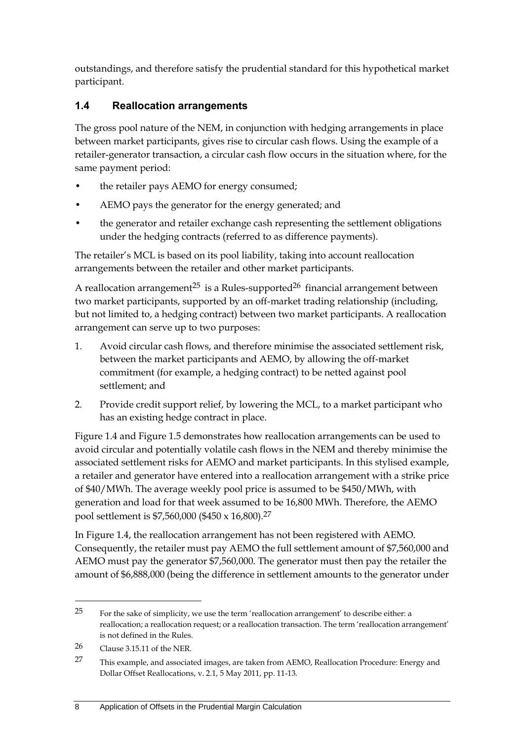outstandings, and therefore satisfy the prudential standard for this hypothetical market participant.

### <span id="page-15-0"></span>**1.4 Reallocation arrangements**

The gross pool nature of the NEM, in conjunction with hedging arrangements in place between market participants, gives rise to circular cash flows. Using the example of a retailer-generator transaction, a circular cash flow occurs in the situation where, for the same payment period:

- the retailer pays AEMO for energy consumed;
- AEMO pays the generator for the energy generated; and
- the generator and retailer exchange cash representing the settlement obligations under the hedging contracts (referred to as difference payments).

The retailer's MCL is based on its pool liability, taking into account reallocation arrangements between the retailer and other market participants.

A reallocation arrangement<sup>25</sup> is a Rules-supported<sup>26</sup> financial arrangement between two market participants, supported by an off-market trading relationship (including, but not limited to, a hedging contract) between two market participants. A reallocation arrangement can serve up to two purposes:

- 1. Avoid circular cash flows, and therefore minimise the associated settlement risk, between the market participants and AEMO, by allowing the off-market commitment (for example, a hedging contract) to be netted against pool settlement; and
- 2. Provide credit support relief, by lowering the MCL, to a market participant who has an existing hedge contract in place.

Figure 1.4 and Figure 1.5 demonstrates how reallocation arrangements can be used to avoid circular and potentially volatile cash flows in the NEM and thereby minimise the associated settlement risks for AEMO and market participants. In this stylised example, a retailer and generator have entered into a reallocation arrangement with a strike price of \$40/MWh. The average weekly pool price is assumed to be \$450/MWh, with generation and load for that week assumed to be 16,800 MWh. Therefore, the AEMO pool settlement is \$7,560,000 (\$450 x 16,800).27

In Figure 1.4, the reallocation arrangement has not been registered with AEMO. Consequently, the retailer must pay AEMO the full settlement amount of \$7,560,000 and AEMO must pay the generator \$7,560,000. The generator must then pay the retailer the amount of \$6,888,000 (being the difference in settlement amounts to the generator under

1

<sup>&</sup>lt;sup>25</sup> For the sake of simplicity, we use the term 'reallocation arrangement' to describe either: a reallocation; a reallocation request; or a reallocation transaction. The term 'reallocation arrangement' is not defined in the Rules.

<sup>26</sup> Clause 3.15.11 of the NER.

<sup>27</sup> This example, and associated images, are taken from AEMO, Reallocation Procedure: Energy and Dollar Offset Reallocations, v. 2.1, 5 May 2011, pp. 11-13.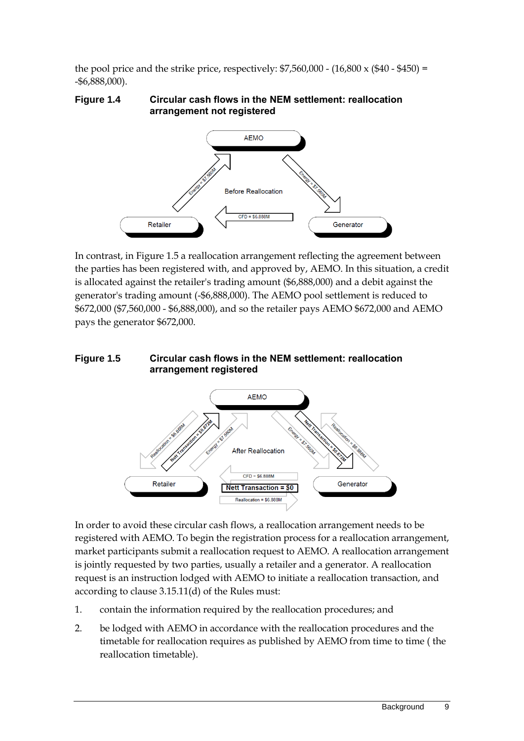the pool price and the strike price, respectively:  $$7,560,000 - (16,800 \times (\$40 - \$450) =$ -\$6,888,000).

#### **Figure 1.4 Circular cash flows in the NEM settlement: reallocation arrangement not registered**



In contrast, in Figure 1.5 a reallocation arrangement reflecting the agreement between the parties has been registered with, and approved by, AEMO. In this situation, a credit is allocated against the retailer's trading amount (\$6,888,000) and a debit against the generator's trading amount (-\$6,888,000). The AEMO pool settlement is reduced to \$672,000 (\$7,560,000 - \$6,888,000), and so the retailer pays AEMO \$672,000 and AEMO pays the generator \$672,000.

#### **Figure 1.5 Circular cash flows in the NEM settlement: reallocation arrangement registered**



In order to avoid these circular cash flows, a reallocation arrangement needs to be registered with AEMO. To begin the registration process for a reallocation arrangement, market participants submit a reallocation request to AEMO. A reallocation arrangement is jointly requested by two parties, usually a retailer and a generator. A reallocation request is an instruction lodged with AEMO to initiate a reallocation transaction, and according to clause 3.15.11(d) of the Rules must:

- 1. contain the information required by the reallocation procedures; and
- 2. be lodged with AEMO in accordance with the reallocation procedures and the timetable for reallocation requires as published by AEMO from time to time ( the reallocation timetable).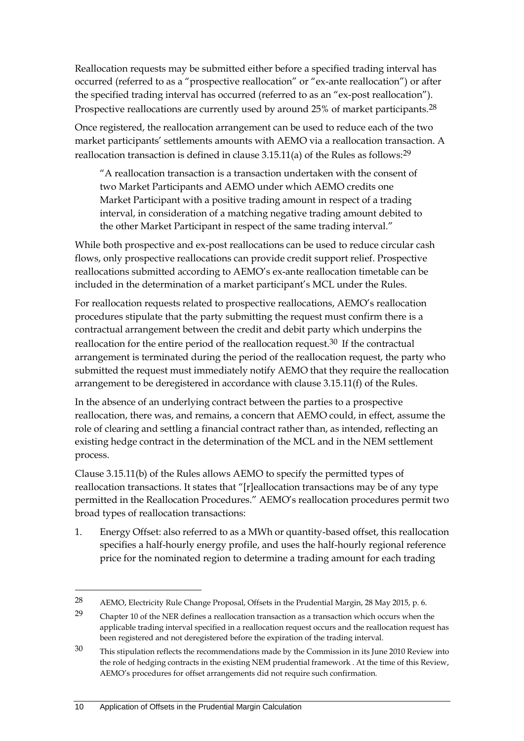Reallocation requests may be submitted either before a specified trading interval has occurred (referred to as a "prospective reallocation" or "ex-ante reallocation") or after the specified trading interval has occurred (referred to as an "ex-post reallocation"). Prospective reallocations are currently used by around 25% of market participants.<sup>28</sup>

Once registered, the reallocation arrangement can be used to reduce each of the two market participants' settlements amounts with AEMO via a reallocation transaction. A reallocation transaction is defined in clause 3.15.11(a) of the Rules as follows:29

"A reallocation transaction is a transaction undertaken with the consent of two Market Participants and AEMO under which AEMO credits one Market Participant with a positive trading amount in respect of a trading interval, in consideration of a matching negative trading amount debited to the other Market Participant in respect of the same trading interval."

While both prospective and ex-post reallocations can be used to reduce circular cash flows, only prospective reallocations can provide credit support relief. Prospective reallocations submitted according to AEMO's ex-ante reallocation timetable can be included in the determination of a market participant's MCL under the Rules.

For reallocation requests related to prospective reallocations, AEMO's reallocation procedures stipulate that the party submitting the request must confirm there is a contractual arrangement between the credit and debit party which underpins the reallocation for the entire period of the reallocation request.30 If the contractual arrangement is terminated during the period of the reallocation request, the party who submitted the request must immediately notify AEMO that they require the reallocation arrangement to be deregistered in accordance with clause 3.15.11(f) of the Rules.

In the absence of an underlying contract between the parties to a prospective reallocation, there was, and remains, a concern that AEMO could, in effect, assume the role of clearing and settling a financial contract rather than, as intended, reflecting an existing hedge contract in the determination of the MCL and in the NEM settlement process.

Clause 3.15.11(b) of the Rules allows AEMO to specify the permitted types of reallocation transactions. It states that "[r]eallocation transactions may be of any type permitted in the Reallocation Procedures." AEMO's reallocation procedures permit two broad types of reallocation transactions:

1. Energy Offset: also referred to as a MWh or quantity-based offset, this reallocation specifies a half-hourly energy profile, and uses the half-hourly regional reference price for the nominated region to determine a trading amount for each trading

<sup>28</sup> AEMO, Electricity Rule Change Proposal, Offsets in the Prudential Margin, 28 May 2015, p. 6.

<sup>29</sup> Chapter 10 of the NER defines a reallocation transaction as a transaction which occurs when the applicable trading interval specified in a reallocation request occurs and the reallocation request has been registered and not deregistered before the expiration of the trading interval.

<sup>30</sup> This stipulation reflects the recommendations made by the Commission in its June 2010 Review into the role of hedging contracts in the existing NEM prudential framework . At the time of this Review, AEMO's procedures for offset arrangements did not require such confirmation.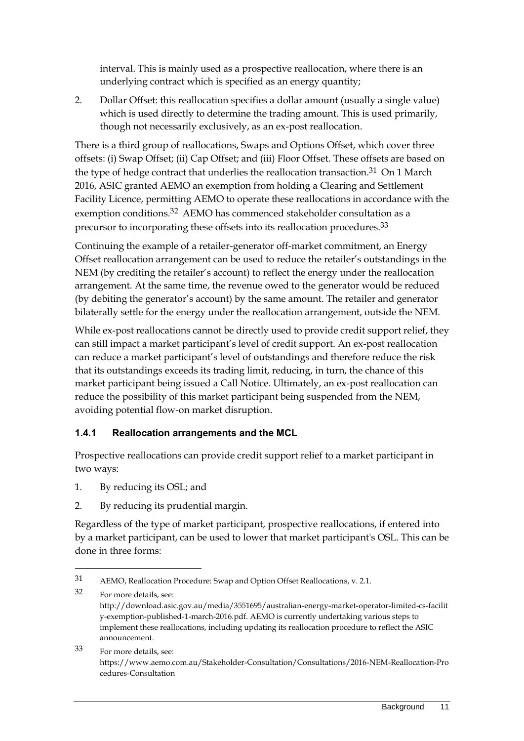interval. This is mainly used as a prospective reallocation, where there is an underlying contract which is specified as an energy quantity;

2. Dollar Offset: this reallocation specifies a dollar amount (usually a single value) which is used directly to determine the trading amount. This is used primarily, though not necessarily exclusively, as an ex-post reallocation.

There is a third group of reallocations, Swaps and Options Offset, which cover three offsets: (i) Swap Offset; (ii) Cap Offset; and (iii) Floor Offset. These offsets are based on the type of hedge contract that underlies the reallocation transaction.<sup>31</sup> On 1 March 2016, ASIC granted AEMO an exemption from holding a Clearing and Settlement Facility Licence, permitting AEMO to operate these reallocations in accordance with the exemption conditions.<sup>32</sup> AEMO has commenced stakeholder consultation as a precursor to incorporating these offsets into its reallocation procedures.33

Continuing the example of a retailer-generator off-market commitment, an Energy Offset reallocation arrangement can be used to reduce the retailer's outstandings in the NEM (by crediting the retailer's account) to reflect the energy under the reallocation arrangement. At the same time, the revenue owed to the generator would be reduced (by debiting the generator's account) by the same amount. The retailer and generator bilaterally settle for the energy under the reallocation arrangement, outside the NEM.

While ex-post reallocations cannot be directly used to provide credit support relief, they can still impact a market participant's level of credit support. An ex-post reallocation can reduce a market participant's level of outstandings and therefore reduce the risk that its outstandings exceeds its trading limit, reducing, in turn, the chance of this market participant being issued a Call Notice. Ultimately, an ex-post reallocation can reduce the possibility of this market participant being suspended from the NEM, avoiding potential flow-on market disruption.

### **1.4.1 Reallocation arrangements and the MCL**

Prospective reallocations can provide credit support relief to a market participant in two ways:

1. By reducing its OSL; and

<u>.</u>

2. By reducing its prudential margin.

Regardless of the type of market participant, prospective reallocations, if entered into by a market participant, can be used to lower that market participant's OSL. This can be done in three forms:

33 For more details, see: https://www.aemo.com.au/Stakeholder-Consultation/Consultations/2016-NEM-Reallocation-Pro cedures-Consultation

<sup>31</sup> AEMO, Reallocation Procedure: Swap and Option Offset Reallocations, v. 2.1.

<sup>32</sup> For more details, see: http://download.asic.gov.au/media/3551695/australian-energy-market-operator-limited-cs-facilit y-exemption-published-1-march-2016.pdf. AEMO is currently undertaking various steps to implement these reallocations, including updating its reallocation procedure to reflect the ASIC announcement.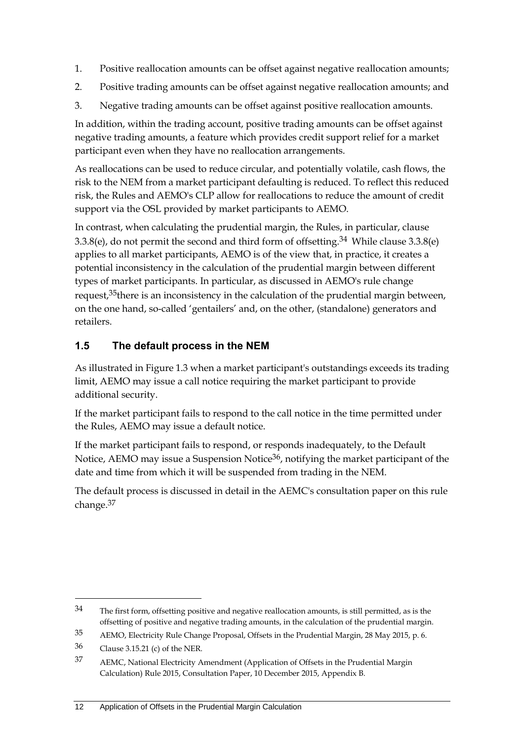- 1. Positive reallocation amounts can be offset against negative reallocation amounts;
- 2. Positive trading amounts can be offset against negative reallocation amounts; and
- 3. Negative trading amounts can be offset against positive reallocation amounts.

In addition, within the trading account, positive trading amounts can be offset against negative trading amounts, a feature which provides credit support relief for a market participant even when they have no reallocation arrangements.

As reallocations can be used to reduce circular, and potentially volatile, cash flows, the risk to the NEM from a market participant defaulting is reduced. To reflect this reduced risk, the Rules and AEMO's CLP allow for reallocations to reduce the amount of credit support via the OSL provided by market participants to AEMO.

In contrast, when calculating the prudential margin, the Rules, in particular, clause 3.3.8(e), do not permit the second and third form of offsetting.34 While clause 3.3.8(e) applies to all market participants, AEMO is of the view that, in practice, it creates a potential inconsistency in the calculation of the prudential margin between different types of market participants. In particular, as discussed in AEMO's rule change request,  $35$  there is an inconsistency in the calculation of the prudential margin between, on the one hand, so-called 'gentailers' and, on the other, (standalone) generators and retailers.

### <span id="page-19-0"></span>**1.5 The default process in the NEM**

As illustrated in Figure 1.3 when a market participant's outstandings exceeds its trading limit, AEMO may issue a call notice requiring the market participant to provide additional security.

If the market participant fails to respond to the call notice in the time permitted under the Rules, AEMO may issue a default notice.

If the market participant fails to respond, or responds inadequately, to the Default Notice, AEMO may issue a Suspension Notice<sup>36</sup>, notifying the market participant of the date and time from which it will be suspended from trading in the NEM.

The default process is discussed in detail in the AEMC's consultation paper on this rule change.37

1

<sup>34</sup> The first form, offsetting positive and negative reallocation amounts, is still permitted, as is the offsetting of positive and negative trading amounts, in the calculation of the prudential margin.

<sup>35</sup> AEMO, Electricity Rule Change Proposal, Offsets in the Prudential Margin, 28 May 2015, p. 6.

<sup>36</sup> Clause 3.15.21 (c) of the NER.

<sup>37</sup> AEMC, National Electricity Amendment (Application of Offsets in the Prudential Margin Calculation) Rule 2015, Consultation Paper, 10 December 2015, Appendix B.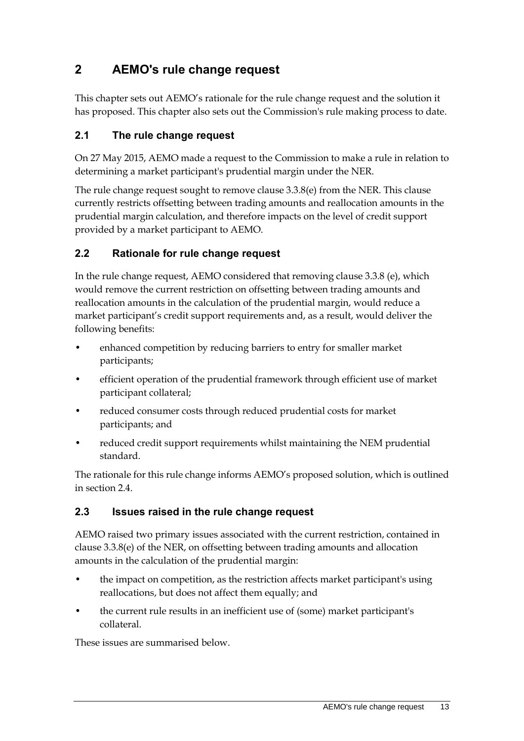# <span id="page-20-0"></span>**2 AEMO's rule change request**

This chapter sets out AEMO's rationale for the rule change request and the solution it has proposed. This chapter also sets out the Commission's rule making process to date.

### <span id="page-20-1"></span>**2.1 The rule change request**

On 27 May 2015, AEMO made a request to the Commission to make a rule in relation to determining a market participant's prudential margin under the NER.

The rule change request sought to remove clause 3.3.8(e) from the NER. This clause currently restricts offsetting between trading amounts and reallocation amounts in the prudential margin calculation, and therefore impacts on the level of credit support provided by a market participant to AEMO.

### <span id="page-20-2"></span>**2.2 Rationale for rule change request**

In the rule change request, AEMO considered that removing clause 3.3.8 (e), which would remove the current restriction on offsetting between trading amounts and reallocation amounts in the calculation of the prudential margin, would reduce a market participant's credit support requirements and, as a result, would deliver the following benefits:

- enhanced competition by reducing barriers to entry for smaller market participants;
- efficient operation of the prudential framework through efficient use of market participant collateral;
- reduced consumer costs through reduced prudential costs for market participants; and
- reduced credit support requirements whilst maintaining the NEM prudential standard.

The rationale for this rule change informs AEMO's proposed solution, which is outlined in section 2.4.

### <span id="page-20-3"></span>**2.3 Issues raised in the rule change request**

AEMO raised two primary issues associated with the current restriction, contained in clause 3.3.8(e) of the NER, on offsetting between trading amounts and allocation amounts in the calculation of the prudential margin:

- the impact on competition, as the restriction affects market participant's using reallocations, but does not affect them equally; and
- the current rule results in an inefficient use of (some) market participant's collateral.

These issues are summarised below.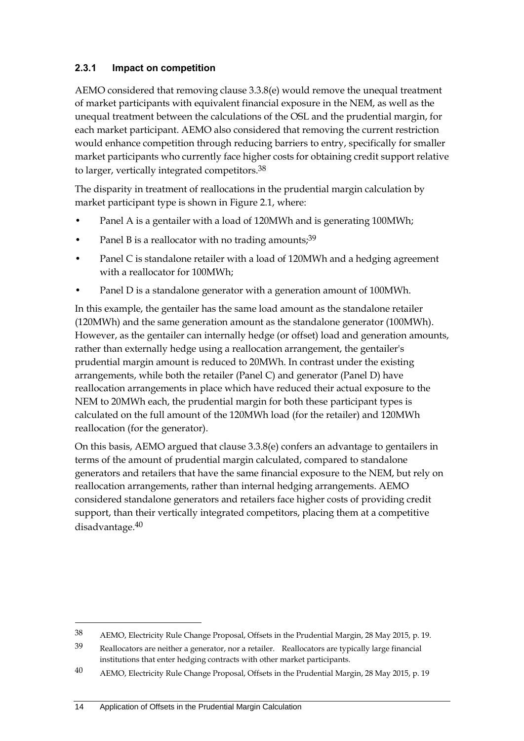### **2.3.1 Impact on competition**

AEMO considered that removing clause 3.3.8(e) would remove the unequal treatment of market participants with equivalent financial exposure in the NEM, as well as the unequal treatment between the calculations of the OSL and the prudential margin, for each market participant. AEMO also considered that removing the current restriction would enhance competition through reducing barriers to entry, specifically for smaller market participants who currently face higher costs for obtaining credit support relative to larger, vertically integrated competitors.<sup>38</sup>

The disparity in treatment of reallocations in the prudential margin calculation by market participant type is shown in Figure 2.1, where:

- Panel A is a gentailer with a load of 120MWh and is generating 100MWh;
- Panel B is a reallocator with no trading amounts; $39$
- Panel C is standalone retailer with a load of 120MWh and a hedging agreement with a reallocator for 100MWh;
- Panel D is a standalone generator with a generation amount of 100MWh.

In this example, the gentailer has the same load amount as the standalone retailer (120MWh) and the same generation amount as the standalone generator (100MWh). However, as the gentailer can internally hedge (or offset) load and generation amounts, rather than externally hedge using a reallocation arrangement, the gentailer's prudential margin amount is reduced to 20MWh. In contrast under the existing arrangements, while both the retailer (Panel C) and generator (Panel D) have reallocation arrangements in place which have reduced their actual exposure to the NEM to 20MWh each, the prudential margin for both these participant types is calculated on the full amount of the 120MWh load (for the retailer) and 120MWh reallocation (for the generator).

On this basis, AEMO argued that clause 3.3.8(e) confers an advantage to gentailers in terms of the amount of prudential margin calculated, compared to standalone generators and retailers that have the same financial exposure to the NEM, but rely on reallocation arrangements, rather than internal hedging arrangements. AEMO considered standalone generators and retailers face higher costs of providing credit support, than their vertically integrated competitors, placing them at a competitive disadvantage.40

<sup>38</sup> AEMO, Electricity Rule Change Proposal, Offsets in the Prudential Margin, 28 May 2015, p. 19.

<sup>39</sup> Reallocators are neither a generator, nor a retailer. Reallocators are typically large financial institutions that enter hedging contracts with other market participants.

<sup>40</sup> AEMO, Electricity Rule Change Proposal, Offsets in the Prudential Margin, 28 May 2015, p. 19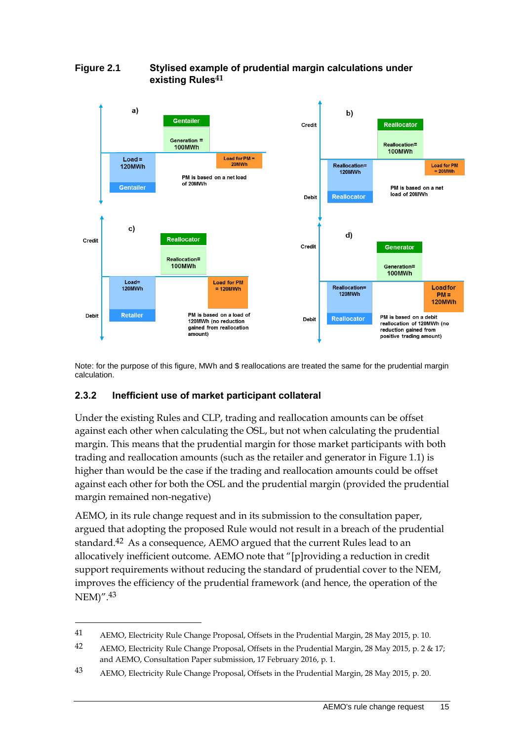

#### **Figure 2.1 Stylised example of prudential margin calculations under existing Rules41**

Note: for the purpose of this figure, MWh and \$ reallocations are treated the same for the prudential margin calculation.

### **2.3.2 Inefficient use of market participant collateral**

<u>.</u>

Under the existing Rules and CLP, trading and reallocation amounts can be offset against each other when calculating the OSL, but not when calculating the prudential margin. This means that the prudential margin for those market participants with both trading and reallocation amounts (such as the retailer and generator in Figure 1.1) is higher than would be the case if the trading and reallocation amounts could be offset against each other for both the OSL and the prudential margin (provided the prudential margin remained non-negative)

AEMO, in its rule change request and in its submission to the consultation paper, argued that adopting the proposed Rule would not result in a breach of the prudential standard.42 As a consequence, AEMO argued that the current Rules lead to an allocatively inefficient outcome. AEMO note that "[p]roviding a reduction in credit support requirements without reducing the standard of prudential cover to the NEM, improves the efficiency of the prudential framework (and hence, the operation of the NEM)".43

<sup>41</sup> AEMO, Electricity Rule Change Proposal, Offsets in the Prudential Margin, 28 May 2015, p. 10.

<sup>42</sup> AEMO, Electricity Rule Change Proposal, Offsets in the Prudential Margin, 28 May 2015, p. 2 & 17; and AEMO, Consultation Paper submission, 17 February 2016, p. 1.

<sup>43</sup> AEMO, Electricity Rule Change Proposal, Offsets in the Prudential Margin, 28 May 2015, p. 20.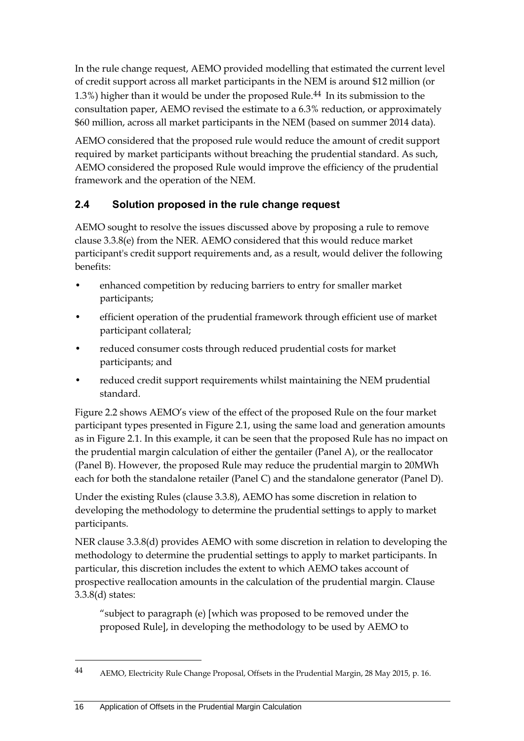In the rule change request, AEMO provided modelling that estimated the current level of credit support across all market participants in the NEM is around \$12 million (or 1.3%) higher than it would be under the proposed Rule.44 In its submission to the consultation paper, AEMO revised the estimate to a 6.3% reduction, or approximately \$60 million, across all market participants in the NEM (based on summer 2014 data).

AEMO considered that the proposed rule would reduce the amount of credit support required by market participants without breaching the prudential standard. As such, AEMO considered the proposed Rule would improve the efficiency of the prudential framework and the operation of the NEM.

### <span id="page-23-0"></span>**2.4 Solution proposed in the rule change request**

AEMO sought to resolve the issues discussed above by proposing a rule to remove clause 3.3.8(e) from the NER. AEMO considered that this would reduce market participant's credit support requirements and, as a result, would deliver the following benefits:

- enhanced competition by reducing barriers to entry for smaller market participants;
- efficient operation of the prudential framework through efficient use of market participant collateral;
- reduced consumer costs through reduced prudential costs for market participants; and
- reduced credit support requirements whilst maintaining the NEM prudential standard.

Figure 2.2 shows AEMO's view of the effect of the proposed Rule on the four market participant types presented in Figure 2.1, using the same load and generation amounts as in Figure 2.1. In this example, it can be seen that the proposed Rule has no impact on the prudential margin calculation of either the gentailer (Panel A), or the reallocator (Panel B). However, the proposed Rule may reduce the prudential margin to 20MWh each for both the standalone retailer (Panel C) and the standalone generator (Panel D).

Under the existing Rules (clause 3.3.8), AEMO has some discretion in relation to developing the methodology to determine the prudential settings to apply to market participants.

NER clause 3.3.8(d) provides AEMO with some discretion in relation to developing the methodology to determine the prudential settings to apply to market participants. In particular, this discretion includes the extent to which AEMO takes account of prospective reallocation amounts in the calculation of the prudential margin. Clause 3.3.8(d) states:

"subject to paragraph (e) [which was proposed to be removed under the proposed Rule], in developing the methodology to be used by AEMO to

1

<sup>44</sup> AEMO, Electricity Rule Change Proposal, Offsets in the Prudential Margin, 28 May 2015, p. 16.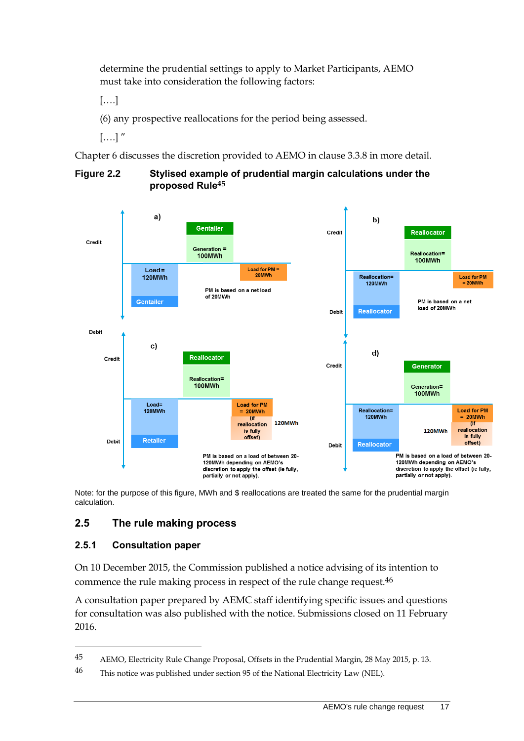determine the prudential settings to apply to Market Participants, AEMO must take into consideration the following factors:

[….]

(6) any prospective reallocations for the period being assessed.

 $[....]$ "

Chapter 6 discusses the discretion provided to AEMO in clause 3.3.8 in more detail.



#### **Figure 2.2 Stylised example of prudential margin calculations under the proposed Rule45**

Note: for the purpose of this figure, MWh and \$ reallocations are treated the same for the prudential margin calculation.

### <span id="page-24-0"></span>**2.5 The rule making process**

### **2.5.1 Consultation paper**

-

On 10 December 2015, the Commission published a notice advising of its intention to commence the rule making process in respect of the rule change request.46

A consultation paper prepared by AEMC staff identifying specific issues and questions for consultation was also published with the notice. Submissions closed on 11 February 2016.

<sup>45</sup> AEMO, Electricity Rule Change Proposal, Offsets in the Prudential Margin, 28 May 2015, p. 13.

<sup>46</sup> This notice was published under section 95 of the National Electricity Law (NEL).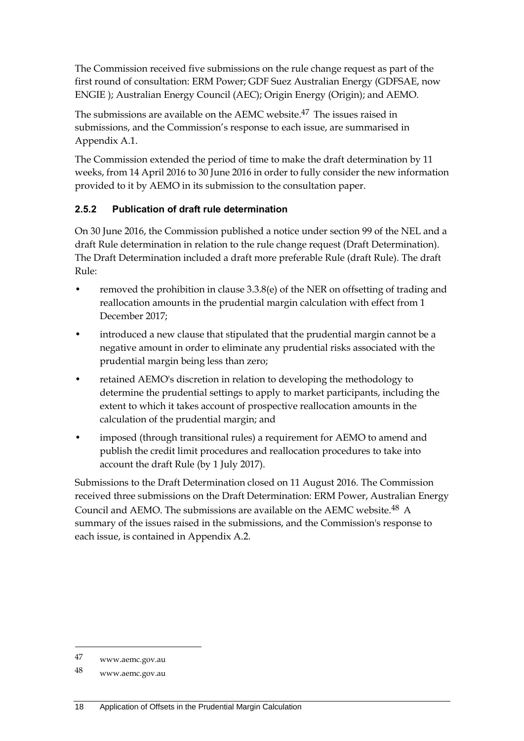The Commission received five submissions on the rule change request as part of the first round of consultation: ERM Power; GDF Suez Australian Energy (GDFSAE, now ENGIE ); Australian Energy Council (AEC); Origin Energy (Origin); and AEMO.

The submissions are available on the AEMC website.47 The issues raised in submissions, and the Commission's response to each issue, are summarised in Appendix A.1.

The Commission extended the period of time to make the draft determination by 11 weeks, from 14 April 2016 to 30 June 2016 in order to fully consider the new information provided to it by AEMO in its submission to the consultation paper.

### **2.5.2 Publication of draft rule determination**

On 30 June 2016, the Commission published a notice under section 99 of the NEL and a draft Rule determination in relation to the rule change request (Draft Determination). The Draft Determination included a draft more preferable Rule (draft Rule). The draft Rule:

- removed the prohibition in clause 3.3.8(e) of the NER on offsetting of trading and reallocation amounts in the prudential margin calculation with effect from 1 December 2017;
- introduced a new clause that stipulated that the prudential margin cannot be a negative amount in order to eliminate any prudential risks associated with the prudential margin being less than zero;
- retained AEMO's discretion in relation to developing the methodology to determine the prudential settings to apply to market participants, including the extent to which it takes account of prospective reallocation amounts in the calculation of the prudential margin; and
- imposed (through transitional rules) a requirement for AEMO to amend and publish the credit limit procedures and reallocation procedures to take into account the draft Rule (by 1 July 2017).

Submissions to the Draft Determination closed on 11 August 2016. The Commission received three submissions on the Draft Determination: ERM Power, Australian Energy Council and AEMO. The submissions are available on the AEMC website.48 A summary of the issues raised in the submissions, and the Commission's response to each issue, is contained in Appendix A.2.

-

<sup>47</sup> www.aemc.gov.au

<sup>48</sup> www.aemc.gov.au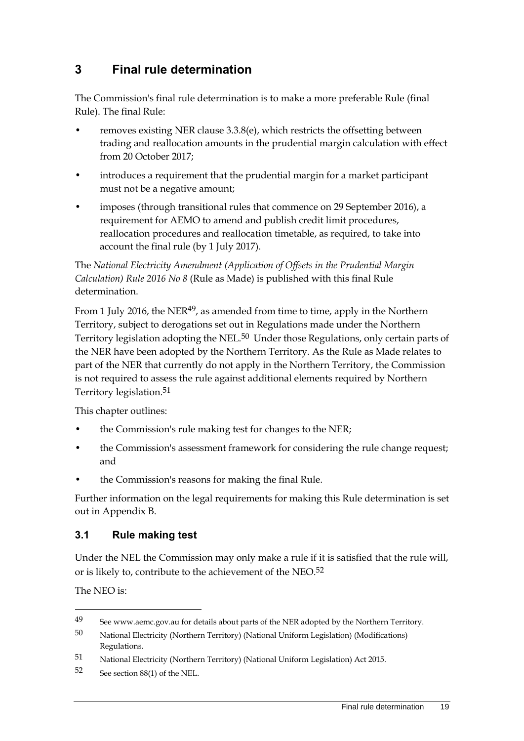# <span id="page-26-0"></span>**3 Final rule determination**

The Commission's final rule determination is to make a more preferable Rule (final Rule). The final Rule:

- removes existing NER clause 3.3.8(e), which restricts the offsetting between trading and reallocation amounts in the prudential margin calculation with effect from 20 October 2017;
- introduces a requirement that the prudential margin for a market participant must not be a negative amount;
- imposes (through transitional rules that commence on 29 September 2016), a requirement for AEMO to amend and publish credit limit procedures, reallocation procedures and reallocation timetable, as required, to take into account the final rule (by 1 July 2017).

The *National Electricity Amendment (Application of Offsets in the Prudential Margin Calculation) Rule 2016 No 8* (Rule as Made) is published with this final Rule determination.

From 1 July 2016, the NER $49$ , as amended from time to time, apply in the Northern Territory, subject to derogations set out in Regulations made under the Northern Territory legislation adopting the NEL.50 Under those Regulations, only certain parts of the NER have been adopted by the Northern Territory. As the Rule as Made relates to part of the NER that currently do not apply in the Northern Territory, the Commission is not required to assess the rule against additional elements required by Northern Territory legislation.51

This chapter outlines:

- the Commission's rule making test for changes to the NER;
- the Commission's assessment framework for considering the rule change request; and
- the Commission's reasons for making the final Rule.

Further information on the legal requirements for making this Rule determination is set out in Appendix B.

### <span id="page-26-1"></span>**3.1 Rule making test**

Under the NEL the Commission may only make a rule if it is satisfied that the rule will, or is likely to, contribute to the achievement of the NEO.52

The NEO is:

1

<sup>49</sup> See www.aemc.gov.au for details about parts of the NER adopted by the Northern Territory.

<sup>50</sup> National Electricity (Northern Territory) (National Uniform Legislation) (Modifications) Regulations.

<sup>51</sup> National Electricity (Northern Territory) (National Uniform Legislation) Act 2015.

<sup>52</sup> See section 88(1) of the NEL.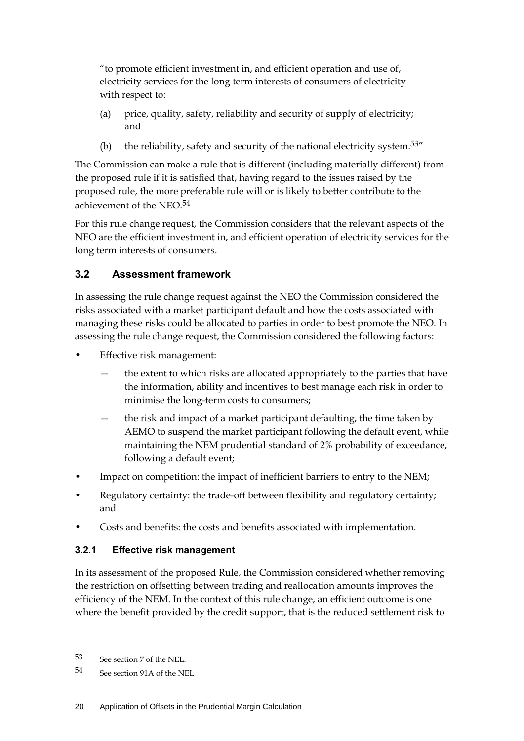"to promote efficient investment in, and efficient operation and use of, electricity services for the long term interests of consumers of electricity with respect to:

- (a) price, quality, safety, reliability and security of supply of electricity; and
- (b) the reliability, safety and security of the national electricity system.<sup>53"</sup>

The Commission can make a rule that is different (including materially different) from the proposed rule if it is satisfied that, having regard to the issues raised by the proposed rule, the more preferable rule will or is likely to better contribute to the achievement of the NEO.54

For this rule change request, the Commission considers that the relevant aspects of the NEO are the efficient investment in, and efficient operation of electricity services for the long term interests of consumers.

### <span id="page-27-0"></span>**3.2 Assessment framework**

In assessing the rule change request against the NEO the Commission considered the risks associated with a market participant default and how the costs associated with managing these risks could be allocated to parties in order to best promote the NEO. In assessing the rule change request, the Commission considered the following factors:

- Effective risk management:
	- the extent to which risks are allocated appropriately to the parties that have the information, ability and incentives to best manage each risk in order to minimise the long-term costs to consumers;
	- the risk and impact of a market participant defaulting, the time taken by AEMO to suspend the market participant following the default event, while maintaining the NEM prudential standard of 2% probability of exceedance, following a default event;
- Impact on competition: the impact of inefficient barriers to entry to the NEM;
- Regulatory certainty: the trade-off between flexibility and regulatory certainty; and
- Costs and benefits: the costs and benefits associated with implementation.

### **3.2.1 Effective risk management**

In its assessment of the proposed Rule, the Commission considered whether removing the restriction on offsetting between trading and reallocation amounts improves the efficiency of the NEM. In the context of this rule change, an efficient outcome is one where the benefit provided by the credit support, that is the reduced settlement risk to

-

<sup>53</sup> See section 7 of the NEL.

<sup>54</sup> See section 91A of the NEL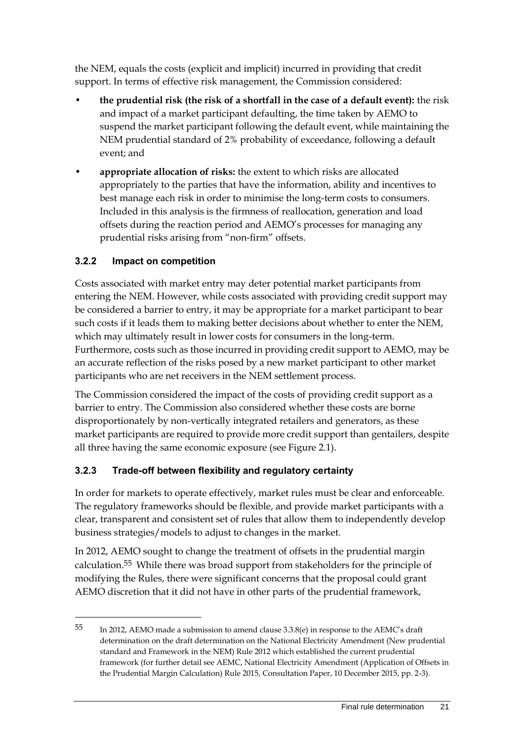the NEM, equals the costs (explicit and implicit) incurred in providing that credit support. In terms of effective risk management, the Commission considered:

- **the prudential risk (the risk of a shortfall in the case of a default event):** the risk and impact of a market participant defaulting, the time taken by AEMO to suspend the market participant following the default event, while maintaining the NEM prudential standard of 2% probability of exceedance, following a default event; and
- **appropriate allocation of risks:** the extent to which risks are allocated appropriately to the parties that have the information, ability and incentives to best manage each risk in order to minimise the long-term costs to consumers. Included in this analysis is the firmness of reallocation, generation and load offsets during the reaction period and AEMO's processes for managing any prudential risks arising from "non-firm" offsets.

### **3.2.2 Impact on competition**

1

Costs associated with market entry may deter potential market participants from entering the NEM. However, while costs associated with providing credit support may be considered a barrier to entry, it may be appropriate for a market participant to bear such costs if it leads them to making better decisions about whether to enter the NEM, which may ultimately result in lower costs for consumers in the long-term. Furthermore, costs such as those incurred in providing credit support to AEMO, may be an accurate reflection of the risks posed by a new market participant to other market participants who are net receivers in the NEM settlement process.

The Commission considered the impact of the costs of providing credit support as a barrier to entry. The Commission also considered whether these costs are borne disproportionately by non-vertically integrated retailers and generators, as these market participants are required to provide more credit support than gentailers, despite all three having the same economic exposure (see Figure 2.1).

### **3.2.3 Trade-off between flexibility and regulatory certainty**

In order for markets to operate effectively, market rules must be clear and enforceable. The regulatory frameworks should be flexible, and provide market participants with a clear, transparent and consistent set of rules that allow them to independently develop business strategies/models to adjust to changes in the market.

In 2012, AEMO sought to change the treatment of offsets in the prudential margin calculation.55 While there was broad support from stakeholders for the principle of modifying the Rules, there were significant concerns that the proposal could grant AEMO discretion that it did not have in other parts of the prudential framework,

<sup>55</sup> In 2012, AEMO made a submission to amend clause 3.3.8(e) in response to the AEMC's draft determination on the draft determination on the National Electricity Amendment (New prudential standard and Framework in the NEM) Rule 2012 which established the current prudential framework (for further detail see AEMC, National Electricity Amendment (Application of Offsets in the Prudential Margin Calculation) Rule 2015, Consultation Paper, 10 December 2015, pp. 2-3).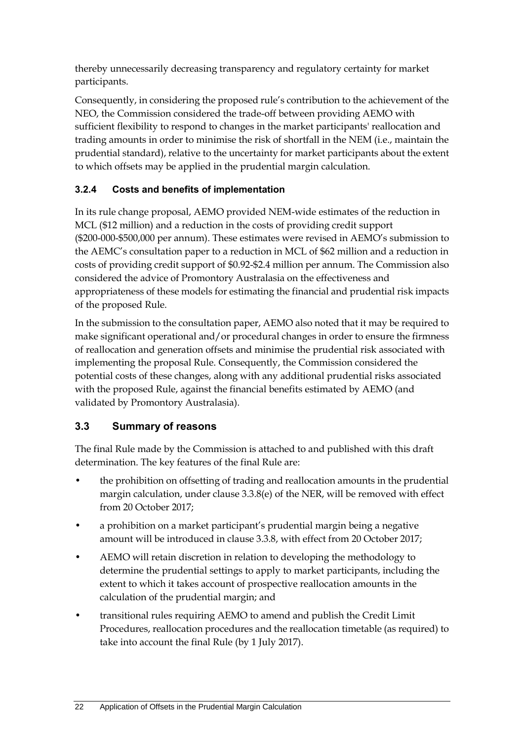thereby unnecessarily decreasing transparency and regulatory certainty for market participants.

Consequently, in considering the proposed rule's contribution to the achievement of the NEO, the Commission considered the trade-off between providing AEMO with sufficient flexibility to respond to changes in the market participants' reallocation and trading amounts in order to minimise the risk of shortfall in the NEM (i.e., maintain the prudential standard), relative to the uncertainty for market participants about the extent to which offsets may be applied in the prudential margin calculation.

### **3.2.4 Costs and benefits of implementation**

In its rule change proposal, AEMO provided NEM-wide estimates of the reduction in MCL (\$12 million) and a reduction in the costs of providing credit support (\$200-000-\$500,000 per annum). These estimates were revised in AEMO's submission to the AEMC's consultation paper to a reduction in MCL of \$62 million and a reduction in costs of providing credit support of \$0.92-\$2.4 million per annum. The Commission also considered the advice of Promontory Australasia on the effectiveness and appropriateness of these models for estimating the financial and prudential risk impacts of the proposed Rule.

In the submission to the consultation paper, AEMO also noted that it may be required to make significant operational and/or procedural changes in order to ensure the firmness of reallocation and generation offsets and minimise the prudential risk associated with implementing the proposal Rule. Consequently, the Commission considered the potential costs of these changes, along with any additional prudential risks associated with the proposed Rule, against the financial benefits estimated by AEMO (and validated by Promontory Australasia).

### <span id="page-29-0"></span>**3.3 Summary of reasons**

The final Rule made by the Commission is attached to and published with this draft determination. The key features of the final Rule are:

- the prohibition on offsetting of trading and reallocation amounts in the prudential margin calculation, under clause 3.3.8(e) of the NER, will be removed with effect from 20 October 2017;
- a prohibition on a market participant's prudential margin being a negative amount will be introduced in clause 3.3.8, with effect from 20 October 2017;
- AEMO will retain discretion in relation to developing the methodology to determine the prudential settings to apply to market participants, including the extent to which it takes account of prospective reallocation amounts in the calculation of the prudential margin; and
- transitional rules requiring AEMO to amend and publish the Credit Limit Procedures, reallocation procedures and the reallocation timetable (as required) to take into account the final Rule (by 1 July 2017).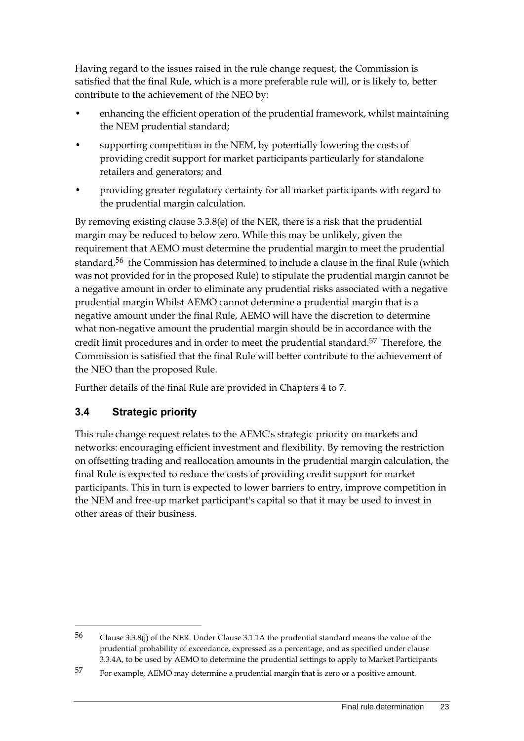Having regard to the issues raised in the rule change request, the Commission is satisfied that the final Rule, which is a more preferable rule will, or is likely to, better contribute to the achievement of the NEO by:

- enhancing the efficient operation of the prudential framework, whilst maintaining the NEM prudential standard;
- supporting competition in the NEM, by potentially lowering the costs of providing credit support for market participants particularly for standalone retailers and generators; and
- providing greater regulatory certainty for all market participants with regard to the prudential margin calculation.

By removing existing clause 3.3.8(e) of the NER, there is a risk that the prudential margin may be reduced to below zero. While this may be unlikely, given the requirement that AEMO must determine the prudential margin to meet the prudential standard, 56 the Commission has determined to include a clause in the final Rule (which was not provided for in the proposed Rule) to stipulate the prudential margin cannot be a negative amount in order to eliminate any prudential risks associated with a negative prudential margin Whilst AEMO cannot determine a prudential margin that is a negative amount under the final Rule, AEMO will have the discretion to determine what non-negative amount the prudential margin should be in accordance with the credit limit procedures and in order to meet the prudential standard. 57 Therefore, the Commission is satisfied that the final Rule will better contribute to the achievement of the NEO than the proposed Rule.

Further details of the final Rule are provided in Chapters 4 to 7.

### <span id="page-30-0"></span>**3.4 Strategic priority**

<u>.</u>

This rule change request relates to the AEMC's strategic priority on markets and networks: encouraging efficient investment and flexibility. By removing the restriction on offsetting trading and reallocation amounts in the prudential margin calculation, the final Rule is expected to reduce the costs of providing credit support for market participants. This in turn is expected to lower barriers to entry, improve competition in the NEM and free-up market participant's capital so that it may be used to invest in other areas of their business.

<sup>56</sup> Clause 3.3.8(j) of the NER. Under Clause 3.1.1A the prudential standard means the value of the prudential probability of exceedance, expressed as a percentage, and as specified under clause 3.3.4A, to be used by AEMO to determine the prudential settings to apply to Market Participants

<sup>57</sup> For example, AEMO may determine a prudential margin that is zero or a positive amount.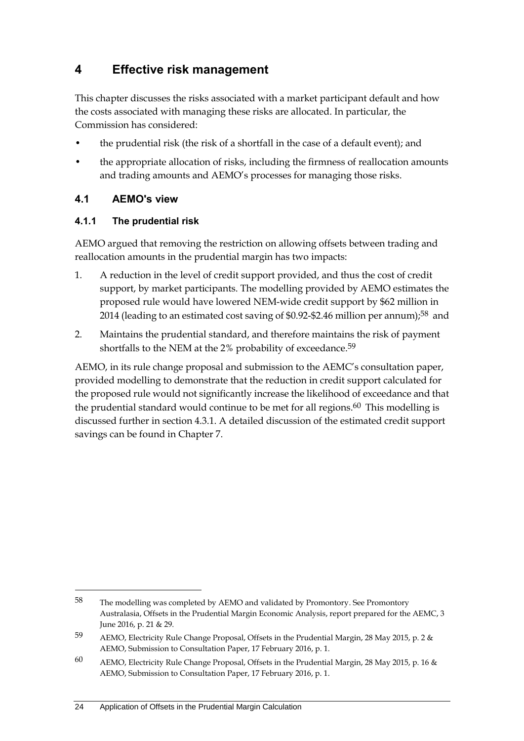## <span id="page-31-0"></span>**4 Effective risk management**

This chapter discusses the risks associated with a market participant default and how the costs associated with managing these risks are allocated. In particular, the Commission has considered:

- the prudential risk (the risk of a shortfall in the case of a default event); and
- the appropriate allocation of risks, including the firmness of reallocation amounts and trading amounts and AEMO's processes for managing those risks.

### <span id="page-31-1"></span>**4.1 AEMO's view**

<u>.</u>

### **4.1.1 The prudential risk**

AEMO argued that removing the restriction on allowing offsets between trading and reallocation amounts in the prudential margin has two impacts:

- 1. A reduction in the level of credit support provided, and thus the cost of credit support, by market participants. The modelling provided by AEMO estimates the proposed rule would have lowered NEM-wide credit support by \$62 million in 2014 (leading to an estimated cost saving of \$0.92-\$2.46 million per annum);58 and
- 2. Maintains the prudential standard, and therefore maintains the risk of payment shortfalls to the NEM at the 2% probability of exceedance.<sup>59</sup>

AEMO, in its rule change proposal and submission to the AEMC's consultation paper, provided modelling to demonstrate that the reduction in credit support calculated for the proposed rule would not significantly increase the likelihood of exceedance and that the prudential standard would continue to be met for all regions.<sup>60</sup> This modelling is discussed further in section 4.3.1. A detailed discussion of the estimated credit support savings can be found in Chapter 7.

<sup>58</sup> The modelling was completed by AEMO and validated by Promontory. See Promontory Australasia, Offsets in the Prudential Margin Economic Analysis, report prepared for the AEMC, 3 June 2016, p. 21 & 29.

<sup>59</sup> AEMO, Electricity Rule Change Proposal, Offsets in the Prudential Margin, 28 May 2015, p. 2 & AEMO, Submission to Consultation Paper, 17 February 2016, p. 1.

<sup>60</sup> AEMO, Electricity Rule Change Proposal, Offsets in the Prudential Margin, 28 May 2015, p. 16 & AEMO, Submission to Consultation Paper, 17 February 2016, p. 1.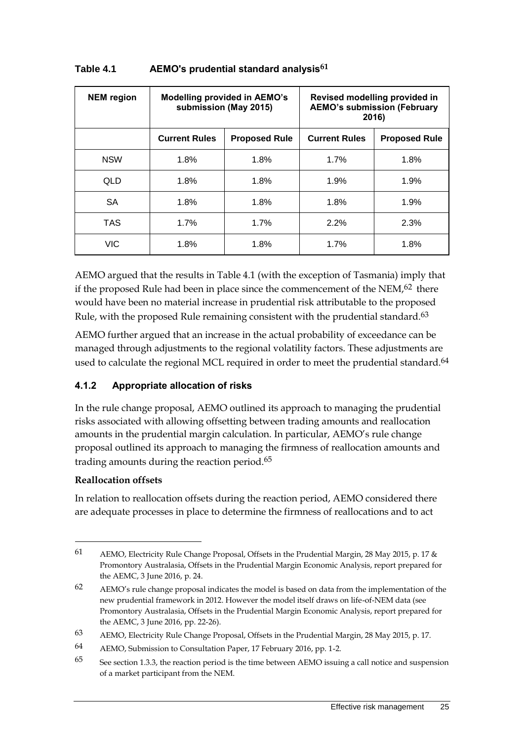| <b>NEM</b> region | <b>Modelling provided in AEMO's</b><br>submission (May 2015) |                      | Revised modelling provided in<br><b>AEMO's submission (February</b><br>2016) |                      |
|-------------------|--------------------------------------------------------------|----------------------|------------------------------------------------------------------------------|----------------------|
|                   | <b>Current Rules</b>                                         | <b>Proposed Rule</b> | <b>Current Rules</b>                                                         | <b>Proposed Rule</b> |
| <b>NSW</b>        | 1.8%                                                         | 1.8%                 | 1.7%                                                                         | 1.8%                 |
| QLD               | 1.8%                                                         | 1.8%                 | 1.9%                                                                         | 1.9%                 |
| <b>SA</b>         | 1.8%                                                         | 1.8%                 | 1.8%                                                                         | 1.9%                 |
| <b>TAS</b>        | 1.7%                                                         | 1.7%                 | 2.2%                                                                         | 2.3%                 |
| <b>VIC</b>        | 1.8%                                                         | 1.8%                 | 1.7%                                                                         | 1.8%                 |

#### **Table 4.1 AEMO's prudential standard analysis61**

AEMO argued that the results in Table 4.1 (with the exception of Tasmania) imply that if the proposed Rule had been in place since the commencement of the NEM,<sup>62</sup> there would have been no material increase in prudential risk attributable to the proposed Rule, with the proposed Rule remaining consistent with the prudential standard.<sup>63</sup>

AEMO further argued that an increase in the actual probability of exceedance can be managed through adjustments to the regional volatility factors. These adjustments are used to calculate the regional MCL required in order to meet the prudential standard.<sup>64</sup>

### **4.1.2 Appropriate allocation of risks**

In the rule change proposal, AEMO outlined its approach to managing the prudential risks associated with allowing offsetting between trading amounts and reallocation amounts in the prudential margin calculation. In particular, AEMO's rule change proposal outlined its approach to managing the firmness of reallocation amounts and trading amounts during the reaction period.65

#### **Reallocation offsets**

<u>.</u>

In relation to reallocation offsets during the reaction period, AEMO considered there are adequate processes in place to determine the firmness of reallocations and to act

<sup>61</sup> AEMO, Electricity Rule Change Proposal, Offsets in the Prudential Margin, 28 May 2015, p. 17 & Promontory Australasia, Offsets in the Prudential Margin Economic Analysis, report prepared for the AEMC, 3 June 2016, p. 24.

<sup>62</sup> AEMO's rule change proposal indicates the model is based on data from the implementation of the new prudential framework in 2012. However the model itself draws on life-of-NEM data (see Promontory Australasia, Offsets in the Prudential Margin Economic Analysis, report prepared for the AEMC, 3 June 2016, pp. 22-26).

<sup>63</sup> AEMO, Electricity Rule Change Proposal, Offsets in the Prudential Margin, 28 May 2015, p. 17.

<sup>64</sup> AEMO, Submission to Consultation Paper, 17 February 2016, pp. 1-2.

<sup>65</sup> See section 1.3.3, the reaction period is the time between AEMO issuing a call notice and suspension of a market participant from the NEM.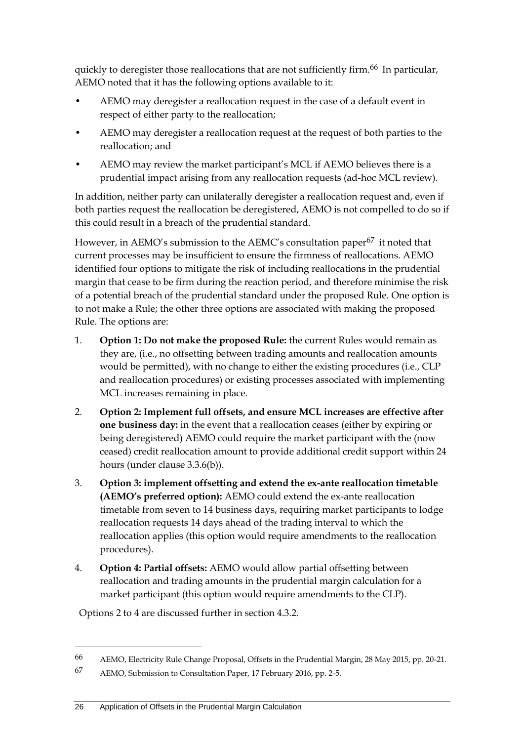quickly to deregister those reallocations that are not sufficiently firm.<sup>66</sup> In particular, AEMO noted that it has the following options available to it:

- AEMO may deregister a reallocation request in the case of a default event in respect of either party to the reallocation;
- AEMO may deregister a reallocation request at the request of both parties to the reallocation; and
- AEMO may review the market participant's MCL if AEMO believes there is a prudential impact arising from any reallocation requests (ad-hoc MCL review).

In addition, neither party can unilaterally deregister a reallocation request and, even if both parties request the reallocation be deregistered, AEMO is not compelled to do so if this could result in a breach of the prudential standard.

However, in AEMO's submission to the AEMC's consultation paper<sup>67</sup> it noted that current processes may be insufficient to ensure the firmness of reallocations. AEMO identified four options to mitigate the risk of including reallocations in the prudential margin that cease to be firm during the reaction period, and therefore minimise the risk of a potential breach of the prudential standard under the proposed Rule. One option is to not make a Rule; the other three options are associated with making the proposed Rule. The options are:

- 1. **Option 1: Do not make the proposed Rule:** the current Rules would remain as they are, (i.e., no offsetting between trading amounts and reallocation amounts would be permitted), with no change to either the existing procedures (i.e., CLP and reallocation procedures) or existing processes associated with implementing MCL increases remaining in place.
- 2. **Option 2: Implement full offsets, and ensure MCL increases are effective after one business day:** in the event that a reallocation ceases (either by expiring or being deregistered) AEMO could require the market participant with the (now ceased) credit reallocation amount to provide additional credit support within 24 hours (under clause 3.3.6(b)).
- 3. **Option 3: implement offsetting and extend the ex-ante reallocation timetable (AEMO's preferred option):** AEMO could extend the ex-ante reallocation timetable from seven to 14 business days, requiring market participants to lodge reallocation requests 14 days ahead of the trading interval to which the reallocation applies (this option would require amendments to the reallocation procedures).
- 4. **Option 4: Partial offsets:** AEMO would allow partial offsetting between reallocation and trading amounts in the prudential margin calculation for a market participant (this option would require amendments to the CLP).

Options 2 to 4 are discussed further in section 4.3.2.

-

<sup>66</sup> AEMO, Electricity Rule Change Proposal, Offsets in the Prudential Margin, 28 May 2015, pp. 20-21.

<sup>67</sup> AEMO, Submission to Consultation Paper, 17 February 2016, pp. 2-5.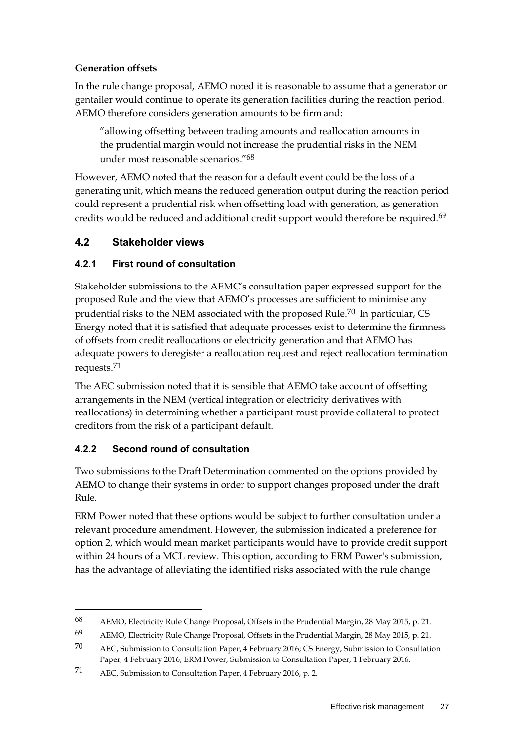### **Generation offsets**

In the rule change proposal, AEMO noted it is reasonable to assume that a generator or gentailer would continue to operate its generation facilities during the reaction period. AEMO therefore considers generation amounts to be firm and:

"allowing offsetting between trading amounts and reallocation amounts in the prudential margin would not increase the prudential risks in the NEM under most reasonable scenarios." 68

However, AEMO noted that the reason for a default event could be the loss of a generating unit, which means the reduced generation output during the reaction period could represent a prudential risk when offsetting load with generation, as generation credits would be reduced and additional credit support would therefore be required.69

### <span id="page-34-0"></span>**4.2 Stakeholder views**

### **4.2.1 First round of consultation**

Stakeholder submissions to the AEMC's consultation paper expressed support for the proposed Rule and the view that AEMO's processes are sufficient to minimise any prudential risks to the NEM associated with the proposed Rule.<sup>70</sup> In particular, CS Energy noted that it is satisfied that adequate processes exist to determine the firmness of offsets from credit reallocations or electricity generation and that AEMO has adequate powers to deregister a reallocation request and reject reallocation termination requests.71

The AEC submission noted that it is sensible that AEMO take account of offsetting arrangements in the NEM (vertical integration or electricity derivatives with reallocations) in determining whether a participant must provide collateral to protect creditors from the risk of a participant default.

### **4.2.2 Second round of consultation**

1

Two submissions to the Draft Determination commented on the options provided by AEMO to change their systems in order to support changes proposed under the draft Rule.

ERM Power noted that these options would be subject to further consultation under a relevant procedure amendment. However, the submission indicated a preference for option 2, which would mean market participants would have to provide credit support within 24 hours of a MCL review. This option, according to ERM Power's submission, has the advantage of alleviating the identified risks associated with the rule change

<sup>68</sup> AEMO, Electricity Rule Change Proposal, Offsets in the Prudential Margin, 28 May 2015, p. 21.

<sup>69</sup> AEMO, Electricity Rule Change Proposal, Offsets in the Prudential Margin, 28 May 2015, p. 21.

<sup>70</sup> AEC, Submission to Consultation Paper, 4 February 2016; CS Energy, Submission to Consultation Paper, 4 February 2016; ERM Power, Submission to Consultation Paper, 1 February 2016.

<sup>71</sup> AEC, Submission to Consultation Paper, 4 February 2016, p. 2.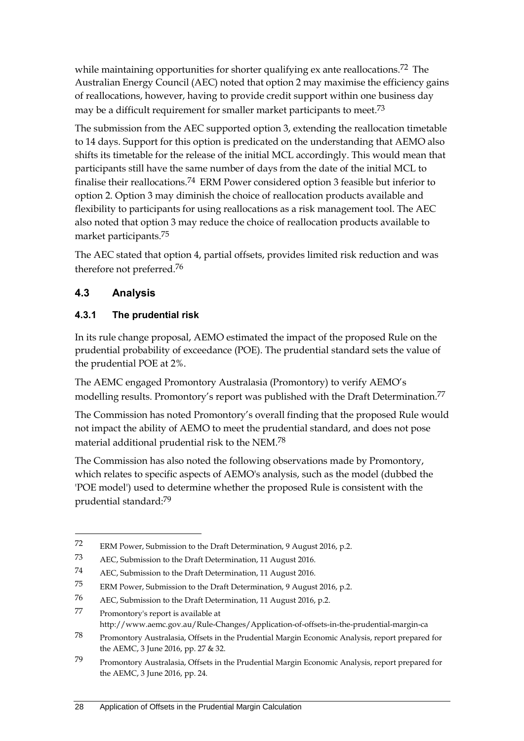while maintaining opportunities for shorter qualifying  $ex$  ante reallocations.<sup>72</sup> The Australian Energy Council (AEC) noted that option 2 may maximise the efficiency gains of reallocations, however, having to provide credit support within one business day may be a difficult requirement for smaller market participants to meet.<sup>73</sup>

The submission from the AEC supported option 3, extending the reallocation timetable to 14 days. Support for this option is predicated on the understanding that AEMO also shifts its timetable for the release of the initial MCL accordingly. This would mean that participants still have the same number of days from the date of the initial MCL to finalise their reallocations.74 ERM Power considered option 3 feasible but inferior to option 2. Option 3 may diminish the choice of reallocation products available and flexibility to participants for using reallocations as a risk management tool. The AEC also noted that option 3 may reduce the choice of reallocation products available to market participants.75

The AEC stated that option 4, partial offsets, provides limited risk reduction and was therefore not preferred.76

### <span id="page-35-0"></span>**4.3 Analysis**

<u>.</u>

### **4.3.1 The prudential risk**

In its rule change proposal, AEMO estimated the impact of the proposed Rule on the prudential probability of exceedance (POE). The prudential standard sets the value of the prudential POE at 2%.

The AEMC engaged Promontory Australasia (Promontory) to verify AEMO's modelling results. Promontory's report was published with the Draft Determination.77

The Commission has noted Promontory's overall finding that the proposed Rule would not impact the ability of AEMO to meet the prudential standard, and does not pose material additional prudential risk to the NEM.78

The Commission has also noted the following observations made by Promontory, which relates to specific aspects of AEMO's analysis, such as the model (dubbed the 'POE model') used to determine whether the proposed Rule is consistent with the prudential standard: 79

<sup>72</sup> ERM Power, Submission to the Draft Determination, 9 August 2016, p.2.

<sup>73</sup> AEC, Submission to the Draft Determination, 11 August 2016.

<sup>74</sup> AEC, Submission to the Draft Determination, 11 August 2016.

<sup>75</sup> ERM Power, Submission to the Draft Determination, 9 August 2016, p.2.

<sup>76</sup> AEC, Submission to the Draft Determination, 11 August 2016, p.2.

<sup>77</sup> Promontory's report is available at http://www.aemc.gov.au/Rule-Changes/Application-of-offsets-in-the-prudential-margin-ca

<sup>78</sup> Promontory Australasia, Offsets in the Prudential Margin Economic Analysis, report prepared for the AEMC, 3 June 2016, pp. 27 & 32.

<sup>79</sup> Promontory Australasia, Offsets in the Prudential Margin Economic Analysis, report prepared for the AEMC, 3 June 2016, pp. 24.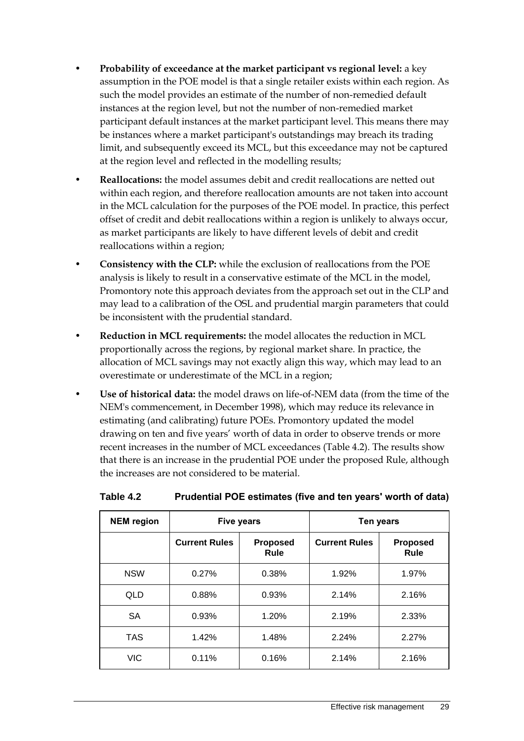- **Probability of exceedance at the market participant vs regional level:** a key assumption in the POE model is that a single retailer exists within each region. As such the model provides an estimate of the number of non-remedied default instances at the region level, but not the number of non-remedied market participant default instances at the market participant level. This means there may be instances where a market participant's outstandings may breach its trading limit, and subsequently exceed its MCL, but this exceedance may not be captured at the region level and reflected in the modelling results;
- **Reallocations:** the model assumes debit and credit reallocations are netted out within each region, and therefore reallocation amounts are not taken into account in the MCL calculation for the purposes of the POE model. In practice, this perfect offset of credit and debit reallocations within a region is unlikely to always occur, as market participants are likely to have different levels of debit and credit reallocations within a region;
- **Consistency with the CLP:** while the exclusion of reallocations from the POE analysis is likely to result in a conservative estimate of the MCL in the model, Promontory note this approach deviates from the approach set out in the CLP and may lead to a calibration of the OSL and prudential margin parameters that could be inconsistent with the prudential standard.
- **Reduction in MCL requirements:** the model allocates the reduction in MCL proportionally across the regions, by regional market share. In practice, the allocation of MCL savings may not exactly align this way, which may lead to an overestimate or underestimate of the MCL in a region;
- **Use of historical data:** the model draws on life-of-NEM data (from the time of the NEM's commencement, in December 1998), which may reduce its relevance in estimating (and calibrating) future POEs. Promontory updated the model drawing on ten and five years' worth of data in order to observe trends or more recent increases in the number of MCL exceedances (Table 4.2). The results show that there is an increase in the prudential POE under the proposed Rule, although the increases are not considered to be material.

| <b>NEM</b> region | <b>Five years</b>    |                                | Ten years            |                         |
|-------------------|----------------------|--------------------------------|----------------------|-------------------------|
|                   | <b>Current Rules</b> | <b>Proposed</b><br><b>Rule</b> | <b>Current Rules</b> | <b>Proposed</b><br>Rule |
| <b>NSW</b>        | 0.27%                | 0.38%                          | 1.92%                | 1.97%                   |
| QLD               | 0.88%                | 0.93%                          | 2.14%                | 2.16%                   |
| <b>SA</b>         | 0.93%                | 1.20%                          | 2.19%                | 2.33%                   |
| <b>TAS</b>        | 1.42%                | 1.48%                          | 2.24%                | 2.27%                   |
| VIC               | 0.11%                | 0.16%                          | 2.14%                | 2.16%                   |

#### **Table 4.2 Prudential POE estimates (five and ten years' worth of data)**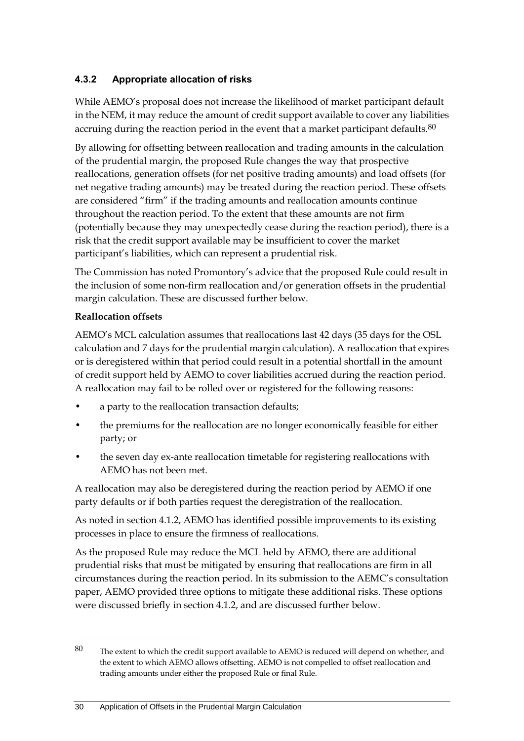#### **4.3.2 Appropriate allocation of risks**

While AEMO's proposal does not increase the likelihood of market participant default in the NEM, it may reduce the amount of credit support available to cover any liabilities accruing during the reaction period in the event that a market participant defaults. $80$ 

By allowing for offsetting between reallocation and trading amounts in the calculation of the prudential margin, the proposed Rule changes the way that prospective reallocations, generation offsets (for net positive trading amounts) and load offsets (for net negative trading amounts) may be treated during the reaction period. These offsets are considered "firm" if the trading amounts and reallocation amounts continue throughout the reaction period. To the extent that these amounts are not firm (potentially because they may unexpectedly cease during the reaction period), there is a risk that the credit support available may be insufficient to cover the market participant's liabilities, which can represent a prudential risk.

The Commission has noted Promontory's advice that the proposed Rule could result in the inclusion of some non-firm reallocation and/or generation offsets in the prudential margin calculation. These are discussed further below.

#### **Reallocation offsets**

<u>.</u>

AEMO's MCL calculation assumes that reallocations last 42 days (35 days for the OSL calculation and 7 days for the prudential margin calculation). A reallocation that expires or is deregistered within that period could result in a potential shortfall in the amount of credit support held by AEMO to cover liabilities accrued during the reaction period. A reallocation may fail to be rolled over or registered for the following reasons:

- a party to the reallocation transaction defaults;
- the premiums for the reallocation are no longer economically feasible for either party; or
- the seven day ex-ante reallocation timetable for registering reallocations with AEMO has not been met.

A reallocation may also be deregistered during the reaction period by AEMO if one party defaults or if both parties request the deregistration of the reallocation.

As noted in section 4.1.2, AEMO has identified possible improvements to its existing processes in place to ensure the firmness of reallocations.

As the proposed Rule may reduce the MCL held by AEMO, there are additional prudential risks that must be mitigated by ensuring that reallocations are firm in all circumstances during the reaction period. In its submission to the AEMC's consultation paper, AEMO provided three options to mitigate these additional risks. These options were discussed briefly in section 4.1.2, and are discussed further below.

<sup>80</sup> The extent to which the credit support available to AEMO is reduced will depend on whether, and the extent to which AEMO allows offsetting. AEMO is not compelled to offset reallocation and trading amounts under either the proposed Rule or final Rule.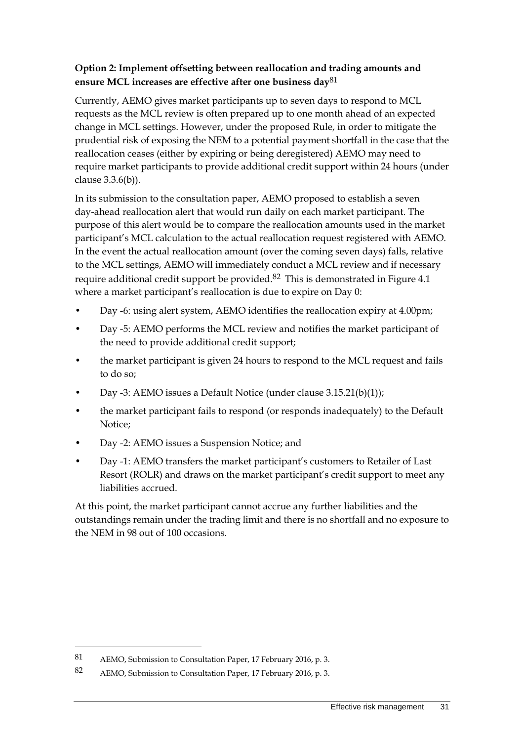#### **Option 2: Implement offsetting between reallocation and trading amounts and ensure MCL increases are effective after one business day**81

Currently, AEMO gives market participants up to seven days to respond to MCL requests as the MCL review is often prepared up to one month ahead of an expected change in MCL settings. However, under the proposed Rule, in order to mitigate the prudential risk of exposing the NEM to a potential payment shortfall in the case that the reallocation ceases (either by expiring or being deregistered) AEMO may need to require market participants to provide additional credit support within 24 hours (under clause 3.3.6(b)).

In its submission to the consultation paper, AEMO proposed to establish a seven day-ahead reallocation alert that would run daily on each market participant. The purpose of this alert would be to compare the reallocation amounts used in the market participant's MCL calculation to the actual reallocation request registered with AEMO. In the event the actual reallocation amount (over the coming seven days) falls, relative to the MCL settings, AEMO will immediately conduct a MCL review and if necessary require additional credit support be provided.82 This is demonstrated in Figure 4.1 where a market participant's reallocation is due to expire on Day 0:

- Day -6: using alert system, AEMO identifies the reallocation expiry at 4.00pm;
- Day -5: AEMO performs the MCL review and notifies the market participant of the need to provide additional credit support;
- the market participant is given 24 hours to respond to the MCL request and fails to do so;
- Day -3: AEMO issues a Default Notice (under clause 3.15.21(b)(1));
- the market participant fails to respond (or responds inadequately) to the Default Notice;
- Day -2: AEMO issues a Suspension Notice; and
- Day -1: AEMO transfers the market participant's customers to Retailer of Last Resort (ROLR) and draws on the market participant's credit support to meet any liabilities accrued.

At this point, the market participant cannot accrue any further liabilities and the outstandings remain under the trading limit and there is no shortfall and no exposure to the NEM in 98 out of 100 occasions.

-

<sup>81</sup> AEMO, Submission to Consultation Paper, 17 February 2016, p. 3.

<sup>82</sup> AEMO, Submission to Consultation Paper, 17 February 2016, p. 3.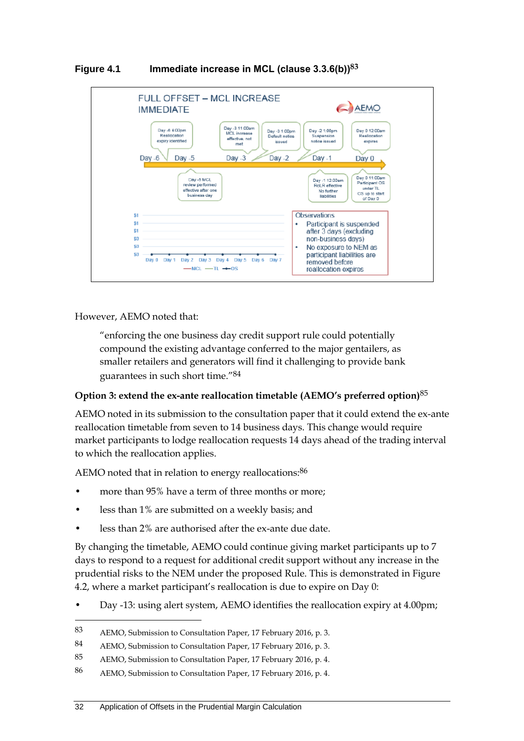

#### **Figure 4.1 Immediate increase in MCL (clause 3.3.6(b))83**

However, AEMO noted that:

<u>.</u>

"enforcing the one business day credit support rule could potentially compound the existing advantage conferred to the major gentailers, as smaller retailers and generators will find it challenging to provide bank guarantees in such short time." 84

#### **Option 3: extend the ex-ante reallocation timetable (AEMO's preferred option)**85

AEMO noted in its submission to the consultation paper that it could extend the ex-ante reallocation timetable from seven to 14 business days. This change would require market participants to lodge reallocation requests 14 days ahead of the trading interval to which the reallocation applies.

AEMO noted that in relation to energy reallocations:<sup>86</sup>

- more than 95% have a term of three months or more;
- less than 1% are submitted on a weekly basis; and
- less than 2% are authorised after the ex-ante due date.

By changing the timetable, AEMO could continue giving market participants up to 7 days to respond to a request for additional credit support without any increase in the prudential risks to the NEM under the proposed Rule. This is demonstrated in Figure 4.2, where a market participant's reallocation is due to expire on Day 0:

• Day -13: using alert system, AEMO identifies the reallocation expiry at 4.00pm;

<sup>83</sup> AEMO, Submission to Consultation Paper, 17 February 2016, p. 3.

<sup>84</sup> AEMO, Submission to Consultation Paper, 17 February 2016, p. 3.

<sup>85</sup> AEMO, Submission to Consultation Paper, 17 February 2016, p. 4.

<sup>86</sup> AEMO, Submission to Consultation Paper, 17 February 2016, p. 4.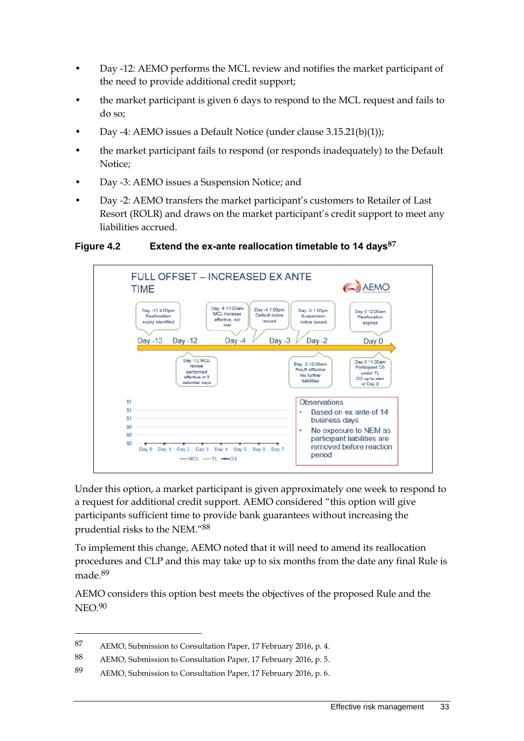- Day -12: AEMO performs the MCL review and notifies the market participant of the need to provide additional credit support;
- the market participant is given 6 days to respond to the MCL request and fails to do so;
- Day -4: AEMO issues a Default Notice (under clause 3.15.21(b)(1));
- the market participant fails to respond (or responds inadequately) to the Default Notice;
- Day -3: AEMO issues a Suspension Notice; and
- Day -2: AEMO transfers the market participant's customers to Retailer of Last Resort (ROLR) and draws on the market participant's credit support to meet any liabilities accrued.

#### **Figure 4.2 Extend the ex-ante reallocation timetable to 14 days87**



Under this option, a market participant is given approximately one week to respond to a request for additional credit support. AEMO considered "this option will give participants sufficient time to provide bank guarantees without increasing the prudential risks to the NEM."88

To implement this change, AEMO noted that it will need to amend its reallocation procedures and CLP and this may take up to six months from the date any final Rule is made. 89

AEMO considers this option best meets the objectives of the proposed Rule and the NEO.90

<sup>87</sup> AEMO, Submission to Consultation Paper, 17 February 2016, p. 4.

<sup>88</sup> AEMO, Submission to Consultation Paper, 17 February 2016, p. 5.

<sup>89</sup> AEMO, Submission to Consultation Paper, 17 February 2016, p. 6.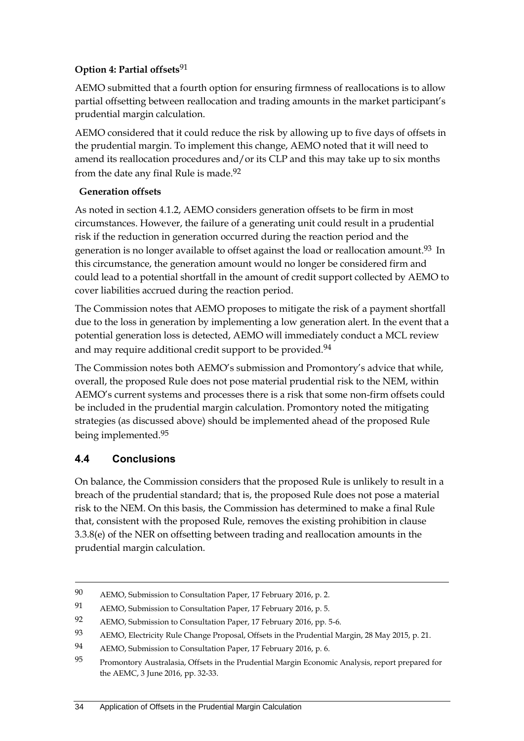#### **Option 4: Partial offsets**91

AEMO submitted that a fourth option for ensuring firmness of reallocations is to allow partial offsetting between reallocation and trading amounts in the market participant's prudential margin calculation.

AEMO considered that it could reduce the risk by allowing up to five days of offsets in the prudential margin. To implement this change, AEMO noted that it will need to amend its reallocation procedures and/or its CLP and this may take up to six months from the date any final Rule is made.<sup>92</sup>

#### **Generation offsets**

As noted in section 4.1.2, AEMO considers generation offsets to be firm in most circumstances. However, the failure of a generating unit could result in a prudential risk if the reduction in generation occurred during the reaction period and the generation is no longer available to offset against the load or reallocation amount. 93 In this circumstance, the generation amount would no longer be considered firm and could lead to a potential shortfall in the amount of credit support collected by AEMO to cover liabilities accrued during the reaction period.

The Commission notes that AEMO proposes to mitigate the risk of a payment shortfall due to the loss in generation by implementing a low generation alert. In the event that a potential generation loss is detected, AEMO will immediately conduct a MCL review and may require additional credit support to be provided.<sup>94</sup>

The Commission notes both AEMO's submission and Promontory's advice that while, overall, the proposed Rule does not pose material prudential risk to the NEM, within AEMO's current systems and processes there is a risk that some non-firm offsets could be included in the prudential margin calculation. Promontory noted the mitigating strategies (as discussed above) should be implemented ahead of the proposed Rule being implemented.95

## **4.4 Conclusions**

<u>.</u>

On balance, the Commission considers that the proposed Rule is unlikely to result in a breach of the prudential standard; that is, the proposed Rule does not pose a material risk to the NEM. On this basis, the Commission has determined to make a final Rule that, consistent with the proposed Rule, removes the existing prohibition in clause 3.3.8(e) of the NER on offsetting between trading and reallocation amounts in the prudential margin calculation.

<sup>90</sup> AEMO, Submission to Consultation Paper, 17 February 2016, p. 2.

<sup>91</sup> AEMO, Submission to Consultation Paper, 17 February 2016, p. 5.

<sup>92</sup> AEMO, Submission to Consultation Paper, 17 February 2016, pp. 5-6.

<sup>93</sup> AEMO, Electricity Rule Change Proposal, Offsets in the Prudential Margin, 28 May 2015, p. 21.

<sup>94</sup> AEMO, Submission to Consultation Paper, 17 February 2016, p. 6.

<sup>95</sup> Promontory Australasia, Offsets in the Prudential Margin Economic Analysis, report prepared for the AEMC, 3 June 2016, pp. 32-33.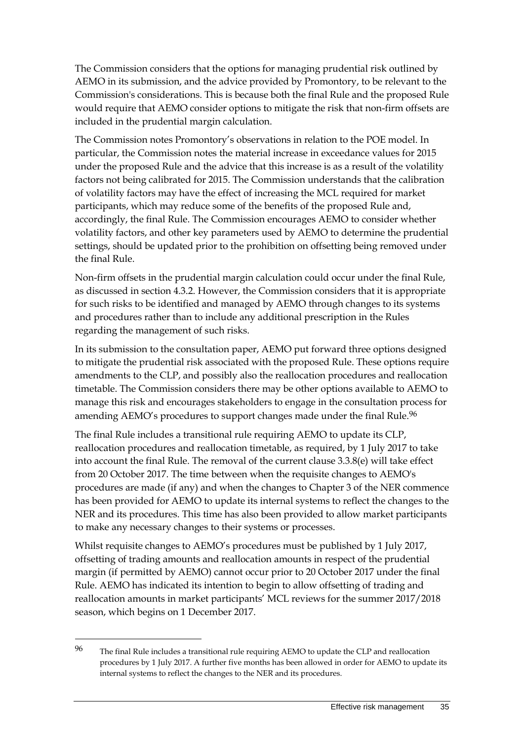The Commission considers that the options for managing prudential risk outlined by AEMO in its submission, and the advice provided by Promontory, to be relevant to the Commission's considerations. This is because both the final Rule and the proposed Rule would require that AEMO consider options to mitigate the risk that non-firm offsets are included in the prudential margin calculation.

The Commission notes Promontory's observations in relation to the POE model. In particular, the Commission notes the material increase in exceedance values for 2015 under the proposed Rule and the advice that this increase is as a result of the volatility factors not being calibrated for 2015. The Commission understands that the calibration of volatility factors may have the effect of increasing the MCL required for market participants, which may reduce some of the benefits of the proposed Rule and, accordingly, the final Rule. The Commission encourages AEMO to consider whether volatility factors, and other key parameters used by AEMO to determine the prudential settings, should be updated prior to the prohibition on offsetting being removed under the final Rule.

Non-firm offsets in the prudential margin calculation could occur under the final Rule, as discussed in section 4.3.2. However, the Commission considers that it is appropriate for such risks to be identified and managed by AEMO through changes to its systems and procedures rather than to include any additional prescription in the Rules regarding the management of such risks.

In its submission to the consultation paper, AEMO put forward three options designed to mitigate the prudential risk associated with the proposed Rule. These options require amendments to the CLP, and possibly also the reallocation procedures and reallocation timetable. The Commission considers there may be other options available to AEMO to manage this risk and encourages stakeholders to engage in the consultation process for amending AEMO's procedures to support changes made under the final Rule.<sup>96</sup>

The final Rule includes a transitional rule requiring AEMO to update its CLP, reallocation procedures and reallocation timetable, as required, by 1 July 2017 to take into account the final Rule. The removal of the current clause 3.3.8(e) will take effect from 20 October 2017. The time between when the requisite changes to AEMO's procedures are made (if any) and when the changes to Chapter 3 of the NER commence has been provided for AEMO to update its internal systems to reflect the changes to the NER and its procedures. This time has also been provided to allow market participants to make any necessary changes to their systems or processes.

Whilst requisite changes to AEMO's procedures must be published by 1 July 2017, offsetting of trading amounts and reallocation amounts in respect of the prudential margin (if permitted by AEMO) cannot occur prior to 20 October 2017 under the final Rule. AEMO has indicated its intention to begin to allow offsetting of trading and reallocation amounts in market participants' MCL reviews for the summer 2017/2018 season, which begins on 1 December 2017.

<sup>96</sup> The final Rule includes a transitional rule requiring AEMO to update the CLP and reallocation procedures by 1 July 2017. A further five months has been allowed in order for AEMO to update its internal systems to reflect the changes to the NER and its procedures.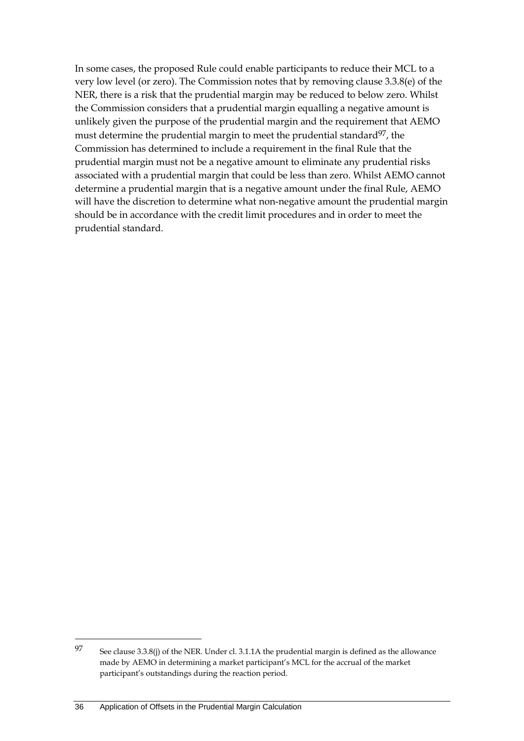In some cases, the proposed Rule could enable participants to reduce their MCL to a very low level (or zero). The Commission notes that by removing clause 3.3.8(e) of the NER, there is a risk that the prudential margin may be reduced to below zero. Whilst the Commission considers that a prudential margin equalling a negative amount is unlikely given the purpose of the prudential margin and the requirement that AEMO must determine the prudential margin to meet the prudential standard<sup>97</sup>, the Commission has determined to include a requirement in the final Rule that the prudential margin must not be a negative amount to eliminate any prudential risks associated with a prudential margin that could be less than zero. Whilst AEMO cannot determine a prudential margin that is a negative amount under the final Rule, AEMO will have the discretion to determine what non-negative amount the prudential margin should be in accordance with the credit limit procedures and in order to meet the prudential standard.

<sup>97</sup> See clause 3.3.8(j) of the NER. Under cl. 3.1.1A the prudential margin is defined as the allowance made by AEMO in determining a market participant's MCL for the accrual of the market participant's outstandings during the reaction period.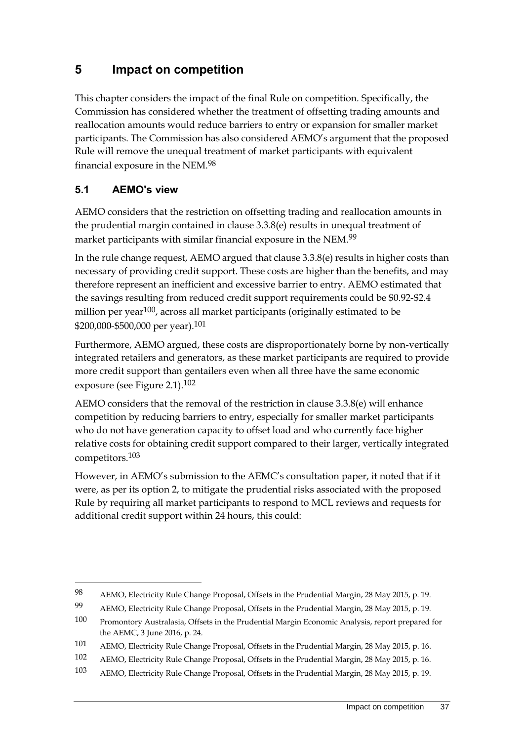## **5 Impact on competition**

This chapter considers the impact of the final Rule on competition. Specifically, the Commission has considered whether the treatment of offsetting trading amounts and reallocation amounts would reduce barriers to entry or expansion for smaller market participants. The Commission has also considered AEMO's argument that the proposed Rule will remove the unequal treatment of market participants with equivalent financial exposure in the NEM.98

## **5.1 AEMO's view**

<u>.</u>

AEMO considers that the restriction on offsetting trading and reallocation amounts in the prudential margin contained in clause 3.3.8(e) results in unequal treatment of market participants with similar financial exposure in the NEM.<sup>99</sup>

In the rule change request, AEMO argued that clause 3.3.8(e) results in higher costs than necessary of providing credit support. These costs are higher than the benefits, and may therefore represent an inefficient and excessive barrier to entry. AEMO estimated that the savings resulting from reduced credit support requirements could be \$0.92-\$2.4 million per year<sup>100</sup>, across all market participants (originally estimated to be \$200,000-\$500,000 per year).101

Furthermore, AEMO argued, these costs are disproportionately borne by non-vertically integrated retailers and generators, as these market participants are required to provide more credit support than gentailers even when all three have the same economic exposure (see Figure 2.1).102

AEMO considers that the removal of the restriction in clause 3.3.8(e) will enhance competition by reducing barriers to entry, especially for smaller market participants who do not have generation capacity to offset load and who currently face higher relative costs for obtaining credit support compared to their larger, vertically integrated competitors.103

However, in AEMO's submission to the AEMC's consultation paper, it noted that if it were, as per its option 2, to mitigate the prudential risks associated with the proposed Rule by requiring all market participants to respond to MCL reviews and requests for additional credit support within 24 hours, this could:

<sup>98</sup> AEMO, Electricity Rule Change Proposal, Offsets in the Prudential Margin, 28 May 2015, p. 19.

<sup>99</sup> AEMO, Electricity Rule Change Proposal, Offsets in the Prudential Margin, 28 May 2015, p. 19.

<sup>100</sup> Promontory Australasia, Offsets in the Prudential Margin Economic Analysis, report prepared for the AEMC, 3 June 2016, p. 24.

<sup>101</sup> AEMO, Electricity Rule Change Proposal, Offsets in the Prudential Margin, 28 May 2015, p. 16.

<sup>102</sup> AEMO, Electricity Rule Change Proposal, Offsets in the Prudential Margin, 28 May 2015, p. 16.

<sup>103</sup> AEMO, Electricity Rule Change Proposal, Offsets in the Prudential Margin, 28 May 2015, p. 19.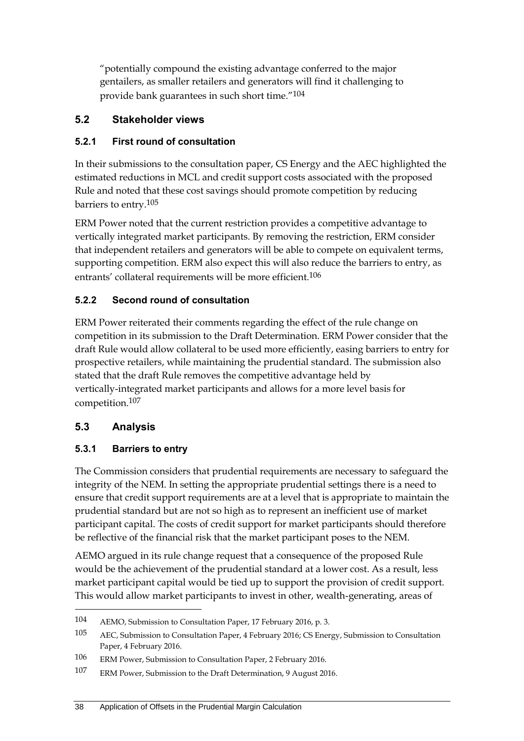"potentially compound the existing advantage conferred to the major gentailers, as smaller retailers and generators will find it challenging to provide bank guarantees in such short time." 104

## **5.2 Stakeholder views**

#### **5.2.1 First round of consultation**

In their submissions to the consultation paper, CS Energy and the AEC highlighted the estimated reductions in MCL and credit support costs associated with the proposed Rule and noted that these cost savings should promote competition by reducing barriers to entry.105

ERM Power noted that the current restriction provides a competitive advantage to vertically integrated market participants. By removing the restriction, ERM consider that independent retailers and generators will be able to compete on equivalent terms, supporting competition. ERM also expect this will also reduce the barriers to entry, as entrants' collateral requirements will be more efficient.<sup>106</sup>

#### **5.2.2 Second round of consultation**

ERM Power reiterated their comments regarding the effect of the rule change on competition in its submission to the Draft Determination. ERM Power consider that the draft Rule would allow collateral to be used more efficiently, easing barriers to entry for prospective retailers, while maintaining the prudential standard. The submission also stated that the draft Rule removes the competitive advantage held by vertically-integrated market participants and allows for a more level basis for competition.107

## **5.3 Analysis**

1

#### **5.3.1 Barriers to entry**

The Commission considers that prudential requirements are necessary to safeguard the integrity of the NEM. In setting the appropriate prudential settings there is a need to ensure that credit support requirements are at a level that is appropriate to maintain the prudential standard but are not so high as to represent an inefficient use of market participant capital. The costs of credit support for market participants should therefore be reflective of the financial risk that the market participant poses to the NEM.

AEMO argued in its rule change request that a consequence of the proposed Rule would be the achievement of the prudential standard at a lower cost. As a result, less market participant capital would be tied up to support the provision of credit support. This would allow market participants to invest in other, wealth-generating, areas of

<sup>104</sup> AEMO, Submission to Consultation Paper, 17 February 2016, p. 3.

<sup>105</sup> AEC, Submission to Consultation Paper, 4 February 2016; CS Energy, Submission to Consultation Paper, 4 February 2016.

<sup>106</sup> ERM Power, Submission to Consultation Paper, 2 February 2016.

<sup>107</sup> ERM Power, Submission to the Draft Determination, 9 August 2016.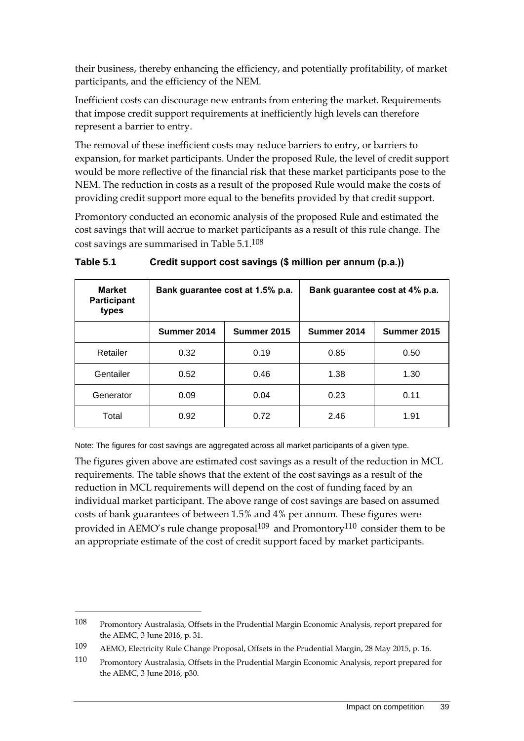their business, thereby enhancing the efficiency, and potentially profitability, of market participants, and the efficiency of the NEM.

Inefficient costs can discourage new entrants from entering the market. Requirements that impose credit support requirements at inefficiently high levels can therefore represent a barrier to entry.

The removal of these inefficient costs may reduce barriers to entry, or barriers to expansion, for market participants. Under the proposed Rule, the level of credit support would be more reflective of the financial risk that these market participants pose to the NEM. The reduction in costs as a result of the proposed Rule would make the costs of providing credit support more equal to the benefits provided by that credit support.

Promontory conducted an economic analysis of the proposed Rule and estimated the cost savings that will accrue to market participants as a result of this rule change. The cost savings are summarised in Table 5.1.108

| <b>Market</b><br><b>Participant</b><br>types | Bank guarantee cost at 1.5% p.a. |             | Bank guarantee cost at 4% p.a. |             |
|----------------------------------------------|----------------------------------|-------------|--------------------------------|-------------|
|                                              | Summer 2014                      | Summer 2015 | Summer 2014                    | Summer 2015 |
| Retailer                                     | 0.32                             | 0.19        | 0.85                           | 0.50        |
| Gentailer                                    | 0.52                             | 0.46        | 1.38                           | 1.30        |
| Generator                                    | 0.09                             | 0.04        | 0.23                           | 0.11        |
| Total                                        | 0.92                             | 0.72        | 2.46                           | 1.91        |

**Table 5.1 Credit support cost savings (\$ million per annum (p.a.))**

Note: The figures for cost savings are aggregated across all market participants of a given type.

The figures given above are estimated cost savings as a result of the reduction in MCL requirements. The table shows that the extent of the cost savings as a result of the reduction in MCL requirements will depend on the cost of funding faced by an individual market participant. The above range of cost savings are based on assumed costs of bank guarantees of between 1.5% and 4% per annum. These figures were provided in AEMO's rule change proposal<sup>109</sup> and Promontory<sup>110</sup> consider them to be an appropriate estimate of the cost of credit support faced by market participants.

1

<sup>108</sup> Promontory Australasia, Offsets in the Prudential Margin Economic Analysis, report prepared for the AEMC, 3 June 2016, p. 31.

<sup>109</sup> AEMO, Electricity Rule Change Proposal, Offsets in the Prudential Margin, 28 May 2015, p. 16.

<sup>110</sup> Promontory Australasia, Offsets in the Prudential Margin Economic Analysis, report prepared for the AEMC, 3 June 2016, p30.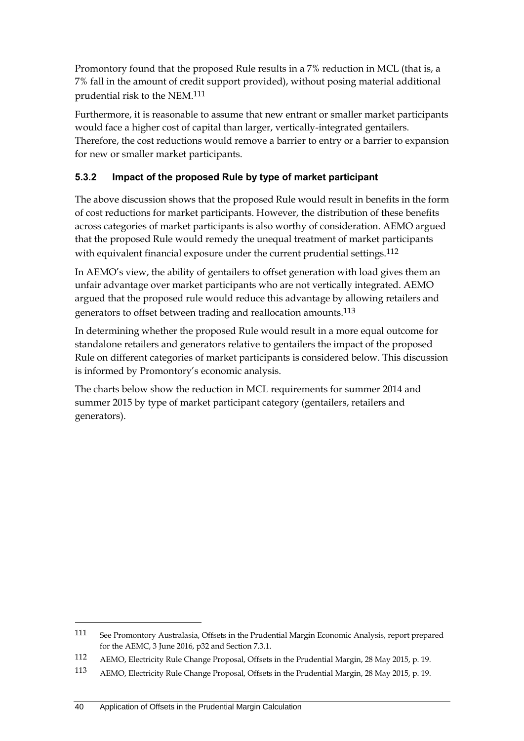Promontory found that the proposed Rule results in a 7% reduction in MCL (that is, a 7% fall in the amount of credit support provided), without posing material additional prudential risk to the NEM.111

Furthermore, it is reasonable to assume that new entrant or smaller market participants would face a higher cost of capital than larger, vertically-integrated gentailers. Therefore, the cost reductions would remove a barrier to entry or a barrier to expansion for new or smaller market participants.

## **5.3.2 Impact of the proposed Rule by type of market participant**

The above discussion shows that the proposed Rule would result in benefits in the form of cost reductions for market participants. However, the distribution of these benefits across categories of market participants is also worthy of consideration. AEMO argued that the proposed Rule would remedy the unequal treatment of market participants with equivalent financial exposure under the current prudential settings.<sup>112</sup>

In AEMO's view, the ability of gentailers to offset generation with load gives them an unfair advantage over market participants who are not vertically integrated. AEMO argued that the proposed rule would reduce this advantage by allowing retailers and generators to offset between trading and reallocation amounts.113

In determining whether the proposed Rule would result in a more equal outcome for standalone retailers and generators relative to gentailers the impact of the proposed Rule on different categories of market participants is considered below. This discussion is informed by Promontory's economic analysis.

The charts below show the reduction in MCL requirements for summer 2014 and summer 2015 by type of market participant category (gentailers, retailers and generators).

<sup>111</sup> See Promontory Australasia, Offsets in the Prudential Margin Economic Analysis, report prepared for the AEMC, 3 June 2016, p32 and Section 7.3.1.

<sup>112</sup> AEMO, Electricity Rule Change Proposal, Offsets in the Prudential Margin, 28 May 2015, p. 19.

<sup>113</sup> AEMO, Electricity Rule Change Proposal, Offsets in the Prudential Margin, 28 May 2015, p. 19.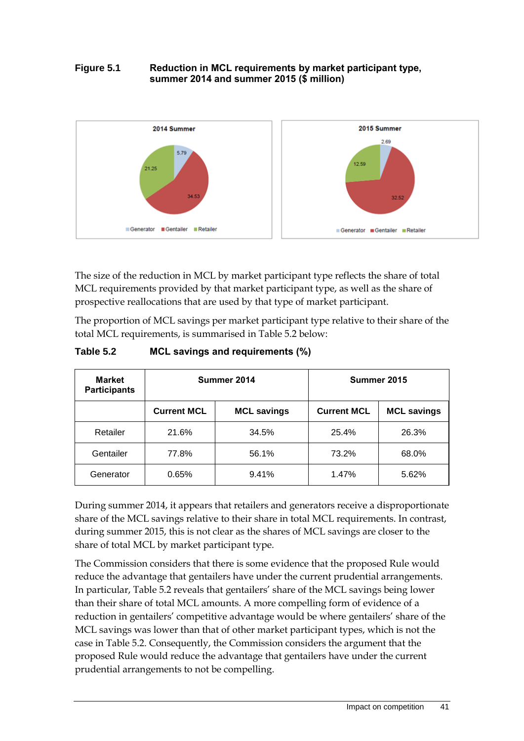#### **Figure 5.1 Reduction in MCL requirements by market participant type, summer 2014 and summer 2015 (\$ million)**



The size of the reduction in MCL by market participant type reflects the share of total MCL requirements provided by that market participant type, as well as the share of prospective reallocations that are used by that type of market participant.

The proportion of MCL savings per market participant type relative to their share of the total MCL requirements, is summarised in Table 5.2 below:

| Table 5.2 | MCL savings and requirements (%) |
|-----------|----------------------------------|
|-----------|----------------------------------|

| <b>Market</b><br><b>Participants</b> | Summer 2014        |                    | Summer 2015        |                    |
|--------------------------------------|--------------------|--------------------|--------------------|--------------------|
|                                      | <b>Current MCL</b> | <b>MCL savings</b> | <b>Current MCL</b> | <b>MCL savings</b> |
| Retailer                             | 21.6%              | 34.5%              | 25.4%              | 26.3%              |
| Gentailer                            | 77.8%              | 56.1%              | 73.2%              | 68.0%              |
| Generator                            | 0.65%              | 9.41%              | 1.47%              | 5.62%              |

During summer 2014, it appears that retailers and generators receive a disproportionate share of the MCL savings relative to their share in total MCL requirements. In contrast, during summer 2015, this is not clear as the shares of MCL savings are closer to the share of total MCL by market participant type.

The Commission considers that there is some evidence that the proposed Rule would reduce the advantage that gentailers have under the current prudential arrangements. In particular, Table 5.2 reveals that gentailers' share of the MCL savings being lower than their share of total MCL amounts. A more compelling form of evidence of a reduction in gentailers' competitive advantage would be where gentailers' share of the MCL savings was lower than that of other market participant types, which is not the case in Table 5.2. Consequently, the Commission considers the argument that the proposed Rule would reduce the advantage that gentailers have under the current prudential arrangements to not be compelling.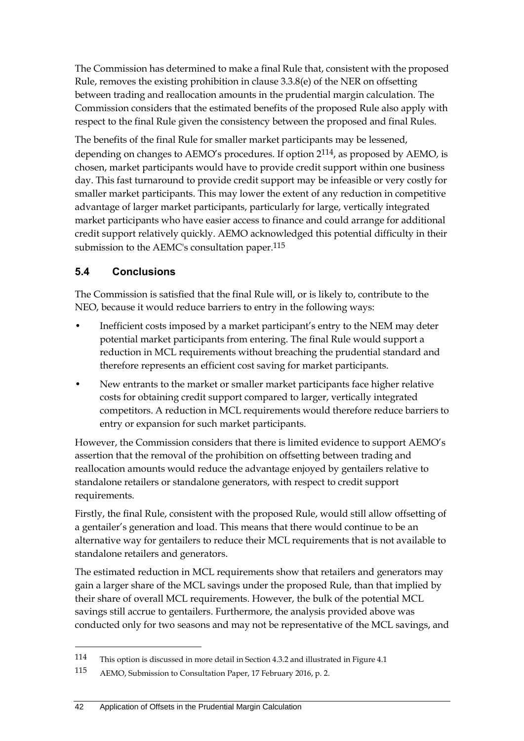The Commission has determined to make a final Rule that, consistent with the proposed Rule, removes the existing prohibition in clause 3.3.8(e) of the NER on offsetting between trading and reallocation amounts in the prudential margin calculation. The Commission considers that the estimated benefits of the proposed Rule also apply with respect to the final Rule given the consistency between the proposed and final Rules.

The benefits of the final Rule for smaller market participants may be lessened, depending on changes to AEMO's procedures. If option 2114, as proposed by AEMO, is chosen, market participants would have to provide credit support within one business day. This fast turnaround to provide credit support may be infeasible or very costly for smaller market participants. This may lower the extent of any reduction in competitive advantage of larger market participants, particularly for large, vertically integrated market participants who have easier access to finance and could arrange for additional credit support relatively quickly. AEMO acknowledged this potential difficulty in their submission to the AEMC's consultation paper.<sup>115</sup>

## **5.4 Conclusions**

-

The Commission is satisfied that the final Rule will, or is likely to, contribute to the NEO, because it would reduce barriers to entry in the following ways:

- Inefficient costs imposed by a market participant's entry to the NEM may deter potential market participants from entering. The final Rule would support a reduction in MCL requirements without breaching the prudential standard and therefore represents an efficient cost saving for market participants.
- New entrants to the market or smaller market participants face higher relative costs for obtaining credit support compared to larger, vertically integrated competitors. A reduction in MCL requirements would therefore reduce barriers to entry or expansion for such market participants.

However, the Commission considers that there is limited evidence to support AEMO's assertion that the removal of the prohibition on offsetting between trading and reallocation amounts would reduce the advantage enjoyed by gentailers relative to standalone retailers or standalone generators, with respect to credit support requirements.

Firstly, the final Rule, consistent with the proposed Rule, would still allow offsetting of a gentailer's generation and load. This means that there would continue to be an alternative way for gentailers to reduce their MCL requirements that is not available to standalone retailers and generators.

The estimated reduction in MCL requirements show that retailers and generators may gain a larger share of the MCL savings under the proposed Rule, than that implied by their share of overall MCL requirements. However, the bulk of the potential MCL savings still accrue to gentailers. Furthermore, the analysis provided above was conducted only for two seasons and may not be representative of the MCL savings, and

<sup>114</sup> This option is discussed in more detail in Section 4.3.2 and illustrated in Figure 4.1

<sup>115</sup> AEMO, Submission to Consultation Paper, 17 February 2016, p. 2.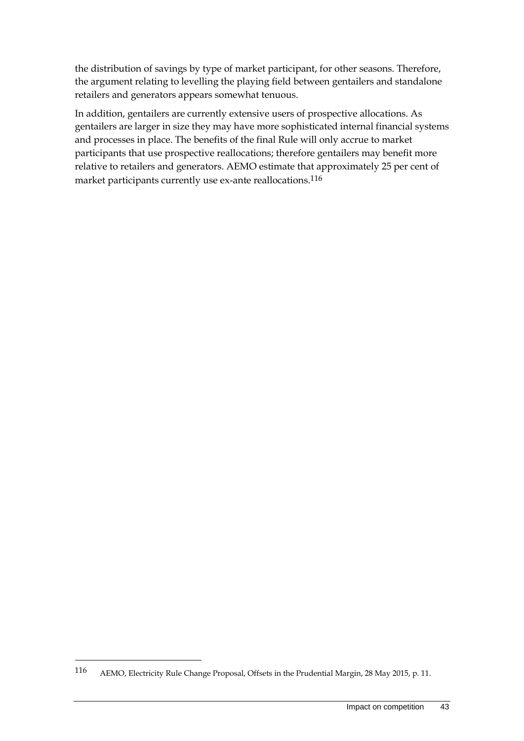the distribution of savings by type of market participant, for other seasons. Therefore, the argument relating to levelling the playing field between gentailers and standalone retailers and generators appears somewhat tenuous.

In addition, gentailers are currently extensive users of prospective allocations. As gentailers are larger in size they may have more sophisticated internal financial systems and processes in place. The benefits of the final Rule will only accrue to market participants that use prospective reallocations; therefore gentailers may benefit more relative to retailers and generators. AEMO estimate that approximately 25 per cent of market participants currently use ex-ante reallocations.116

1

<sup>116</sup> AEMO, Electricity Rule Change Proposal, Offsets in the Prudential Margin, 28 May 2015, p. 11.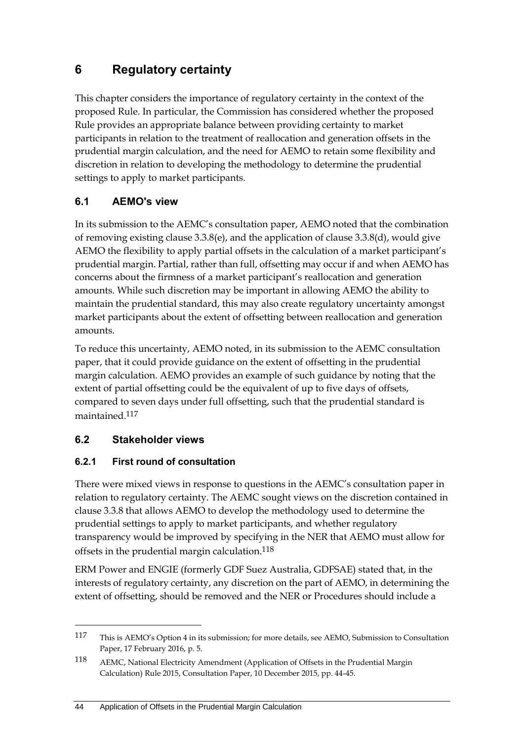# **6 Regulatory certainty**

This chapter considers the importance of regulatory certainty in the context of the proposed Rule. In particular, the Commission has considered whether the proposed Rule provides an appropriate balance between providing certainty to market participants in relation to the treatment of reallocation and generation offsets in the prudential margin calculation, and the need for AEMO to retain some flexibility and discretion in relation to developing the methodology to determine the prudential settings to apply to market participants.

## **6.1 AEMO's view**

In its submission to the AEMC's consultation paper, AEMO noted that the combination of removing existing clause 3.3.8(e), and the application of clause 3.3.8(d), would give AEMO the flexibility to apply partial offsets in the calculation of a market participant's prudential margin. Partial, rather than full, offsetting may occur if and when AEMO has concerns about the firmness of a market participant's reallocation and generation amounts. While such discretion may be important in allowing AEMO the ability to maintain the prudential standard, this may also create regulatory uncertainty amongst market participants about the extent of offsetting between reallocation and generation amounts.

To reduce this uncertainty, AEMO noted, in its submission to the AEMC consultation paper, that it could provide guidance on the extent of offsetting in the prudential margin calculation. AEMO provides an example of such guidance by noting that the extent of partial offsetting could be the equivalent of up to five days of offsets, compared to seven days under full offsetting, such that the prudential standard is maintained.117

## **6.2 Stakeholder views**

<u>.</u>

## **6.2.1 First round of consultation**

There were mixed views in response to questions in the AEMC's consultation paper in relation to regulatory certainty. The AEMC sought views on the discretion contained in clause 3.3.8 that allows AEMO to develop the methodology used to determine the prudential settings to apply to market participants, and whether regulatory transparency would be improved by specifying in the NER that AEMO must allow for offsets in the prudential margin calculation.118

ERM Power and ENGIE (formerly GDF Suez Australia, GDFSAE) stated that, in the interests of regulatory certainty, any discretion on the part of AEMO, in determining the extent of offsetting, should be removed and the NER or Procedures should include a

<sup>117</sup> This is AEMO's Option 4 in its submission; for more details, see AEMO, Submission to Consultation Paper, 17 February 2016, p. 5.

<sup>118</sup> AEMC, National Electricity Amendment (Application of Offsets in the Prudential Margin Calculation) Rule 2015, Consultation Paper, 10 December 2015, pp. 44-45.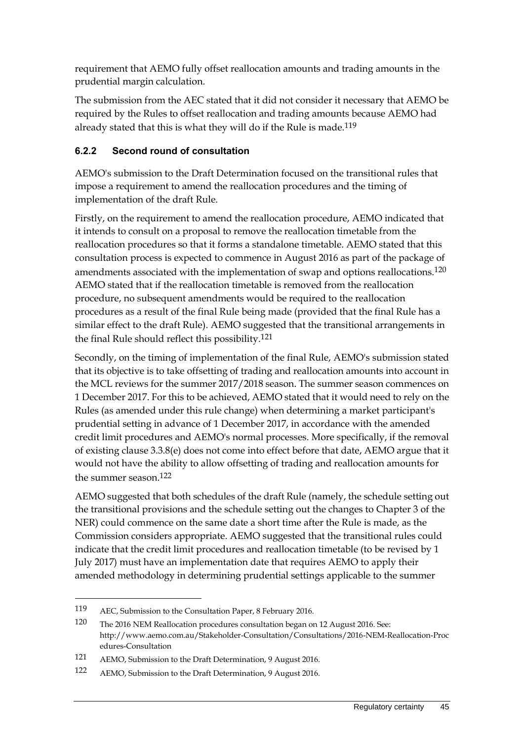requirement that AEMO fully offset reallocation amounts and trading amounts in the prudential margin calculation.

The submission from the AEC stated that it did not consider it necessary that AEMO be required by the Rules to offset reallocation and trading amounts because AEMO had already stated that this is what they will do if the Rule is made.<sup>119</sup>

## **6.2.2 Second round of consultation**

AEMO's submission to the Draft Determination focused on the transitional rules that impose a requirement to amend the reallocation procedures and the timing of implementation of the draft Rule.

Firstly, on the requirement to amend the reallocation procedure, AEMO indicated that it intends to consult on a proposal to remove the reallocation timetable from the reallocation procedures so that it forms a standalone timetable. AEMO stated that this consultation process is expected to commence in August 2016 as part of the package of amendments associated with the implementation of swap and options reallocations.<sup>120</sup> AEMO stated that if the reallocation timetable is removed from the reallocation procedure, no subsequent amendments would be required to the reallocation procedures as a result of the final Rule being made (provided that the final Rule has a similar effect to the draft Rule). AEMO suggested that the transitional arrangements in the final Rule should reflect this possibility.121

Secondly, on the timing of implementation of the final Rule, AEMO's submission stated that its objective is to take offsetting of trading and reallocation amounts into account in the MCL reviews for the summer 2017/2018 season. The summer season commences on 1 December 2017. For this to be achieved, AEMO stated that it would need to rely on the Rules (as amended under this rule change) when determining a market participant's prudential setting in advance of 1 December 2017, in accordance with the amended credit limit procedures and AEMO's normal processes. More specifically, if the removal of existing clause 3.3.8(e) does not come into effect before that date, AEMO argue that it would not have the ability to allow offsetting of trading and reallocation amounts for the summer season.122

AEMO suggested that both schedules of the draft Rule (namely, the schedule setting out the transitional provisions and the schedule setting out the changes to Chapter 3 of the NER) could commence on the same date a short time after the Rule is made, as the Commission considers appropriate. AEMO suggested that the transitional rules could indicate that the credit limit procedures and reallocation timetable (to be revised by 1 July 2017) must have an implementation date that requires AEMO to apply their amended methodology in determining prudential settings applicable to the summer

1

<sup>119</sup> AEC, Submission to the Consultation Paper, 8 February 2016.

<sup>120</sup> The 2016 NEM Reallocation procedures consultation began on 12 August 2016. See: http://www.aemo.com.au/Stakeholder-Consultation/Consultations/2016-NEM-Reallocation-Proc edures-Consultation

<sup>121</sup> AEMO, Submission to the Draft Determination, 9 August 2016.

<sup>122</sup> AEMO, Submission to the Draft Determination, 9 August 2016.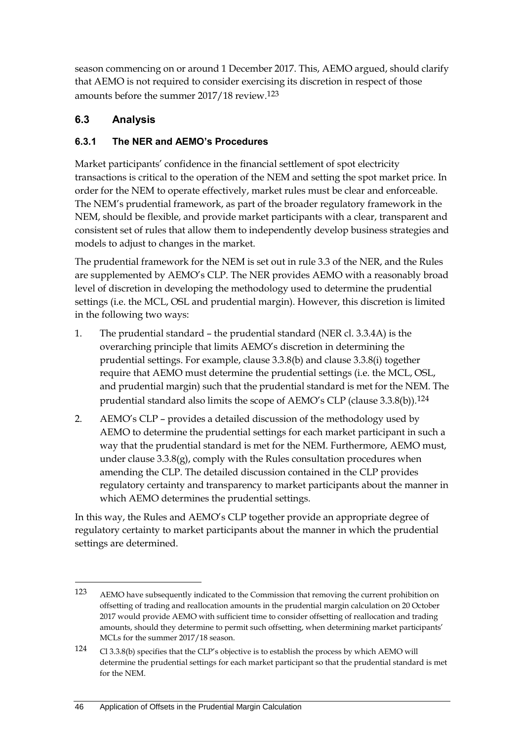season commencing on or around 1 December 2017. This, AEMO argued, should clarify that AEMO is not required to consider exercising its discretion in respect of those amounts before the summer 2017/18 review.123

## **6.3 Analysis**

<u>.</u>

## **6.3.1 The NER and AEMO's Procedures**

Market participants' confidence in the financial settlement of spot electricity transactions is critical to the operation of the NEM and setting the spot market price. In order for the NEM to operate effectively, market rules must be clear and enforceable. The NEM's prudential framework, as part of the broader regulatory framework in the NEM, should be flexible, and provide market participants with a clear, transparent and consistent set of rules that allow them to independently develop business strategies and models to adjust to changes in the market.

The prudential framework for the NEM is set out in rule 3.3 of the NER, and the Rules are supplemented by AEMO's CLP. The NER provides AEMO with a reasonably broad level of discretion in developing the methodology used to determine the prudential settings (i.e. the MCL, OSL and prudential margin). However, this discretion is limited in the following two ways:

- 1. The prudential standard the prudential standard (NER cl. 3.3.4A) is the overarching principle that limits AEMO's discretion in determining the prudential settings. For example, clause 3.3.8(b) and clause 3.3.8(i) together require that AEMO must determine the prudential settings (i.e. the MCL, OSL, and prudential margin) such that the prudential standard is met for the NEM. The prudential standard also limits the scope of AEMO's CLP (clause 3.3.8(b)).<sup>124</sup>
- 2. AEMO's CLP provides a detailed discussion of the methodology used by AEMO to determine the prudential settings for each market participant in such a way that the prudential standard is met for the NEM. Furthermore, AEMO must, under clause  $3.3.8(g)$ , comply with the Rules consultation procedures when amending the CLP. The detailed discussion contained in the CLP provides regulatory certainty and transparency to market participants about the manner in which AEMO determines the prudential settings.

In this way, the Rules and AEMO's CLP together provide an appropriate degree of regulatory certainty to market participants about the manner in which the prudential settings are determined.

<sup>123</sup> AEMO have subsequently indicated to the Commission that removing the current prohibition on offsetting of trading and reallocation amounts in the prudential margin calculation on 20 October 2017 would provide AEMO with sufficient time to consider offsetting of reallocation and trading amounts, should they determine to permit such offsetting, when determining market participants' MCLs for the summer 2017/18 season.

<sup>124</sup> Cl 3.3.8(b) specifies that the CLP's objective is to establish the process by which AEMO will determine the prudential settings for each market participant so that the prudential standard is met for the NEM.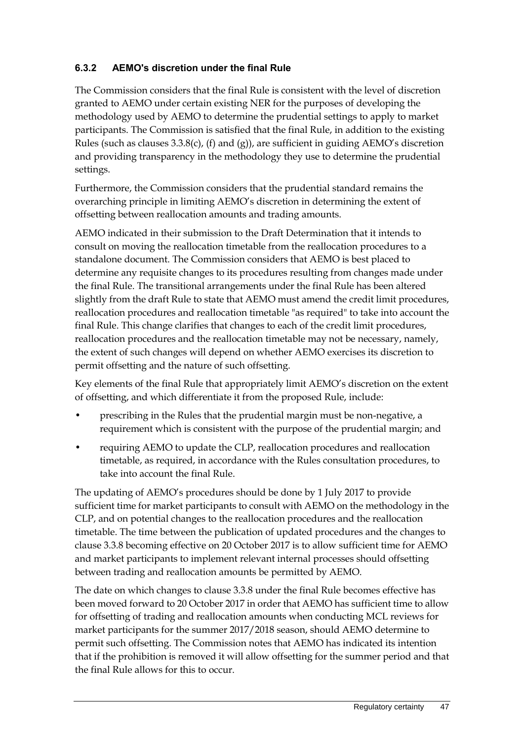## **6.3.2 AEMO's discretion under the final Rule**

The Commission considers that the final Rule is consistent with the level of discretion granted to AEMO under certain existing NER for the purposes of developing the methodology used by AEMO to determine the prudential settings to apply to market participants. The Commission is satisfied that the final Rule, in addition to the existing Rules (such as clauses 3.3.8(c), (f) and (g)), are sufficient in guiding AEMO's discretion and providing transparency in the methodology they use to determine the prudential settings.

Furthermore, the Commission considers that the prudential standard remains the overarching principle in limiting AEMO's discretion in determining the extent of offsetting between reallocation amounts and trading amounts.

AEMO indicated in their submission to the Draft Determination that it intends to consult on moving the reallocation timetable from the reallocation procedures to a standalone document. The Commission considers that AEMO is best placed to determine any requisite changes to its procedures resulting from changes made under the final Rule. The transitional arrangements under the final Rule has been altered slightly from the draft Rule to state that AEMO must amend the credit limit procedures, reallocation procedures and reallocation timetable "as required" to take into account the final Rule. This change clarifies that changes to each of the credit limit procedures, reallocation procedures and the reallocation timetable may not be necessary, namely, the extent of such changes will depend on whether AEMO exercises its discretion to permit offsetting and the nature of such offsetting.

Key elements of the final Rule that appropriately limit AEMO's discretion on the extent of offsetting, and which differentiate it from the proposed Rule, include:

- prescribing in the Rules that the prudential margin must be non-negative, a requirement which is consistent with the purpose of the prudential margin; and
- requiring AEMO to update the CLP, reallocation procedures and reallocation timetable, as required, in accordance with the Rules consultation procedures, to take into account the final Rule.

The updating of AEMO's procedures should be done by 1 July 2017 to provide sufficient time for market participants to consult with AEMO on the methodology in the CLP, and on potential changes to the reallocation procedures and the reallocation timetable. The time between the publication of updated procedures and the changes to clause 3.3.8 becoming effective on 20 October 2017 is to allow sufficient time for AEMO and market participants to implement relevant internal processes should offsetting between trading and reallocation amounts be permitted by AEMO.

The date on which changes to clause 3.3.8 under the final Rule becomes effective has been moved forward to 20 October 2017 in order that AEMO has sufficient time to allow for offsetting of trading and reallocation amounts when conducting MCL reviews for market participants for the summer 2017/2018 season, should AEMO determine to permit such offsetting. The Commission notes that AEMO has indicated its intention that if the prohibition is removed it will allow offsetting for the summer period and that the final Rule allows for this to occur.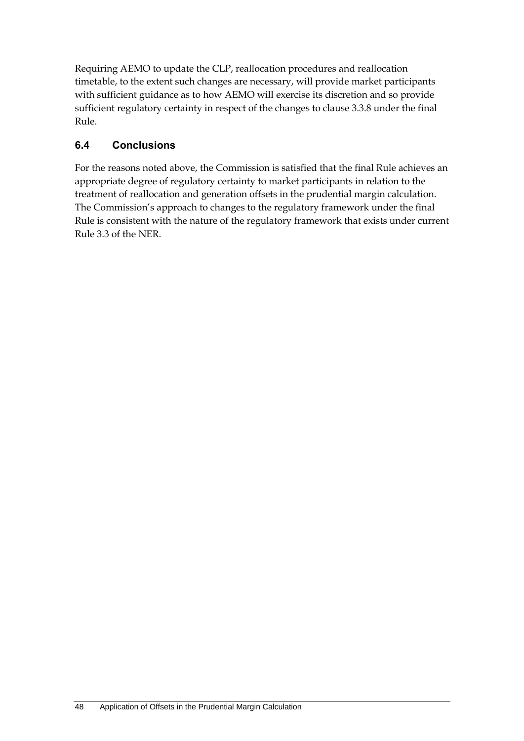Requiring AEMO to update the CLP, reallocation procedures and reallocation timetable, to the extent such changes are necessary, will provide market participants with sufficient guidance as to how AEMO will exercise its discretion and so provide sufficient regulatory certainty in respect of the changes to clause 3.3.8 under the final Rule.

## **6.4 Conclusions**

For the reasons noted above, the Commission is satisfied that the final Rule achieves an appropriate degree of regulatory certainty to market participants in relation to the treatment of reallocation and generation offsets in the prudential margin calculation. The Commission's approach to changes to the regulatory framework under the final Rule is consistent with the nature of the regulatory framework that exists under current Rule 3.3 of the NER.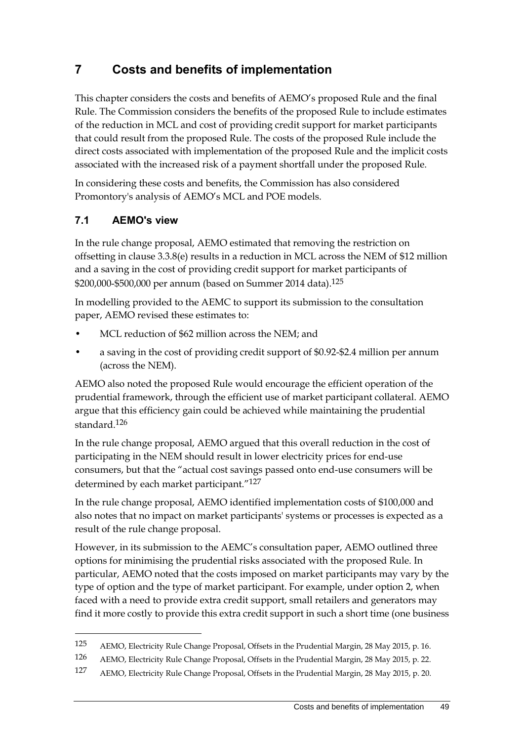# **7 Costs and benefits of implementation**

This chapter considers the costs and benefits of AEMO's proposed Rule and the final Rule. The Commission considers the benefits of the proposed Rule to include estimates of the reduction in MCL and cost of providing credit support for market participants that could result from the proposed Rule. The costs of the proposed Rule include the direct costs associated with implementation of the proposed Rule and the implicit costs associated with the increased risk of a payment shortfall under the proposed Rule.

In considering these costs and benefits, the Commission has also considered Promontory's analysis of AEMO's MCL and POE models.

## **7.1 AEMO's view**

<u>.</u>

In the rule change proposal, AEMO estimated that removing the restriction on offsetting in clause 3.3.8(e) results in a reduction in MCL across the NEM of \$12 million and a saving in the cost of providing credit support for market participants of \$200,000-\$500,000 per annum (based on Summer 2014 data).125

In modelling provided to the AEMC to support its submission to the consultation paper, AEMO revised these estimates to:

- MCL reduction of \$62 million across the NEM; and
- a saving in the cost of providing credit support of \$0.92-\$2.4 million per annum (across the NEM).

AEMO also noted the proposed Rule would encourage the efficient operation of the prudential framework, through the efficient use of market participant collateral. AEMO argue that this efficiency gain could be achieved while maintaining the prudential standard.126

In the rule change proposal, AEMO argued that this overall reduction in the cost of participating in the NEM should result in lower electricity prices for end-use consumers, but that the "actual cost savings passed onto end-use consumers will be determined by each market participant."127

In the rule change proposal, AEMO identified implementation costs of \$100,000 and also notes that no impact on market participants' systems or processes is expected as a result of the rule change proposal.

However, in its submission to the AEMC's consultation paper, AEMO outlined three options for minimising the prudential risks associated with the proposed Rule. In particular, AEMO noted that the costs imposed on market participants may vary by the type of option and the type of market participant. For example, under option 2, when faced with a need to provide extra credit support, small retailers and generators may find it more costly to provide this extra credit support in such a short time (one business

<sup>125</sup> AEMO, Electricity Rule Change Proposal, Offsets in the Prudential Margin, 28 May 2015, p. 16.

<sup>126</sup> AEMO, Electricity Rule Change Proposal, Offsets in the Prudential Margin, 28 May 2015, p. 22.

<sup>127</sup> AEMO, Electricity Rule Change Proposal, Offsets in the Prudential Margin, 28 May 2015, p. 20.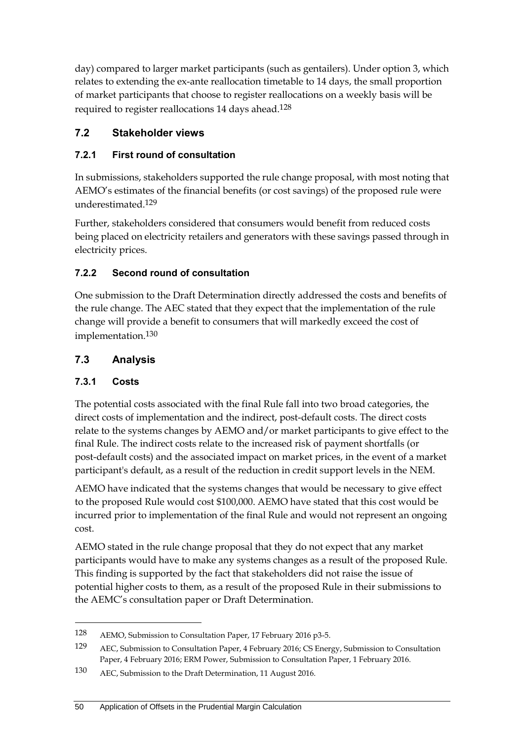day) compared to larger market participants (such as gentailers). Under option 3, which relates to extending the ex-ante reallocation timetable to 14 days, the small proportion of market participants that choose to register reallocations on a weekly basis will be required to register reallocations 14 days ahead.128

## **7.2 Stakeholder views**

#### **7.2.1 First round of consultation**

In submissions, stakeholders supported the rule change proposal, with most noting that AEMO's estimates of the financial benefits (or cost savings) of the proposed rule were underestimated.129

Further, stakeholders considered that consumers would benefit from reduced costs being placed on electricity retailers and generators with these savings passed through in electricity prices.

## **7.2.2 Second round of consultation**

One submission to the Draft Determination directly addressed the costs and benefits of the rule change. The AEC stated that they expect that the implementation of the rule change will provide a benefit to consumers that will markedly exceed the cost of implementation.130

## **7.3 Analysis**

#### **7.3.1 Costs**

<u>.</u>

The potential costs associated with the final Rule fall into two broad categories, the direct costs of implementation and the indirect, post-default costs. The direct costs relate to the systems changes by AEMO and/or market participants to give effect to the final Rule. The indirect costs relate to the increased risk of payment shortfalls (or post-default costs) and the associated impact on market prices, in the event of a market participant's default, as a result of the reduction in credit support levels in the NEM.

AEMO have indicated that the systems changes that would be necessary to give effect to the proposed Rule would cost \$100,000. AEMO have stated that this cost would be incurred prior to implementation of the final Rule and would not represent an ongoing cost.

AEMO stated in the rule change proposal that they do not expect that any market participants would have to make any systems changes as a result of the proposed Rule. This finding is supported by the fact that stakeholders did not raise the issue of potential higher costs to them, as a result of the proposed Rule in their submissions to the AEMC's consultation paper or Draft Determination.

<sup>128</sup> AEMO, Submission to Consultation Paper, 17 February 2016 p3-5.

<sup>129</sup> AEC, Submission to Consultation Paper, 4 February 2016; CS Energy, Submission to Consultation Paper, 4 February 2016; ERM Power, Submission to Consultation Paper, 1 February 2016.

<sup>130</sup> AEC, Submission to the Draft Determination, 11 August 2016.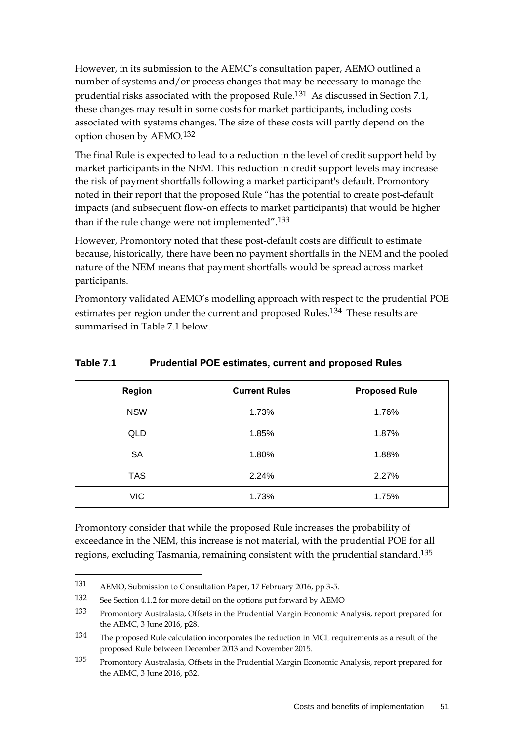However, in its submission to the AEMC's consultation paper, AEMO outlined a number of systems and/or process changes that may be necessary to manage the prudential risks associated with the proposed Rule.131 As discussed in Section 7.1, these changes may result in some costs for market participants, including costs associated with systems changes. The size of these costs will partly depend on the option chosen by AEMO.132

The final Rule is expected to lead to a reduction in the level of credit support held by market participants in the NEM. This reduction in credit support levels may increase the risk of payment shortfalls following a market participant's default. Promontory noted in their report that the proposed Rule "has the potential to create post-default impacts (and subsequent flow-on effects to market participants) that would be higher than if the rule change were not implemented".<sup>133</sup>

However, Promontory noted that these post-default costs are difficult to estimate because, historically, there have been no payment shortfalls in the NEM and the pooled nature of the NEM means that payment shortfalls would be spread across market participants.

Promontory validated AEMO's modelling approach with respect to the prudential POE estimates per region under the current and proposed Rules.<sup>134</sup> These results are summarised in Table 7.1 below.

| Region     | <b>Current Rules</b> | <b>Proposed Rule</b> |
|------------|----------------------|----------------------|
| <b>NSW</b> | 1.73%                | 1.76%                |
| QLD        | 1.85%                | 1.87%                |
| <b>SA</b>  | 1.80%                | 1.88%                |
| <b>TAS</b> | 2.24%                | 2.27%                |
| <b>VIC</b> | 1.73%                | 1.75%                |

#### **Table 7.1 Prudential POE estimates, current and proposed Rules**

Promontory consider that while the proposed Rule increases the probability of exceedance in the NEM, this increase is not material, with the prudential POE for all regions, excluding Tasmania, remaining consistent with the prudential standard.135

<sup>131</sup> AEMO, Submission to Consultation Paper, 17 February 2016, pp 3-5.

<sup>132</sup> See Section 4.1.2 for more detail on the options put forward by AEMO

<sup>133</sup> Promontory Australasia, Offsets in the Prudential Margin Economic Analysis, report prepared for the AEMC, 3 June 2016, p28.

<sup>134</sup> The proposed Rule calculation incorporates the reduction in MCL requirements as a result of the proposed Rule between December 2013 and November 2015.

<sup>135</sup> Promontory Australasia, Offsets in the Prudential Margin Economic Analysis, report prepared for the AEMC, 3 June 2016, p32.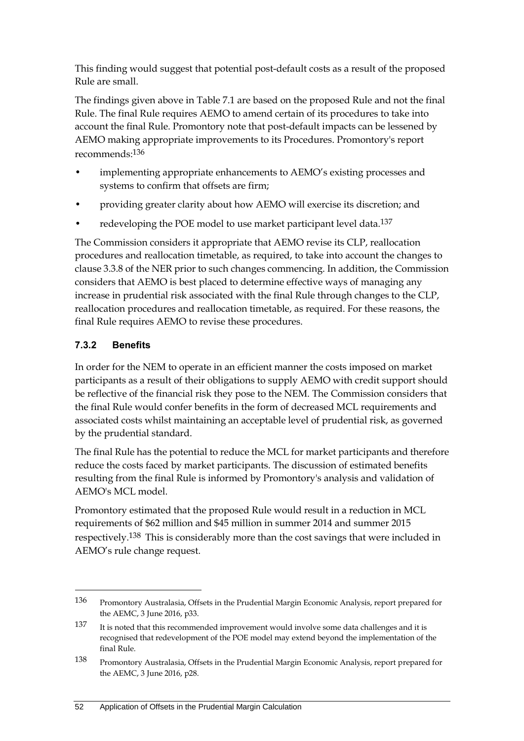This finding would suggest that potential post-default costs as a result of the proposed Rule are small.

The findings given above in Table 7.1 are based on the proposed Rule and not the final Rule. The final Rule requires AEMO to amend certain of its procedures to take into account the final Rule. Promontory note that post-default impacts can be lessened by AEMO making appropriate improvements to its Procedures. Promontory's report recommends:136

- implementing appropriate enhancements to AEMO's existing processes and systems to confirm that offsets are firm;
- providing greater clarity about how AEMO will exercise its discretion; and
- redeveloping the POE model to use market participant level data.<sup>137</sup>

The Commission considers it appropriate that AEMO revise its CLP, reallocation procedures and reallocation timetable, as required, to take into account the changes to clause 3.3.8 of the NER prior to such changes commencing. In addition, the Commission considers that AEMO is best placed to determine effective ways of managing any increase in prudential risk associated with the final Rule through changes to the CLP, reallocation procedures and reallocation timetable, as required. For these reasons, the final Rule requires AEMO to revise these procedures.

## **7.3.2 Benefits**

<u>.</u>

In order for the NEM to operate in an efficient manner the costs imposed on market participants as a result of their obligations to supply AEMO with credit support should be reflective of the financial risk they pose to the NEM. The Commission considers that the final Rule would confer benefits in the form of decreased MCL requirements and associated costs whilst maintaining an acceptable level of prudential risk, as governed by the prudential standard.

The final Rule has the potential to reduce the MCL for market participants and therefore reduce the costs faced by market participants. The discussion of estimated benefits resulting from the final Rule is informed by Promontory's analysis and validation of AEMO's MCL model.

Promontory estimated that the proposed Rule would result in a reduction in MCL requirements of \$62 million and \$45 million in summer 2014 and summer 2015 respectively.138 This is considerably more than the cost savings that were included in AEMO's rule change request.

<sup>136</sup> Promontory Australasia, Offsets in the Prudential Margin Economic Analysis, report prepared for the AEMC, 3 June 2016, p33.

<sup>137</sup> It is noted that this recommended improvement would involve some data challenges and it is recognised that redevelopment of the POE model may extend beyond the implementation of the final Rule.

<sup>138</sup> Promontory Australasia, Offsets in the Prudential Margin Economic Analysis, report prepared for the AEMC, 3 June 2016, p28.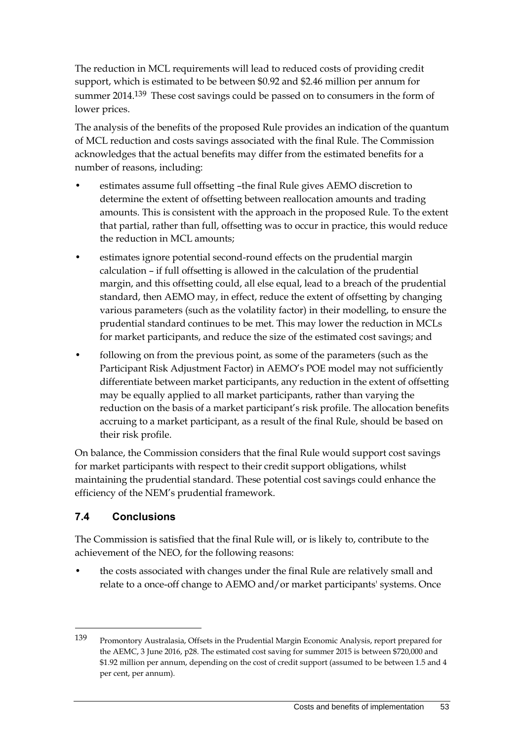The reduction in MCL requirements will lead to reduced costs of providing credit support, which is estimated to be between \$0.92 and \$2.46 million per annum for summer 2014.139 These cost savings could be passed on to consumers in the form of lower prices.

The analysis of the benefits of the proposed Rule provides an indication of the quantum of MCL reduction and costs savings associated with the final Rule. The Commission acknowledges that the actual benefits may differ from the estimated benefits for a number of reasons, including:

- estimates assume full offsetting –the final Rule gives AEMO discretion to determine the extent of offsetting between reallocation amounts and trading amounts. This is consistent with the approach in the proposed Rule. To the extent that partial, rather than full, offsetting was to occur in practice, this would reduce the reduction in MCL amounts;
- estimates ignore potential second-round effects on the prudential margin calculation – if full offsetting is allowed in the calculation of the prudential margin, and this offsetting could, all else equal, lead to a breach of the prudential standard, then AEMO may, in effect, reduce the extent of offsetting by changing various parameters (such as the volatility factor) in their modelling, to ensure the prudential standard continues to be met. This may lower the reduction in MCLs for market participants, and reduce the size of the estimated cost savings; and
- following on from the previous point, as some of the parameters (such as the Participant Risk Adjustment Factor) in AEMO's POE model may not sufficiently differentiate between market participants, any reduction in the extent of offsetting may be equally applied to all market participants, rather than varying the reduction on the basis of a market participant's risk profile. The allocation benefits accruing to a market participant, as a result of the final Rule, should be based on their risk profile.

On balance, the Commission considers that the final Rule would support cost savings for market participants with respect to their credit support obligations, whilst maintaining the prudential standard. These potential cost savings could enhance the efficiency of the NEM's prudential framework.

## **7.4 Conclusions**

<u>.</u>

The Commission is satisfied that the final Rule will, or is likely to, contribute to the achievement of the NEO, for the following reasons:

• the costs associated with changes under the final Rule are relatively small and relate to a once-off change to AEMO and/or market participants' systems. Once

<sup>139</sup> Promontory Australasia, Offsets in the Prudential Margin Economic Analysis, report prepared for the AEMC, 3 June 2016, p28. The estimated cost saving for summer 2015 is between \$720,000 and \$1.92 million per annum, depending on the cost of credit support (assumed to be between 1.5 and 4 per cent, per annum).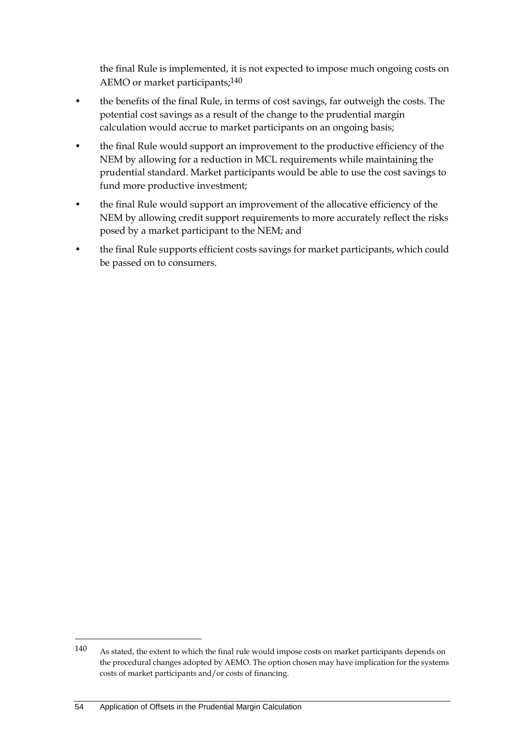the final Rule is implemented, it is not expected to impose much ongoing costs on AEMO or market participants;140

- the benefits of the final Rule, in terms of cost savings, far outweigh the costs. The potential cost savings as a result of the change to the prudential margin calculation would accrue to market participants on an ongoing basis;
- the final Rule would support an improvement to the productive efficiency of the NEM by allowing for a reduction in MCL requirements while maintaining the prudential standard. Market participants would be able to use the cost savings to fund more productive investment;
- the final Rule would support an improvement of the allocative efficiency of the NEM by allowing credit support requirements to more accurately reflect the risks posed by a market participant to the NEM; and
- the final Rule supports efficient costs savings for market participants, which could be passed on to consumers.

<sup>140</sup> As stated, the extent to which the final rule would impose costs on market participants depends on the procedural changes adopted by AEMO. The option chosen may have implication for the systems costs of market participants and/or costs of financing.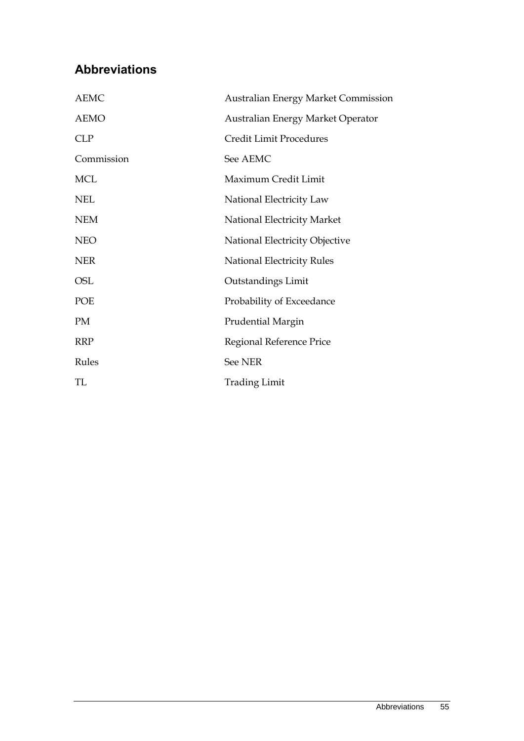# **Abbreviations**

| <b>AEMC</b> | <b>Australian Energy Market Commission</b> |
|-------------|--------------------------------------------|
| <b>AEMO</b> | Australian Energy Market Operator          |
| <b>CLP</b>  | <b>Credit Limit Procedures</b>             |
| Commission  | See AEMC                                   |
| <b>MCL</b>  | Maximum Credit Limit                       |
| <b>NEL</b>  | National Electricity Law                   |
| <b>NEM</b>  | National Electricity Market                |
| <b>NEO</b>  | National Electricity Objective             |
| <b>NER</b>  | <b>National Electricity Rules</b>          |
| OSL         | Outstandings Limit                         |
| POE         | Probability of Exceedance                  |
| PM          | <b>Prudential Margin</b>                   |
| <b>RRP</b>  | Regional Reference Price                   |
| Rules       | <b>See NER</b>                             |
| TL.         | <b>Trading Limit</b>                       |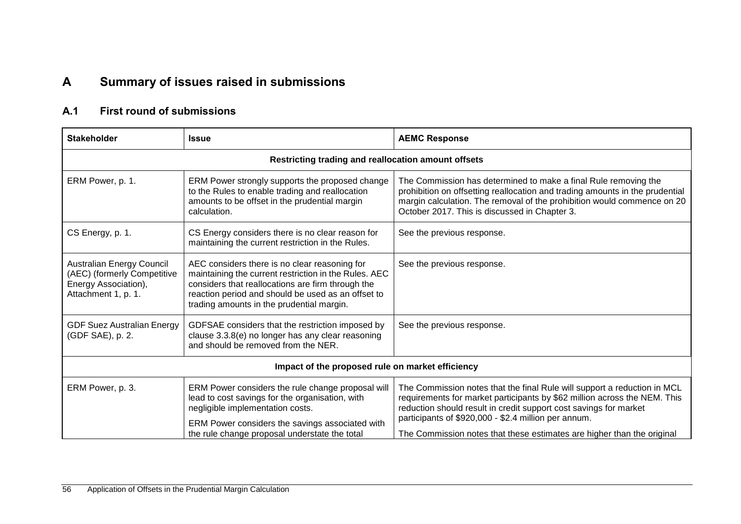# **A Summary of issues raised in submissions**

## **A.1 First round of submissions**

| <b>Stakeholder</b>                                                                                      | <b>Issue</b>                                                                                                                                                                                                                                                   | <b>AEMC Response</b>                                                                                                                                                                                                                                                                                                                                         |  |  |
|---------------------------------------------------------------------------------------------------------|----------------------------------------------------------------------------------------------------------------------------------------------------------------------------------------------------------------------------------------------------------------|--------------------------------------------------------------------------------------------------------------------------------------------------------------------------------------------------------------------------------------------------------------------------------------------------------------------------------------------------------------|--|--|
|                                                                                                         | Restricting trading and reallocation amount offsets                                                                                                                                                                                                            |                                                                                                                                                                                                                                                                                                                                                              |  |  |
| ERM Power, p. 1.                                                                                        | ERM Power strongly supports the proposed change<br>to the Rules to enable trading and reallocation<br>amounts to be offset in the prudential margin<br>calculation.                                                                                            | The Commission has determined to make a final Rule removing the<br>prohibition on offsetting reallocation and trading amounts in the prudential<br>margin calculation. The removal of the prohibition would commence on 20<br>October 2017. This is discussed in Chapter 3.                                                                                  |  |  |
| CS Energy, p. 1.                                                                                        | CS Energy considers there is no clear reason for<br>maintaining the current restriction in the Rules.                                                                                                                                                          | See the previous response.                                                                                                                                                                                                                                                                                                                                   |  |  |
| Australian Energy Council<br>(AEC) (formerly Competitive<br>Energy Association),<br>Attachment 1, p. 1. | AEC considers there is no clear reasoning for<br>maintaining the current restriction in the Rules. AEC<br>considers that reallocations are firm through the<br>reaction period and should be used as an offset to<br>trading amounts in the prudential margin. | See the previous response.                                                                                                                                                                                                                                                                                                                                   |  |  |
| <b>GDF Suez Australian Energy</b><br>(GDF SAE), p. 2.                                                   | GDFSAE considers that the restriction imposed by<br>clause 3.3.8(e) no longer has any clear reasoning<br>and should be removed from the NER.                                                                                                                   | See the previous response.                                                                                                                                                                                                                                                                                                                                   |  |  |
| Impact of the proposed rule on market efficiency                                                        |                                                                                                                                                                                                                                                                |                                                                                                                                                                                                                                                                                                                                                              |  |  |
| ERM Power, p. 3.                                                                                        | ERM Power considers the rule change proposal will<br>lead to cost savings for the organisation, with<br>negligible implementation costs.<br>ERM Power considers the savings associated with<br>the rule change proposal understate the total                   | The Commission notes that the final Rule will support a reduction in MCL<br>requirements for market participants by \$62 million across the NEM. This<br>reduction should result in credit support cost savings for market<br>participants of \$920,000 - \$2.4 million per annum.<br>The Commission notes that these estimates are higher than the original |  |  |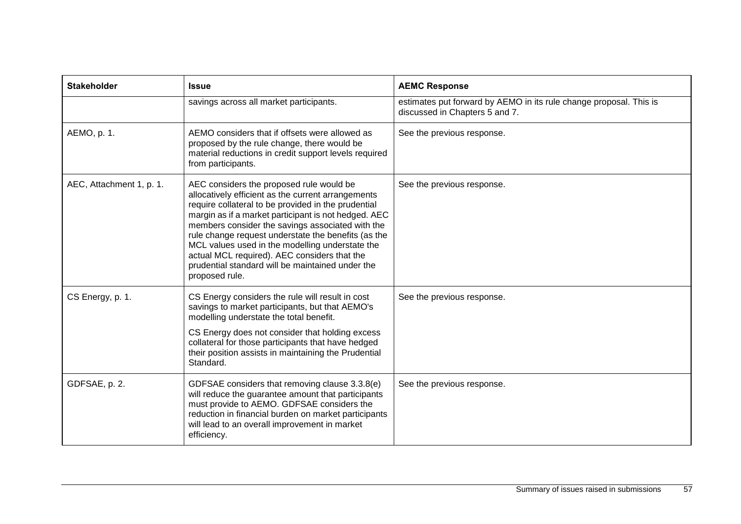| <b>Stakeholder</b>       | <b>Issue</b>                                                                                                                                                                                                                                                                                                                                                                                                                                                                                      | <b>AEMC Response</b>                                                                                 |
|--------------------------|---------------------------------------------------------------------------------------------------------------------------------------------------------------------------------------------------------------------------------------------------------------------------------------------------------------------------------------------------------------------------------------------------------------------------------------------------------------------------------------------------|------------------------------------------------------------------------------------------------------|
|                          | savings across all market participants.                                                                                                                                                                                                                                                                                                                                                                                                                                                           | estimates put forward by AEMO in its rule change proposal. This is<br>discussed in Chapters 5 and 7. |
| AEMO, p. 1.              | AEMO considers that if offsets were allowed as<br>proposed by the rule change, there would be<br>material reductions in credit support levels required<br>from participants.                                                                                                                                                                                                                                                                                                                      | See the previous response.                                                                           |
| AEC, Attachment 1, p. 1. | AEC considers the proposed rule would be<br>allocatively efficient as the current arrangements<br>require collateral to be provided in the prudential<br>margin as if a market participant is not hedged. AEC<br>members consider the savings associated with the<br>rule change request understate the benefits (as the<br>MCL values used in the modelling understate the<br>actual MCL required). AEC considers that the<br>prudential standard will be maintained under the<br>proposed rule. | See the previous response.                                                                           |
| CS Energy, p. 1.         | CS Energy considers the rule will result in cost<br>savings to market participants, but that AEMO's<br>modelling understate the total benefit.<br>CS Energy does not consider that holding excess<br>collateral for those participants that have hedged<br>their position assists in maintaining the Prudential<br>Standard.                                                                                                                                                                      | See the previous response.                                                                           |
| GDFSAE, p. 2.            | GDFSAE considers that removing clause 3.3.8(e)<br>will reduce the guarantee amount that participants<br>must provide to AEMO. GDFSAE considers the<br>reduction in financial burden on market participants<br>will lead to an overall improvement in market<br>efficiency.                                                                                                                                                                                                                        | See the previous response.                                                                           |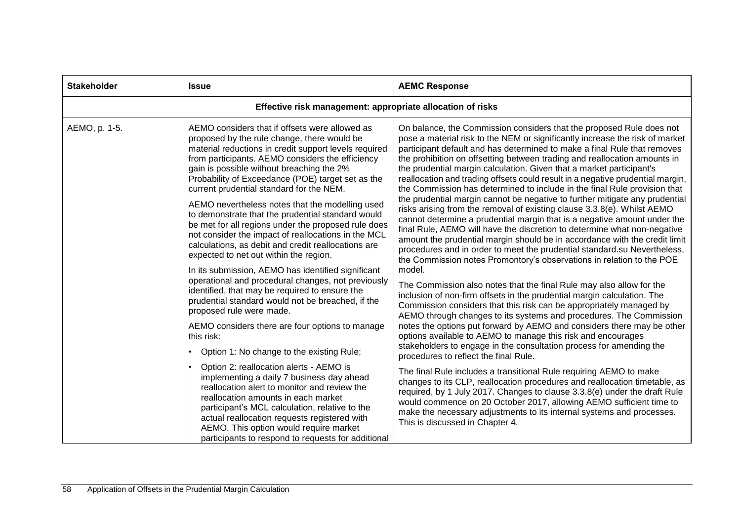| <b>Stakeholder</b> | <b>Issue</b>                                                                                                                                                                                                                                                                                                                                                                                                                                                                                                                                                                                                                                                                                                                                                                                                                                                                                                                   | <b>AEMC Response</b>                                                                                                                                                                                                                                                                                                                                                                                                                                                                                                                                                                                                                                                                                                                                                                                                                                                                                                                                                                                                                                                                                                                                                                                                                                                                                                                                                                                                |
|--------------------|--------------------------------------------------------------------------------------------------------------------------------------------------------------------------------------------------------------------------------------------------------------------------------------------------------------------------------------------------------------------------------------------------------------------------------------------------------------------------------------------------------------------------------------------------------------------------------------------------------------------------------------------------------------------------------------------------------------------------------------------------------------------------------------------------------------------------------------------------------------------------------------------------------------------------------|---------------------------------------------------------------------------------------------------------------------------------------------------------------------------------------------------------------------------------------------------------------------------------------------------------------------------------------------------------------------------------------------------------------------------------------------------------------------------------------------------------------------------------------------------------------------------------------------------------------------------------------------------------------------------------------------------------------------------------------------------------------------------------------------------------------------------------------------------------------------------------------------------------------------------------------------------------------------------------------------------------------------------------------------------------------------------------------------------------------------------------------------------------------------------------------------------------------------------------------------------------------------------------------------------------------------------------------------------------------------------------------------------------------------|
|                    | Effective risk management: appropriate allocation of risks                                                                                                                                                                                                                                                                                                                                                                                                                                                                                                                                                                                                                                                                                                                                                                                                                                                                     |                                                                                                                                                                                                                                                                                                                                                                                                                                                                                                                                                                                                                                                                                                                                                                                                                                                                                                                                                                                                                                                                                                                                                                                                                                                                                                                                                                                                                     |
| AEMO, p. 1-5.      | AEMO considers that if offsets were allowed as<br>proposed by the rule change, there would be<br>material reductions in credit support levels required<br>from participants. AEMO considers the efficiency<br>gain is possible without breaching the 2%<br>Probability of Exceedance (POE) target set as the<br>current prudential standard for the NEM.<br>AEMO nevertheless notes that the modelling used<br>to demonstrate that the prudential standard would<br>be met for all regions under the proposed rule does<br>not consider the impact of reallocations in the MCL<br>calculations, as debit and credit reallocations are<br>expected to net out within the region.<br>In its submission, AEMO has identified significant<br>operational and procedural changes, not previously<br>identified, that may be required to ensure the<br>prudential standard would not be breached, if the<br>proposed rule were made. | On balance, the Commission considers that the proposed Rule does not<br>pose a material risk to the NEM or significantly increase the risk of market<br>participant default and has determined to make a final Rule that removes<br>the prohibition on offsetting between trading and reallocation amounts in<br>the prudential margin calculation. Given that a market participant's<br>reallocation and trading offsets could result in a negative prudential margin,<br>the Commission has determined to include in the final Rule provision that<br>the prudential margin cannot be negative to further mitigate any prudential<br>risks arising from the removal of existing clause 3.3.8(e). Whilst AEMO<br>cannot determine a prudential margin that is a negative amount under the<br>final Rule, AEMO will have the discretion to determine what non-negative<br>amount the prudential margin should be in accordance with the credit limit<br>procedures and in order to meet the prudential standard.su Nevertheless,<br>the Commission notes Promontory's observations in relation to the POE<br>model.<br>The Commission also notes that the final Rule may also allow for the<br>inclusion of non-firm offsets in the prudential margin calculation. The<br>Commission considers that this risk can be appropriately managed by<br>AEMO through changes to its systems and procedures. The Commission |
|                    | AEMO considers there are four options to manage<br>this risk:<br>Option 1: No change to the existing Rule;<br>$\bullet$                                                                                                                                                                                                                                                                                                                                                                                                                                                                                                                                                                                                                                                                                                                                                                                                        | notes the options put forward by AEMO and considers there may be other<br>options available to AEMO to manage this risk and encourages<br>stakeholders to engage in the consultation process for amending the<br>procedures to reflect the final Rule.                                                                                                                                                                                                                                                                                                                                                                                                                                                                                                                                                                                                                                                                                                                                                                                                                                                                                                                                                                                                                                                                                                                                                              |
|                    | Option 2: reallocation alerts - AEMO is<br>implementing a daily 7 business day ahead<br>reallocation alert to monitor and review the<br>reallocation amounts in each market<br>participant's MCL calculation, relative to the<br>actual reallocation requests registered with<br>AEMO. This option would require market<br>participants to respond to requests for additional                                                                                                                                                                                                                                                                                                                                                                                                                                                                                                                                                  | The final Rule includes a transitional Rule requiring AEMO to make<br>changes to its CLP, reallocation procedures and reallocation timetable, as<br>required, by 1 July 2017. Changes to clause 3.3.8(e) under the draft Rule<br>would commence on 20 October 2017, allowing AEMO sufficient time to<br>make the necessary adjustments to its internal systems and processes.<br>This is discussed in Chapter 4.                                                                                                                                                                                                                                                                                                                                                                                                                                                                                                                                                                                                                                                                                                                                                                                                                                                                                                                                                                                                    |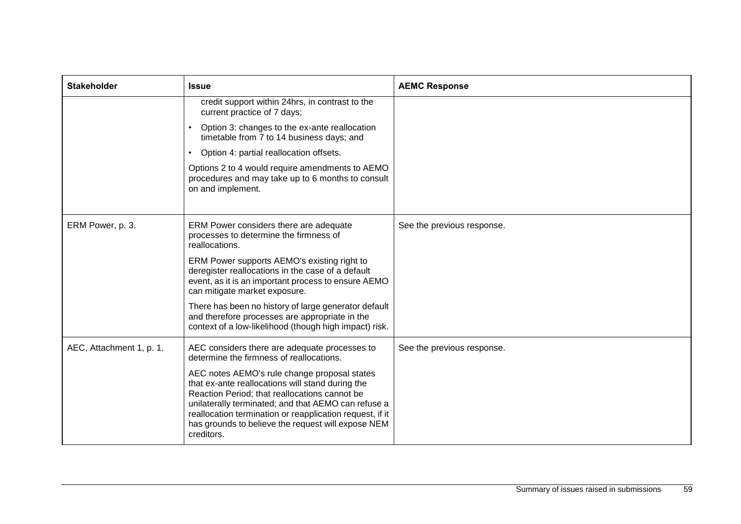| <b>Stakeholder</b>       | <b>Issue</b>                                                                                                                                                                                                                                                                                                                             | <b>AEMC Response</b>       |
|--------------------------|------------------------------------------------------------------------------------------------------------------------------------------------------------------------------------------------------------------------------------------------------------------------------------------------------------------------------------------|----------------------------|
|                          | credit support within 24hrs, in contrast to the<br>current practice of 7 days;                                                                                                                                                                                                                                                           |                            |
|                          | Option 3: changes to the ex-ante reallocation<br>timetable from 7 to 14 business days; and                                                                                                                                                                                                                                               |                            |
|                          | Option 4: partial reallocation offsets.<br>$\bullet$                                                                                                                                                                                                                                                                                     |                            |
|                          | Options 2 to 4 would require amendments to AEMO<br>procedures and may take up to 6 months to consult<br>on and implement.                                                                                                                                                                                                                |                            |
|                          |                                                                                                                                                                                                                                                                                                                                          |                            |
| ERM Power, p. 3.         | ERM Power considers there are adequate<br>processes to determine the firmness of<br>reallocations.                                                                                                                                                                                                                                       | See the previous response. |
|                          | ERM Power supports AEMO's existing right to<br>deregister reallocations in the case of a default<br>event, as it is an important process to ensure AEMO<br>can mitigate market exposure.                                                                                                                                                 |                            |
|                          | There has been no history of large generator default<br>and therefore processes are appropriate in the<br>context of a low-likelihood (though high impact) risk.                                                                                                                                                                         |                            |
| AEC, Attachment 1, p. 1. | AEC considers there are adequate processes to<br>determine the firmness of reallocations.                                                                                                                                                                                                                                                | See the previous response. |
|                          | AEC notes AEMO's rule change proposal states<br>that ex-ante reallocations will stand during the<br>Reaction Period; that reallocations cannot be<br>unilaterally terminated; and that AEMO can refuse a<br>reallocation termination or reapplication request, if it<br>has grounds to believe the request will expose NEM<br>creditors. |                            |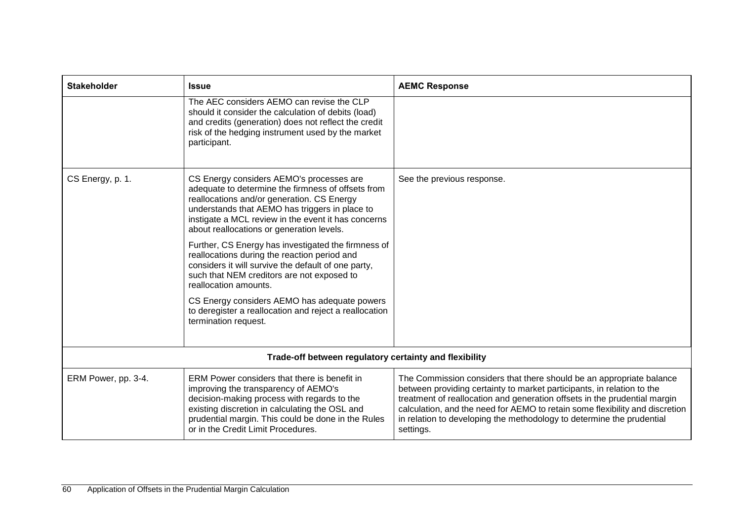| <b>Stakeholder</b>  | <b>Issue</b>                                                                                                                                                                                                                                                                                       | <b>AEMC Response</b>                                                                                                                                                                                                                                                                                                                                                                              |
|---------------------|----------------------------------------------------------------------------------------------------------------------------------------------------------------------------------------------------------------------------------------------------------------------------------------------------|---------------------------------------------------------------------------------------------------------------------------------------------------------------------------------------------------------------------------------------------------------------------------------------------------------------------------------------------------------------------------------------------------|
|                     | The AEC considers AEMO can revise the CLP<br>should it consider the calculation of debits (load)<br>and credits (generation) does not reflect the credit<br>risk of the hedging instrument used by the market<br>participant.                                                                      |                                                                                                                                                                                                                                                                                                                                                                                                   |
| CS Energy, p. 1.    | CS Energy considers AEMO's processes are<br>adequate to determine the firmness of offsets from<br>reallocations and/or generation. CS Energy<br>understands that AEMO has triggers in place to<br>instigate a MCL review in the event it has concerns<br>about reallocations or generation levels. | See the previous response.                                                                                                                                                                                                                                                                                                                                                                        |
|                     | Further, CS Energy has investigated the firmness of<br>reallocations during the reaction period and<br>considers it will survive the default of one party,<br>such that NEM creditors are not exposed to<br>reallocation amounts.                                                                  |                                                                                                                                                                                                                                                                                                                                                                                                   |
|                     | CS Energy considers AEMO has adequate powers<br>to deregister a reallocation and reject a reallocation<br>termination request.                                                                                                                                                                     |                                                                                                                                                                                                                                                                                                                                                                                                   |
|                     | Trade-off between regulatory certainty and flexibility                                                                                                                                                                                                                                             |                                                                                                                                                                                                                                                                                                                                                                                                   |
| ERM Power, pp. 3-4. | ERM Power considers that there is benefit in<br>improving the transparency of AEMO's<br>decision-making process with regards to the<br>existing discretion in calculating the OSL and<br>prudential margin. This could be done in the Rules<br>or in the Credit Limit Procedures.                  | The Commission considers that there should be an appropriate balance<br>between providing certainty to market participants, in relation to the<br>treatment of reallocation and generation offsets in the prudential margin<br>calculation, and the need for AEMO to retain some flexibility and discretion<br>in relation to developing the methodology to determine the prudential<br>settings. |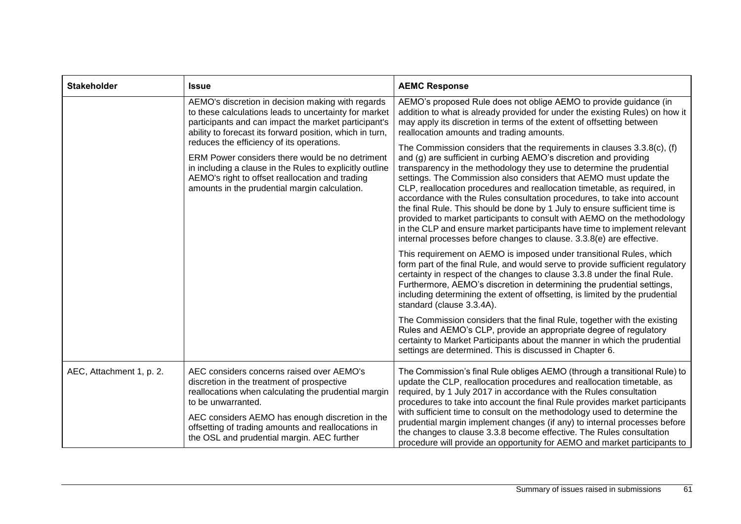| <b>Stakeholder</b>       | <b>Issue</b>                                                                                                                                                                                                                                                                                                                                                                                                                                                                                   | <b>AEMC Response</b>                                                                                                                                                                                                                                                                                                                                                                                                                                                                                                                                                                                                                                                                                                                                                                                                                                                                                                                                                                                                                                                                                                                                                                                                                                                                                                                                                                                                                                                                                                                                                                                                                                                                                                                                            |
|--------------------------|------------------------------------------------------------------------------------------------------------------------------------------------------------------------------------------------------------------------------------------------------------------------------------------------------------------------------------------------------------------------------------------------------------------------------------------------------------------------------------------------|-----------------------------------------------------------------------------------------------------------------------------------------------------------------------------------------------------------------------------------------------------------------------------------------------------------------------------------------------------------------------------------------------------------------------------------------------------------------------------------------------------------------------------------------------------------------------------------------------------------------------------------------------------------------------------------------------------------------------------------------------------------------------------------------------------------------------------------------------------------------------------------------------------------------------------------------------------------------------------------------------------------------------------------------------------------------------------------------------------------------------------------------------------------------------------------------------------------------------------------------------------------------------------------------------------------------------------------------------------------------------------------------------------------------------------------------------------------------------------------------------------------------------------------------------------------------------------------------------------------------------------------------------------------------------------------------------------------------------------------------------------------------|
|                          | AEMO's discretion in decision making with regards<br>to these calculations leads to uncertainty for market<br>participants and can impact the market participant's<br>ability to forecast its forward position, which in turn,<br>reduces the efficiency of its operations.<br>ERM Power considers there would be no detriment<br>in including a clause in the Rules to explicitly outline<br>AEMO's right to offset reallocation and trading<br>amounts in the prudential margin calculation. | AEMO's proposed Rule does not oblige AEMO to provide guidance (in<br>addition to what is already provided for under the existing Rules) on how it<br>may apply its discretion in terms of the extent of offsetting between<br>reallocation amounts and trading amounts.<br>The Commission considers that the requirements in clauses 3.3.8(c), (f)<br>and (g) are sufficient in curbing AEMO's discretion and providing<br>transparency in the methodology they use to determine the prudential<br>settings. The Commission also considers that AEMO must update the<br>CLP, reallocation procedures and reallocation timetable, as required, in<br>accordance with the Rules consultation procedures, to take into account<br>the final Rule. This should be done by 1 July to ensure sufficient time is<br>provided to market participants to consult with AEMO on the methodology<br>in the CLP and ensure market participants have time to implement relevant<br>internal processes before changes to clause. 3.3.8(e) are effective.<br>This requirement on AEMO is imposed under transitional Rules, which<br>form part of the final Rule, and would serve to provide sufficient regulatory<br>certainty in respect of the changes to clause 3.3.8 under the final Rule.<br>Furthermore, AEMO's discretion in determining the prudential settings,<br>including determining the extent of offsetting, is limited by the prudential<br>standard (clause 3.3.4A).<br>The Commission considers that the final Rule, together with the existing<br>Rules and AEMO's CLP, provide an appropriate degree of regulatory<br>certainty to Market Participants about the manner in which the prudential<br>settings are determined. This is discussed in Chapter 6. |
| AEC, Attachment 1, p. 2. | AEC considers concerns raised over AEMO's<br>discretion in the treatment of prospective<br>reallocations when calculating the prudential margin<br>to be unwarranted.<br>AEC considers AEMO has enough discretion in the<br>offsetting of trading amounts and reallocations in<br>the OSL and prudential margin. AEC further                                                                                                                                                                   | The Commission's final Rule obliges AEMO (through a transitional Rule) to<br>update the CLP, reallocation procedures and reallocation timetable, as<br>required, by 1 July 2017 in accordance with the Rules consultation<br>procedures to take into account the final Rule provides market participants<br>with sufficient time to consult on the methodology used to determine the<br>prudential margin implement changes (if any) to internal processes before<br>the changes to clause 3.3.8 become effective. The Rules consultation<br>procedure will provide an opportunity for AEMO and market participants to                                                                                                                                                                                                                                                                                                                                                                                                                                                                                                                                                                                                                                                                                                                                                                                                                                                                                                                                                                                                                                                                                                                                          |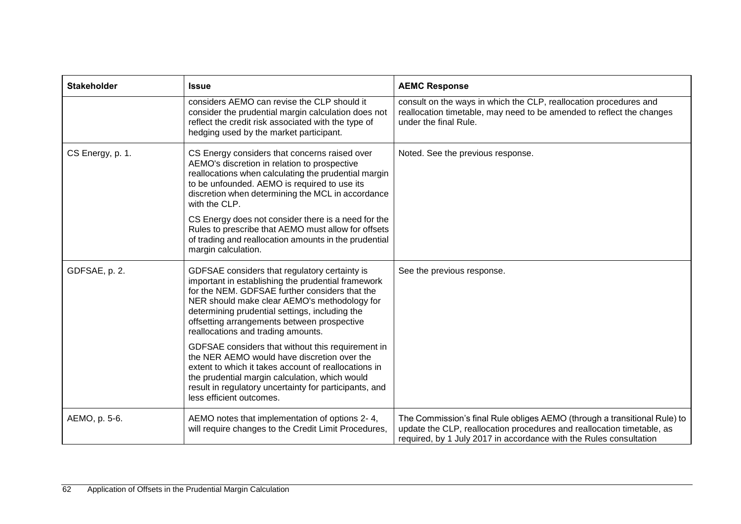| <b>Stakeholder</b> | <b>Issue</b>                                                                                                                                                                                                                                                                                                                                                                                                                                                              | <b>AEMC Response</b>                                                                                                                                                                                                      |
|--------------------|---------------------------------------------------------------------------------------------------------------------------------------------------------------------------------------------------------------------------------------------------------------------------------------------------------------------------------------------------------------------------------------------------------------------------------------------------------------------------|---------------------------------------------------------------------------------------------------------------------------------------------------------------------------------------------------------------------------|
|                    | considers AEMO can revise the CLP should it<br>consider the prudential margin calculation does not<br>reflect the credit risk associated with the type of<br>hedging used by the market participant.                                                                                                                                                                                                                                                                      | consult on the ways in which the CLP, reallocation procedures and<br>reallocation timetable, may need to be amended to reflect the changes<br>under the final Rule.                                                       |
| CS Energy, p. 1.   | CS Energy considers that concerns raised over<br>AEMO's discretion in relation to prospective<br>reallocations when calculating the prudential margin<br>to be unfounded. AEMO is required to use its<br>discretion when determining the MCL in accordance<br>with the CLP.<br>CS Energy does not consider there is a need for the<br>Rules to prescribe that AEMO must allow for offsets<br>of trading and reallocation amounts in the prudential<br>margin calculation. | Noted. See the previous response.                                                                                                                                                                                         |
| GDFSAE, p. 2.      | GDFSAE considers that regulatory certainty is<br>important in establishing the prudential framework<br>for the NEM. GDFSAE further considers that the<br>NER should make clear AEMO's methodology for<br>determining prudential settings, including the<br>offsetting arrangements between prospective<br>reallocations and trading amounts.<br>GDFSAE considers that without this requirement in                                                                         | See the previous response.                                                                                                                                                                                                |
|                    | the NER AEMO would have discretion over the<br>extent to which it takes account of reallocations in<br>the prudential margin calculation, which would<br>result in regulatory uncertainty for participants, and<br>less efficient outcomes.                                                                                                                                                                                                                               |                                                                                                                                                                                                                           |
| AEMO, p. 5-6.      | AEMO notes that implementation of options 2-4,<br>will require changes to the Credit Limit Procedures,                                                                                                                                                                                                                                                                                                                                                                    | The Commission's final Rule obliges AEMO (through a transitional Rule) to<br>update the CLP, reallocation procedures and reallocation timetable, as<br>required, by 1 July 2017 in accordance with the Rules consultation |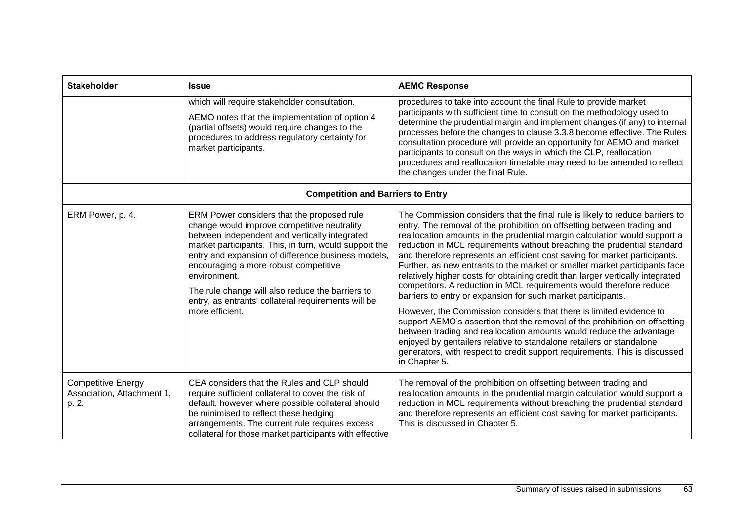| <b>Stakeholder</b>                                               | <b>Issue</b>                                                                                                                                                                                                                                                                                                                                                                                                                                     | <b>AEMC Response</b>                                                                                                                                                                                                                                                                                                                                                                                                                                                                                                                                                                                                                                                                                                                                                                                                                                                                                                                                                                                                                                                                                    |  |  |
|------------------------------------------------------------------|--------------------------------------------------------------------------------------------------------------------------------------------------------------------------------------------------------------------------------------------------------------------------------------------------------------------------------------------------------------------------------------------------------------------------------------------------|---------------------------------------------------------------------------------------------------------------------------------------------------------------------------------------------------------------------------------------------------------------------------------------------------------------------------------------------------------------------------------------------------------------------------------------------------------------------------------------------------------------------------------------------------------------------------------------------------------------------------------------------------------------------------------------------------------------------------------------------------------------------------------------------------------------------------------------------------------------------------------------------------------------------------------------------------------------------------------------------------------------------------------------------------------------------------------------------------------|--|--|
|                                                                  | which will require stakeholder consultation.<br>AEMO notes that the implementation of option 4<br>(partial offsets) would require changes to the<br>procedures to address regulatory certainty for<br>market participants.                                                                                                                                                                                                                       | procedures to take into account the final Rule to provide market<br>participants with sufficient time to consult on the methodology used to<br>determine the prudential margin and implement changes (if any) to internal<br>processes before the changes to clause 3.3.8 become effective. The Rules<br>consultation procedure will provide an opportunity for AEMO and market<br>participants to consult on the ways in which the CLP, reallocation<br>procedures and reallocation timetable may need to be amended to reflect<br>the changes under the final Rule.                                                                                                                                                                                                                                                                                                                                                                                                                                                                                                                                   |  |  |
| <b>Competition and Barriers to Entry</b>                         |                                                                                                                                                                                                                                                                                                                                                                                                                                                  |                                                                                                                                                                                                                                                                                                                                                                                                                                                                                                                                                                                                                                                                                                                                                                                                                                                                                                                                                                                                                                                                                                         |  |  |
| ERM Power, p. 4.                                                 | ERM Power considers that the proposed rule<br>change would improve competitive neutrality<br>between independent and vertically integrated<br>market participants. This, in turn, would support the<br>entry and expansion of difference business models,<br>encouraging a more robust competitive<br>environment.<br>The rule change will also reduce the barriers to<br>entry, as entrants' collateral requirements will be<br>more efficient. | The Commission considers that the final rule is likely to reduce barriers to<br>entry. The removal of the prohibition on offsetting between trading and<br>reallocation amounts in the prudential margin calculation would support a<br>reduction in MCL requirements without breaching the prudential standard<br>and therefore represents an efficient cost saving for market participants.<br>Further, as new entrants to the market or smaller market participants face<br>relatively higher costs for obtaining credit than larger vertically integrated<br>competitors. A reduction in MCL requirements would therefore reduce<br>barriers to entry or expansion for such market participants.<br>However, the Commission considers that there is limited evidence to<br>support AEMO's assertion that the removal of the prohibition on offsetting<br>between trading and reallocation amounts would reduce the advantage<br>enjoyed by gentailers relative to standalone retailers or standalone<br>generators, with respect to credit support requirements. This is discussed<br>in Chapter 5. |  |  |
| <b>Competitive Energy</b><br>Association, Attachment 1,<br>p. 2. | CEA considers that the Rules and CLP should<br>require sufficient collateral to cover the risk of<br>default, however where possible collateral should<br>be minimised to reflect these hedging<br>arrangements. The current rule requires excess<br>collateral for those market participants with effective                                                                                                                                     | The removal of the prohibition on offsetting between trading and<br>reallocation amounts in the prudential margin calculation would support a<br>reduction in MCL requirements without breaching the prudential standard<br>and therefore represents an efficient cost saving for market participants.<br>This is discussed in Chapter 5.                                                                                                                                                                                                                                                                                                                                                                                                                                                                                                                                                                                                                                                                                                                                                               |  |  |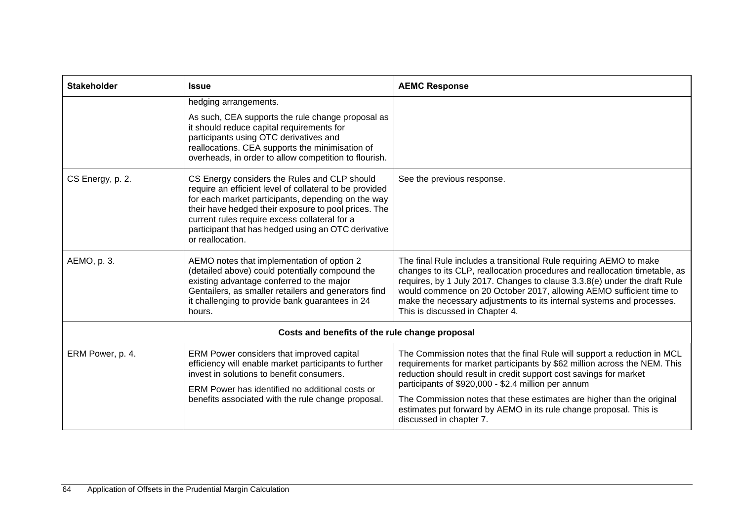| <b>Stakeholder</b>                             | <b>Issue</b>                                                                                                                                                                                                                                                                                                                                      | <b>AEMC Response</b>                                                                                                                                                                                                                                                                                                                                                                                                                                         |  |  |
|------------------------------------------------|---------------------------------------------------------------------------------------------------------------------------------------------------------------------------------------------------------------------------------------------------------------------------------------------------------------------------------------------------|--------------------------------------------------------------------------------------------------------------------------------------------------------------------------------------------------------------------------------------------------------------------------------------------------------------------------------------------------------------------------------------------------------------------------------------------------------------|--|--|
|                                                | hedging arrangements.<br>As such, CEA supports the rule change proposal as<br>it should reduce capital requirements for<br>participants using OTC derivatives and<br>reallocations. CEA supports the minimisation of<br>overheads, in order to allow competition to flourish.                                                                     |                                                                                                                                                                                                                                                                                                                                                                                                                                                              |  |  |
| CS Energy, p. 2.                               | CS Energy considers the Rules and CLP should<br>require an efficient level of collateral to be provided<br>for each market participants, depending on the way<br>their have hedged their exposure to pool prices. The<br>current rules require excess collateral for a<br>participant that has hedged using an OTC derivative<br>or reallocation. | See the previous response.                                                                                                                                                                                                                                                                                                                                                                                                                                   |  |  |
| AEMO, p. 3.                                    | AEMO notes that implementation of option 2<br>(detailed above) could potentially compound the<br>existing advantage conferred to the major<br>Gentailers, as smaller retailers and generators find<br>it challenging to provide bank guarantees in 24<br>hours.                                                                                   | The final Rule includes a transitional Rule requiring AEMO to make<br>changes to its CLP, reallocation procedures and reallocation timetable, as<br>requires, by 1 July 2017. Changes to clause 3.3.8(e) under the draft Rule<br>would commence on 20 October 2017, allowing AEMO sufficient time to<br>make the necessary adjustments to its internal systems and processes.<br>This is discussed in Chapter 4.                                             |  |  |
| Costs and benefits of the rule change proposal |                                                                                                                                                                                                                                                                                                                                                   |                                                                                                                                                                                                                                                                                                                                                                                                                                                              |  |  |
| ERM Power, p. 4.                               | ERM Power considers that improved capital<br>efficiency will enable market participants to further<br>invest in solutions to benefit consumers.<br>ERM Power has identified no additional costs or<br>benefits associated with the rule change proposal.                                                                                          | The Commission notes that the final Rule will support a reduction in MCL<br>requirements for market participants by \$62 million across the NEM. This<br>reduction should result in credit support cost savings for market<br>participants of \$920,000 - \$2.4 million per annum<br>The Commission notes that these estimates are higher than the original<br>estimates put forward by AEMO in its rule change proposal. This is<br>discussed in chapter 7. |  |  |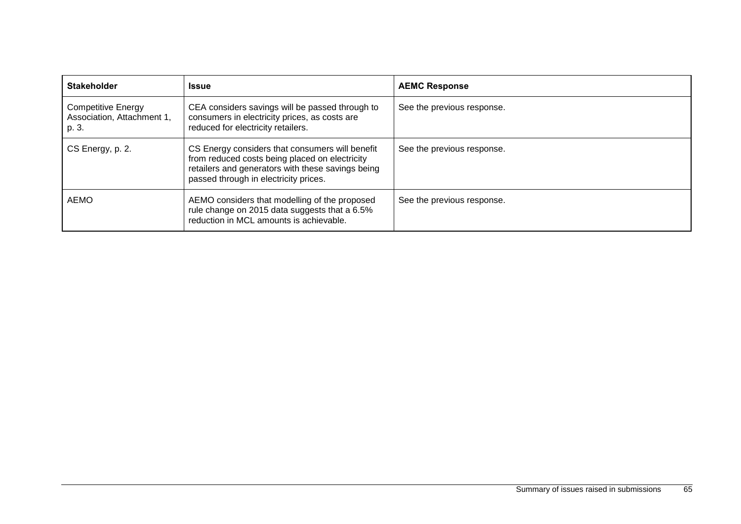| <b>Stakeholder</b>                                               | <b>Issue</b>                                                                                                                                                                                    | <b>AEMC Response</b>       |
|------------------------------------------------------------------|-------------------------------------------------------------------------------------------------------------------------------------------------------------------------------------------------|----------------------------|
| <b>Competitive Energy</b><br>Association, Attachment 1,<br>p. 3. | CEA considers savings will be passed through to<br>consumers in electricity prices, as costs are<br>reduced for electricity retailers.                                                          | See the previous response. |
| CS Energy, p. 2.                                                 | CS Energy considers that consumers will benefit<br>from reduced costs being placed on electricity<br>retailers and generators with these savings being<br>passed through in electricity prices. | See the previous response. |
| AEMO                                                             | AEMO considers that modelling of the proposed<br>rule change on 2015 data suggests that a 6.5%<br>reduction in MCL amounts is achievable.                                                       | See the previous response. |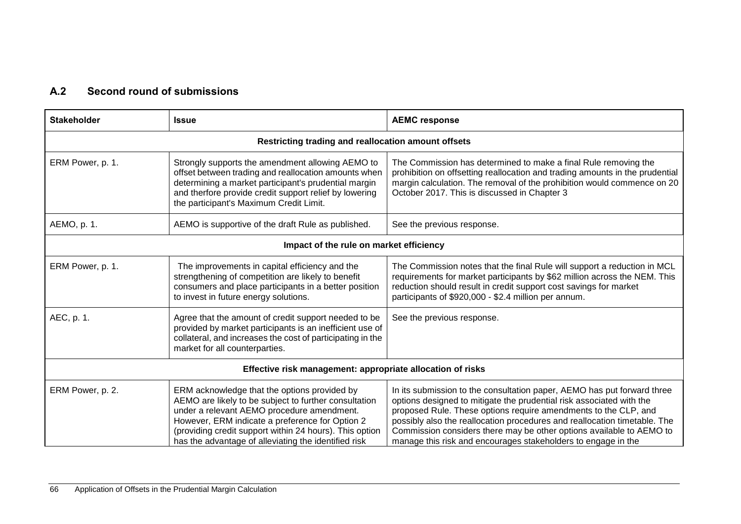## **A.2 Second round of submissions**

| <b>Stakeholder</b>                                         | <b>Issue</b>                                                                                                                                                                                                                                                                                                              | <b>AEMC response</b>                                                                                                                                                                                                                                                                                                                                                                                                                     |
|------------------------------------------------------------|---------------------------------------------------------------------------------------------------------------------------------------------------------------------------------------------------------------------------------------------------------------------------------------------------------------------------|------------------------------------------------------------------------------------------------------------------------------------------------------------------------------------------------------------------------------------------------------------------------------------------------------------------------------------------------------------------------------------------------------------------------------------------|
| Restricting trading and reallocation amount offsets        |                                                                                                                                                                                                                                                                                                                           |                                                                                                                                                                                                                                                                                                                                                                                                                                          |
| ERM Power, p. 1.                                           | Strongly supports the amendment allowing AEMO to<br>offset between trading and reallocation amounts when<br>determining a market participant's prudential margin<br>and therfore provide credit support relief by lowering<br>the participant's Maximum Credit Limit.                                                     | The Commission has determined to make a final Rule removing the<br>prohibition on offsetting reallocation and trading amounts in the prudential<br>margin calculation. The removal of the prohibition would commence on 20<br>October 2017. This is discussed in Chapter 3                                                                                                                                                               |
| AEMO, p. 1.                                                | AEMO is supportive of the draft Rule as published.                                                                                                                                                                                                                                                                        | See the previous response.                                                                                                                                                                                                                                                                                                                                                                                                               |
| Impact of the rule on market efficiency                    |                                                                                                                                                                                                                                                                                                                           |                                                                                                                                                                                                                                                                                                                                                                                                                                          |
| ERM Power, p. 1.                                           | The improvements in capital efficiency and the<br>strengthening of competition are likely to benefit<br>consumers and place participants in a better position<br>to invest in future energy solutions.                                                                                                                    | The Commission notes that the final Rule will support a reduction in MCL<br>requirements for market participants by \$62 million across the NEM. This<br>reduction should result in credit support cost savings for market<br>participants of \$920,000 - \$2.4 million per annum.                                                                                                                                                       |
| AEC, p. 1.                                                 | Agree that the amount of credit support needed to be<br>provided by market participants is an inefficient use of<br>collateral, and increases the cost of participating in the<br>market for all counterparties.                                                                                                          | See the previous response.                                                                                                                                                                                                                                                                                                                                                                                                               |
| Effective risk management: appropriate allocation of risks |                                                                                                                                                                                                                                                                                                                           |                                                                                                                                                                                                                                                                                                                                                                                                                                          |
| ERM Power, p. 2.                                           | ERM acknowledge that the options provided by<br>AEMO are likely to be subject to further consultation<br>under a relevant AEMO procedure amendment.<br>However, ERM indicate a preference for Option 2<br>(providing credit support within 24 hours). This option<br>has the advantage of alleviating the identified risk | In its submission to the consultation paper, AEMO has put forward three<br>options designed to mitigate the prudential risk associated with the<br>proposed Rule. These options require amendments to the CLP, and<br>possibly also the reallocation procedures and reallocation timetable. The<br>Commission considers there may be other options available to AEMO to<br>manage this risk and encourages stakeholders to engage in the |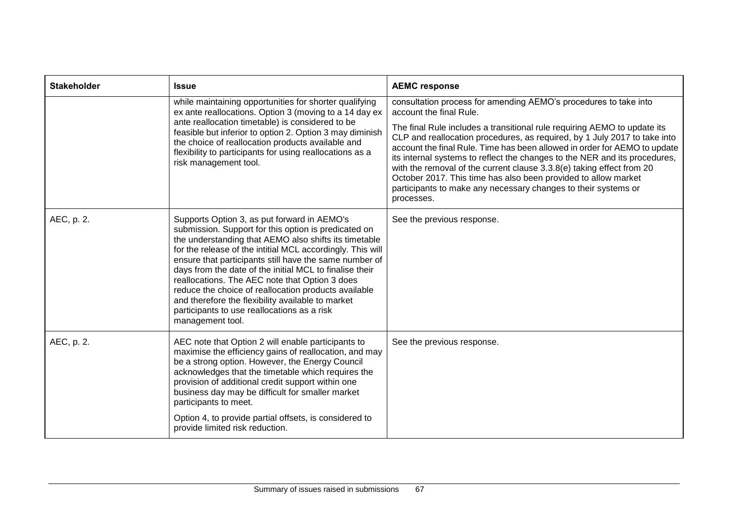| <b>Stakeholder</b> | <b>Issue</b>                                                                                                                                                                                                                                                                                                                                                                                                                                                                                                                                                                      | <b>AEMC response</b>                                                                                                                                                                                                                                                                                                                                                                                                                                                                                                                                                                                                                       |
|--------------------|-----------------------------------------------------------------------------------------------------------------------------------------------------------------------------------------------------------------------------------------------------------------------------------------------------------------------------------------------------------------------------------------------------------------------------------------------------------------------------------------------------------------------------------------------------------------------------------|--------------------------------------------------------------------------------------------------------------------------------------------------------------------------------------------------------------------------------------------------------------------------------------------------------------------------------------------------------------------------------------------------------------------------------------------------------------------------------------------------------------------------------------------------------------------------------------------------------------------------------------------|
|                    | while maintaining opportunities for shorter qualifying<br>ex ante reallocations. Option 3 (moving to a 14 day ex<br>ante reallocation timetable) is considered to be<br>feasible but inferior to option 2. Option 3 may diminish<br>the choice of reallocation products available and<br>flexibility to participants for using reallocations as a<br>risk management tool.                                                                                                                                                                                                        | consultation process for amending AEMO's procedures to take into<br>account the final Rule.<br>The final Rule includes a transitional rule requiring AEMO to update its<br>CLP and reallocation procedures, as required, by 1 July 2017 to take into<br>account the final Rule. Time has been allowed in order for AEMO to update<br>its internal systems to reflect the changes to the NER and its procedures,<br>with the removal of the current clause 3.3.8(e) taking effect from 20<br>October 2017. This time has also been provided to allow market<br>participants to make any necessary changes to their systems or<br>processes. |
| AEC, p. 2.         | Supports Option 3, as put forward in AEMO's<br>submission. Support for this option is predicated on<br>the understanding that AEMO also shifts its timetable<br>for the release of the intitial MCL accordingly. This will<br>ensure that participants still have the same number of<br>days from the date of the initial MCL to finalise their<br>reallocations. The AEC note that Option 3 does<br>reduce the choice of reallocation products available<br>and therefore the flexibility available to market<br>participants to use reallocations as a risk<br>management tool. | See the previous response.                                                                                                                                                                                                                                                                                                                                                                                                                                                                                                                                                                                                                 |
| AEC, p. 2.         | AEC note that Option 2 will enable participants to<br>maximise the efficiency gains of reallocation, and may<br>be a strong option. However, the Energy Council<br>acknowledges that the timetable which requires the<br>provision of additional credit support within one<br>business day may be difficult for smaller market<br>participants to meet.<br>Option 4, to provide partial offsets, is considered to<br>provide limited risk reduction.                                                                                                                              | See the previous response.                                                                                                                                                                                                                                                                                                                                                                                                                                                                                                                                                                                                                 |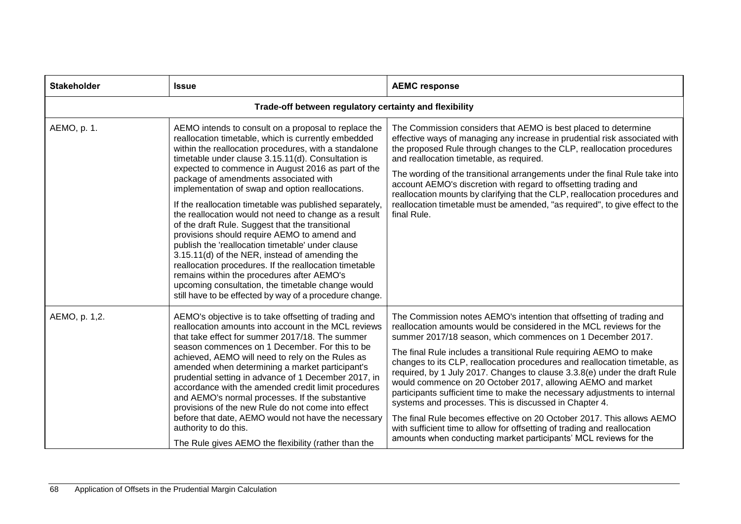| <b>Stakeholder</b>                                     | <b>Issue</b>                                                                                                                                                                                                                                                                                                                                                                                                                                                                                                                                                                                                                                                                                                                                                                                                                                                                                                                        | <b>AEMC response</b>                                                                                                                                                                                                                                                                                                                                                                                                                                                                                                                                                                                                                                                                                                                                                                                                                                                       |
|--------------------------------------------------------|-------------------------------------------------------------------------------------------------------------------------------------------------------------------------------------------------------------------------------------------------------------------------------------------------------------------------------------------------------------------------------------------------------------------------------------------------------------------------------------------------------------------------------------------------------------------------------------------------------------------------------------------------------------------------------------------------------------------------------------------------------------------------------------------------------------------------------------------------------------------------------------------------------------------------------------|----------------------------------------------------------------------------------------------------------------------------------------------------------------------------------------------------------------------------------------------------------------------------------------------------------------------------------------------------------------------------------------------------------------------------------------------------------------------------------------------------------------------------------------------------------------------------------------------------------------------------------------------------------------------------------------------------------------------------------------------------------------------------------------------------------------------------------------------------------------------------|
| Trade-off between regulatory certainty and flexibility |                                                                                                                                                                                                                                                                                                                                                                                                                                                                                                                                                                                                                                                                                                                                                                                                                                                                                                                                     |                                                                                                                                                                                                                                                                                                                                                                                                                                                                                                                                                                                                                                                                                                                                                                                                                                                                            |
| AEMO, p. 1.                                            | AEMO intends to consult on a proposal to replace the<br>reallocation timetable, which is currently embedded<br>within the reallocation procedures, with a standalone<br>timetable under clause 3.15.11(d). Consultation is<br>expected to commence in August 2016 as part of the<br>package of amendments associated with<br>implementation of swap and option reallocations.<br>If the reallocation timetable was published separately,<br>the reallocation would not need to change as a result<br>of the draft Rule. Suggest that the transitional<br>provisions should require AEMO to amend and<br>publish the 'reallocation timetable' under clause<br>3.15.11(d) of the NER, instead of amending the<br>reallocation procedures. If the reallocation timetable<br>remains within the procedures after AEMO's<br>upcoming consultation, the timetable change would<br>still have to be effected by way of a procedure change. | The Commission considers that AEMO is best placed to determine<br>effective ways of managing any increase in prudential risk associated with<br>the proposed Rule through changes to the CLP, reallocation procedures<br>and reallocation timetable, as required.<br>The wording of the transitional arrangements under the final Rule take into<br>account AEMO's discretion with regard to offsetting trading and<br>reallocation mounts by clarifying that the CLP, reallocation procedures and<br>reallocation timetable must be amended, "as required", to give effect to the<br>final Rule.                                                                                                                                                                                                                                                                          |
| AEMO, p. 1,2.                                          | AEMO's objective is to take offsetting of trading and<br>reallocation amounts into account in the MCL reviews<br>that take effect for summer 2017/18. The summer<br>season commences on 1 December. For this to be<br>achieved, AEMO will need to rely on the Rules as<br>amended when determining a market participant's<br>prudential setting in advance of 1 December 2017, in<br>accordance with the amended credit limit procedures<br>and AEMO's normal processes. If the substantive<br>provisions of the new Rule do not come into effect<br>before that date, AEMO would not have the necessary<br>authority to do this.<br>The Rule gives AEMO the flexibility (rather than the                                                                                                                                                                                                                                           | The Commission notes AEMO's intention that offsetting of trading and<br>reallocation amounts would be considered in the MCL reviews for the<br>summer 2017/18 season, which commences on 1 December 2017.<br>The final Rule includes a transitional Rule requiring AEMO to make<br>changes to its CLP, reallocation procedures and reallocation timetable, as<br>required, by 1 July 2017. Changes to clause 3.3.8(e) under the draft Rule<br>would commence on 20 October 2017, allowing AEMO and market<br>participants sufficient time to make the necessary adjustments to internal<br>systems and processes. This is discussed in Chapter 4.<br>The final Rule becomes effective on 20 October 2017. This allows AEMO<br>with sufficient time to allow for offsetting of trading and reallocation<br>amounts when conducting market participants' MCL reviews for the |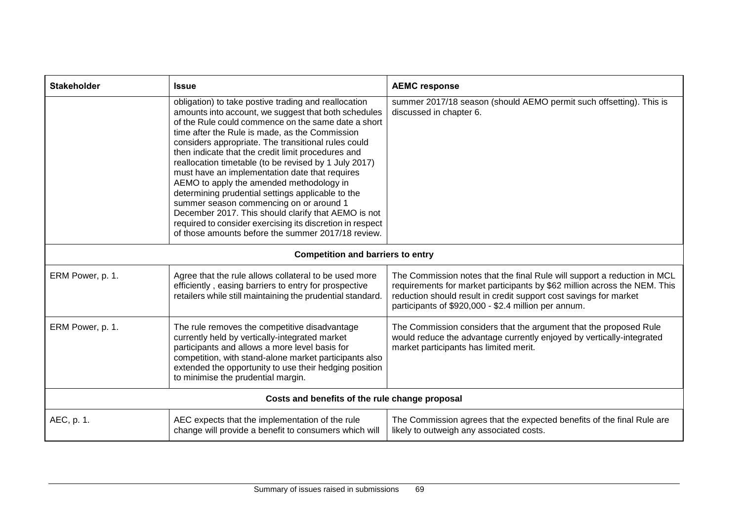| <b>Stakeholder</b>                             | <b>Issue</b>                                                                                                                                                                                                                                                                                                                                                                                                                                                                                                                                                                                                                                                                                                                                                        | <b>AEMC response</b>                                                                                                                                                                                                                                                               |
|------------------------------------------------|---------------------------------------------------------------------------------------------------------------------------------------------------------------------------------------------------------------------------------------------------------------------------------------------------------------------------------------------------------------------------------------------------------------------------------------------------------------------------------------------------------------------------------------------------------------------------------------------------------------------------------------------------------------------------------------------------------------------------------------------------------------------|------------------------------------------------------------------------------------------------------------------------------------------------------------------------------------------------------------------------------------------------------------------------------------|
|                                                | obligation) to take postive trading and reallocation<br>amounts into account, we suggest that both schedules<br>of the Rule could commence on the same date a short<br>time after the Rule is made, as the Commission<br>considers appropriate. The transitional rules could<br>then indicate that the credit limit procedures and<br>reallocation timetable (to be revised by 1 July 2017)<br>must have an implementation date that requires<br>AEMO to apply the amended methodology in<br>determining prudential settings applicable to the<br>summer season commencing on or around 1<br>December 2017. This should clarify that AEMO is not<br>required to consider exercising its discretion in respect<br>of those amounts before the summer 2017/18 review. | summer 2017/18 season (should AEMO permit such offsetting). This is<br>discussed in chapter 6.                                                                                                                                                                                     |
| <b>Competition and barriers to entry</b>       |                                                                                                                                                                                                                                                                                                                                                                                                                                                                                                                                                                                                                                                                                                                                                                     |                                                                                                                                                                                                                                                                                    |
| ERM Power, p. 1.                               | Agree that the rule allows collateral to be used more<br>efficiently, easing barriers to entry for prospective<br>retailers while still maintaining the prudential standard.                                                                                                                                                                                                                                                                                                                                                                                                                                                                                                                                                                                        | The Commission notes that the final Rule will support a reduction in MCL<br>requirements for market participants by \$62 million across the NEM. This<br>reduction should result in credit support cost savings for market<br>participants of \$920,000 - \$2.4 million per annum. |
| ERM Power, p. 1.                               | The rule removes the competitive disadvantage<br>currently held by vertically-integrated market<br>participants and allows a more level basis for<br>competition, with stand-alone market participants also<br>extended the opportunity to use their hedging position<br>to minimise the prudential margin.                                                                                                                                                                                                                                                                                                                                                                                                                                                         | The Commission considers that the argument that the proposed Rule<br>would reduce the advantage currently enjoyed by vertically-integrated<br>market participants has limited merit.                                                                                               |
| Costs and benefits of the rule change proposal |                                                                                                                                                                                                                                                                                                                                                                                                                                                                                                                                                                                                                                                                                                                                                                     |                                                                                                                                                                                                                                                                                    |
| AEC, p. 1.                                     | AEC expects that the implementation of the rule<br>change will provide a benefit to consumers which will                                                                                                                                                                                                                                                                                                                                                                                                                                                                                                                                                                                                                                                            | The Commission agrees that the expected benefits of the final Rule are<br>likely to outweigh any associated costs.                                                                                                                                                                 |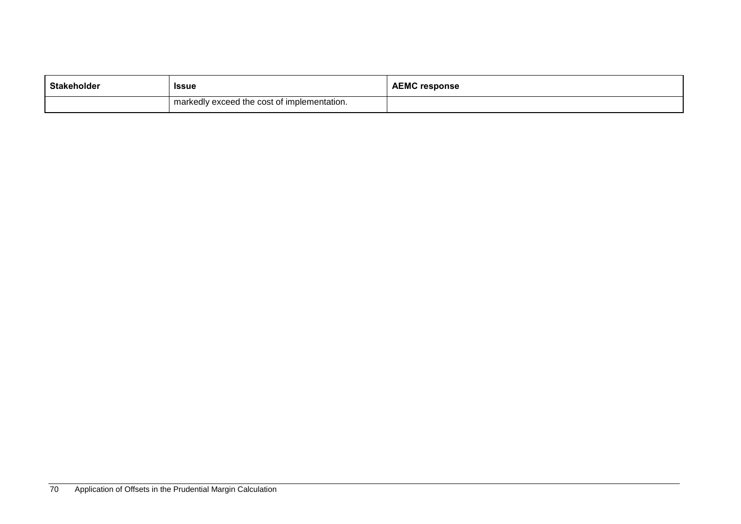| Stakeholder | <b>Issue</b>                                | <b>AEMC response</b> |
|-------------|---------------------------------------------|----------------------|
|             | markedly exceed the cost of implementation. |                      |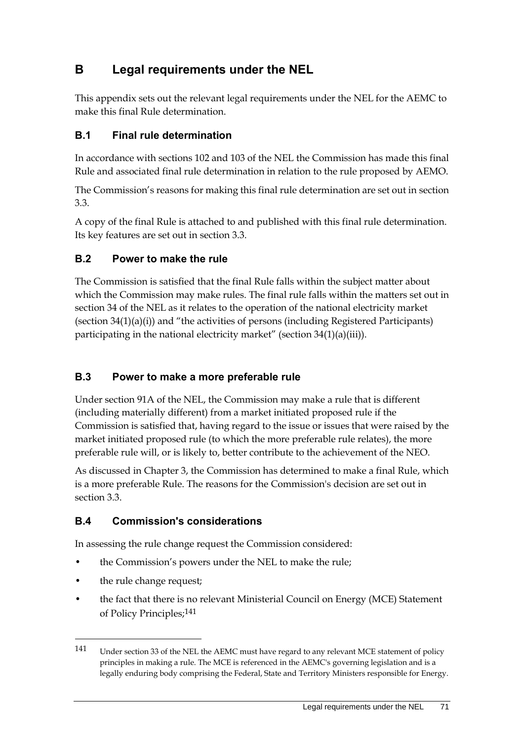# **B Legal requirements under the NEL**

This appendix sets out the relevant legal requirements under the NEL for the AEMC to make this final Rule determination.

## **B.1 Final rule determination**

In accordance with sections 102 and 103 of the NEL the Commission has made this final Rule and associated final rule determination in relation to the rule proposed by AEMO.

The Commission's reasons for making this final rule determination are set out in section 3.3.

A copy of the final Rule is attached to and published with this final rule determination. Its key features are set out in section 3.3.

#### **B.2 Power to make the rule**

The Commission is satisfied that the final Rule falls within the subject matter about which the Commission may make rules. The final rule falls within the matters set out in section 34 of the NEL as it relates to the operation of the national electricity market (section 34(1)(a)(i)) and "the activities of persons (including Registered Participants) participating in the national electricity market" (section  $34(1)(a)(iii)$ ).

## **B.3 Power to make a more preferable rule**

Under section 91A of the NEL, the Commission may make a rule that is different (including materially different) from a market initiated proposed rule if the Commission is satisfied that, having regard to the issue or issues that were raised by the market initiated proposed rule (to which the more preferable rule relates), the more preferable rule will, or is likely to, better contribute to the achievement of the NEO.

As discussed in Chapter 3, the Commission has determined to make a final Rule, which is a more preferable Rule. The reasons for the Commission's decision are set out in section 3.3.

## **B.4 Commission's considerations**

In assessing the rule change request the Commission considered:

- the Commission's powers under the NEL to make the rule;
- the rule change request;

<u>.</u>

• the fact that there is no relevant Ministerial Council on Energy (MCE) Statement of Policy Principles;141

<sup>141</sup> Under section 33 of the NEL the AEMC must have regard to any relevant MCE statement of policy principles in making a rule. The MCE is referenced in the AEMC's governing legislation and is a legally enduring body comprising the Federal, State and Territory Ministers responsible for Energy.